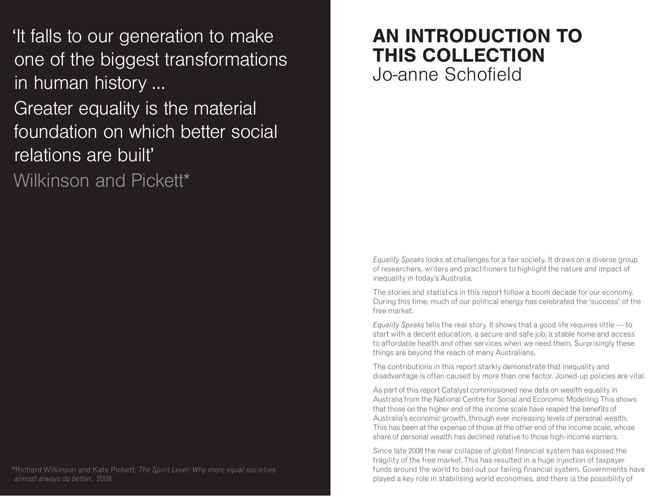'It falls to our generation to make one of the biggest transformations in human history ...

Greater equality is the material foundation on which better social relations are built'

Wilkinson and Pickett\*

\*Richard Wilkinson and Kate Pickett, *The Spirit Level: Why more equal societies almost always do better,* 2009

# **AN INTRODUCTION TO THIS COLLECTION** Jo-anne Schofield

*Equality Speaks* looks at challenges for a fair society. It draws on a diverse group of researchers, writers and practitioners to highlight the nature and impact of inequality in today's Australia.

The stories and statistics in this report follow a boom decade for our economy. During this time, much of our political energy has celebrated the 'success' of the free market.

*Equality Speaks* tells the real story. It shows that a good life requires little — to start with a decent education, a secure and safe job, a stable home and access to affordable health and other services when we need them. Surprisingly these things are beyond the reach of many Australians.

The contributions in this report starkly demonstrate that inequality and disadvantage is often caused by more than one factor. Joined-up policies are vital.

As part of this report Catalyst commissioned new data on wealth equality in Australia from the National Centre for Social and Economic Modelling. This shows that those on the higher end of the income scale have reaped the benefits of Australia's economic growth, through ever increasing levels of personal wealth. This has been at the expense of those at the other end of the income scale, whose share of personal wealth has declined relative to those high-income earners.

Since late 2008 the near collapse of global financial system has exposed the fragility of the free market. This has resulted in a huge injection of taxpayer funds around the world to bail out our failing financial system. Governments have played a key role in stabilising world economies, and there is the possibility of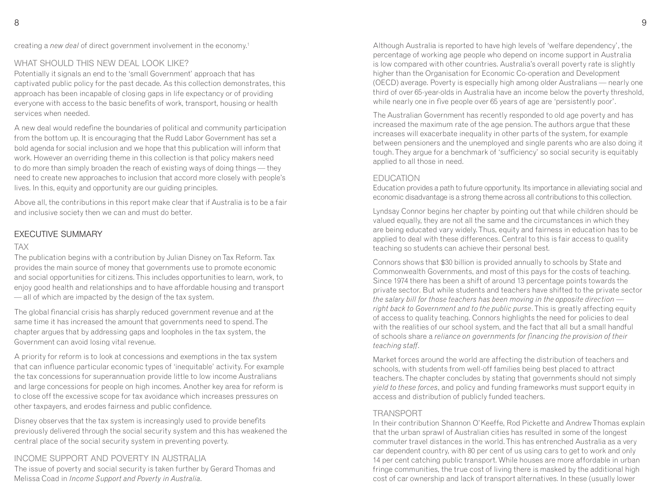creating a *new deal* of direct government involvement in the economy.<sup>1</sup>

#### WHAT SHOULD THIS NEW DEAL LOOK LIKE?

Potentially it signals an end to the 'small Government' approach that has captivated public policy for the past decade. As this collection demonstrates, this approach has been incapable of closing gaps in life expectancy or of providing everyone with access to the basic benefits of work, transport, housing or health services when needed.

A new deal would redefine the boundaries of political and community participation from the bottom up. It is encouraging that the Rudd Labor Government has set a bold agenda for social inclusion and we hope that this publication will inform that work. However an overriding theme in this collection is that policy makers need to do more than simply broaden the reach of existing ways of doing things — they need to create new approaches to inclusion that accord more closely with people's lives. In this, equity and opportunity are our guiding principles.

Above all, the contributions in this report make clear that if Australia is to be a fair and inclusive society then we can and must do better.

#### **EXECUTIVE SUMMARY**

#### TAX

The publication begins with a contribution by Julian Disney on Tax Reform. Tax provides the main source of money that governments use to promote economic and social opportunities for citizens. This includes opportunities to learn, work, to enjoy good health and relationships and to have affordable housing and transport — all of which are impacted by the design of the tax system.

The global financial crisis has sharply reduced government revenue and at the same time it has increased the amount that governments need to spend. The chapter argues that by addressing gaps and loopholes in the tax system, the Government can avoid losing vital revenue.

A priority for reform is to look at concessions and exemptions in the tax system that can influence particular economic types of 'inequitable' activity. For example the tax concessions for superannuation provide little to low income Australians and large concessions for people on high incomes. Another key area for reform is to close off the excessive scope for tax avoidance which increases pressures on other taxpayers, and erodes fairness and public confidence.

Disney observes that the tax system is increasingly used to provide benefits previously delivered through the social security system and this has weakened the central place of the social security system in preventing poverty.

#### INCOME SUPPORT AND POVERTY IN AUSTRALIA

The issue of poverty and social security is taken further by Gerard Thomas and Melissa Coad in *Income Support and Poverty in Australia*.

Although Australia is reported to have high levels of 'welfare dependency', the percentage of working age people who depend on income support in Australia is low compared with other countries. Australia's overall poverty rate is slightly higher than the Organisation for Economic Co-operation and Development (OECD) average. Poverty is especially high among older Australians — nearly one third of over 65-year-olds in Australia have an income below the poverty threshold, while nearly one in five people over 65 years of age are 'persistently poor'.

The Australian Government has recently responded to old age poverty and has increased the maximum rate of the age pension. The authors argue that these increases will exacerbate inequality in other parts of the system, for example between pensioners and the unemployed and single parents who are also doing it tough. They argue for a benchmark of 'sufficiency' so social security is equitably applied to all those in need.

#### FDUCATION

Education provides a path to future opportunity. Its importance in alleviating social and economic disadvantage is a strong theme across all contributions to this collection.

Lyndsay Connor begins her chapter by pointing out that while children should be valued equally, they are not all the same and the circumstances in which they are being educated vary widely. Thus, equity and fairness in education has to be applied to deal with these differences. Central to this is fair access to quality teaching so students can achieve their personal best.

Connors shows that \$30 billion is provided annually to schools by State and Commonwealth Governments, and most of this pays for the costs of teaching. Since 1974 there has been a shift of around 13 percentage points towards the private sector. But while students and teachers have shifted to the private sector *the salary bill for those teachers has been moving in the opposite direction right back to Government and to the public purse*. This is greatly affecting equity of access to quality teaching. Connors highlights the need for policies to deal with the realities of our school system, and the fact that all but a small handful of schools share a *reliance on governments for financing the provision of their teaching staff*.

Market forces around the world are affecting the distribution of teachers and schools, with students from well-off families being best placed to attract teachers. The chapter concludes by stating that governments should not simply *yield to these forces*, and policy and funding frameworks must support equity in access and distribution of publicly funded teachers.

#### **TRANSPORT**

In their contribution Shannon O'Keeffe, Rod Pickette and Andrew Thomas explain that the urban sprawl of Australian cities has resulted in some of the longest commuter travel distances in the world. This has entrenched Australia as a very car dependent country, with 80 per cent of us using cars to get to work and only 14 per cent catching public transport. While houses are more affordable in urban fringe communities, the true cost of living there is masked by the additional high cost of car ownership and lack of transport alternatives. In these (usually lower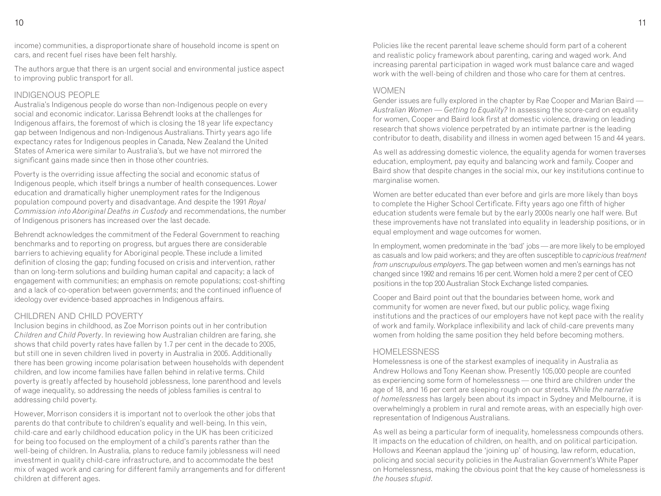income) communities, a disproportionate share of household income is spent on cars, and recent fuel rises have been felt harshly.

The authors argue that there is an urgent social and environmental justice aspect to improving public transport for all.

#### INDIGENOUS PEOPLE

Australia's Indigenous people do worse than non-Indigenous people on every social and economic indicator. Larissa Behrendt looks at the challenges for Indigenous affairs, the foremost of which is closing the 18 year life expectancy gap between Indigenous and non-Indigenous Australians. Thirty years ago life expectancy rates for Indigenous peoples in Canada, New Zealand the United States of America were similar to Australia's, but we have not mirrored the significant gains made since then in those other countries.

Poverty is the overriding issue affecting the social and economic status of Indigenous people, which itself brings a number of health consequences. Lower education and dramatically higher unemployment rates for the Indigenous population compound poverty and disadvantage. And despite the 1991 *Royal Commission into Aboriginal Deaths in Custody* and recommendations, the number of Indigenous prisoners has increased over the last decade.

Behrendt acknowledges the commitment of the Federal Government to reaching benchmarks and to reporting on progress, but argues there are considerable barriers to achieving equality for Aboriginal people. These include a limited definition of closing the gap; funding focused on crisis and intervention, rather than on long-term solutions and building human capital and capacity; a lack of engagement with communities; an emphasis on remote populations; cost-shifting and a lack of co-operation between governments; and the continued influence of ideology over evidence-based approaches in Indigenous affairs.

#### CHILDREN, AND CHILD POVERTY

Inclusion begins in childhood, as Zoe Morrison points out in her contribution *Children and Child Poverty*. In reviewing how Australian children are faring, she shows that child poverty rates have fallen by 1.7 per cent in the decade to 2005, but still one in seven children lived in poverty in Australia in 2005. Additionally there has been growing income polarisation between households with dependent children, and low income families have fallen behind in relative terms. Child poverty is greatly affected by household joblessness, lone parenthood and levels of wage inequality, so addressing the needs of jobless families is central to addressing child poverty.

However, Morrison considers it is important not to overlook the other jobs that parents do that contribute to children's equality and well-being. In this vein, child-care and early childhood education policy in the UK has been criticized for being too focused on the employment of a child's parents rather than the well-being of children. In Australia, plans to reduce family joblessness will need investment in quality child-care infrastructure, and to accommodate the best mix of waged work and caring for different family arrangements and for different children at different ages.

Policies like the recent parental leave scheme should form part of a coherent and realistic policy framework about parenting, caring and waged work. And increasing parental participation in waged work must balance care and waged work with the well-being of children and those who care for them at centres.

#### WOMEN.

Gender issues are fully explored in the chapter by Rae Cooper and Marian Baird — *Australian Women — Getting to Equality?* In assessing the score-card on equality for women, Cooper and Baird look first at domestic violence, drawing on leading research that shows violence perpetrated by an intimate partner is the leading contributor to death, disability and illness in women aged between 15 and 44 years.

As well as addressing domestic violence, the equality agenda for women traverses education, employment, pay equity and balancing work and family. Cooper and Baird show that despite changes in the social mix, our key institutions continue to marginalise women.

Women are better educated than ever before and girls are more likely than boys to complete the Higher School Certificate. Fifty years ago one fifth of higher education students were female but by the early 2000s nearly one half were. But these improvements have not translated into equality in leadership positions, or in equal employment and wage outcomes for women.

In employment, women predominate in the 'bad' jobs — are more likely to be employed as casuals and low paid workers; and they are often susceptible to *capricious treatment from unscrupulous employers*. The gap between women and men's earnings has not changed since 1992 and remains 16 per cent. Women hold a mere 2 per cent of CEO positions in the top 200 Australian Stock Exchange listed companies.

Cooper and Baird point out that the boundaries between home, work and community for women are never fixed, but our public policy, wage fixing institutions and the practices of our employers have not kept pace with the reality of work and family. Workplace inflexibility and lack of child-care prevents many women from holding the same position they held before becoming mothers.

#### HOMEL ESSNESS

Homelessness is one of the starkest examples of inequality in Australia as Andrew Hollows and Tony Keenan show. Presently 105,000 people are counted as experiencing some form of homelessness — one third are children under the age of 18, and 16 per cent are sleeping rough on our streets. While *the narrative of homelessness* has largely been about its impact in Sydney and Melbourne, it is overwhelmingly a problem in rural and remote areas, with an especially high overrepresentation of Indigenous Australians.

As well as being a particular form of inequality, homelessness compounds others. It impacts on the education of children, on health, and on political participation. Hollows and Keenan applaud the 'joining up' of housing, law reform, education, policing and social security policies in the Australian Government's White Paper on Homelessness, making the obvious point that the key cause of homelessness is *the houses stupid*.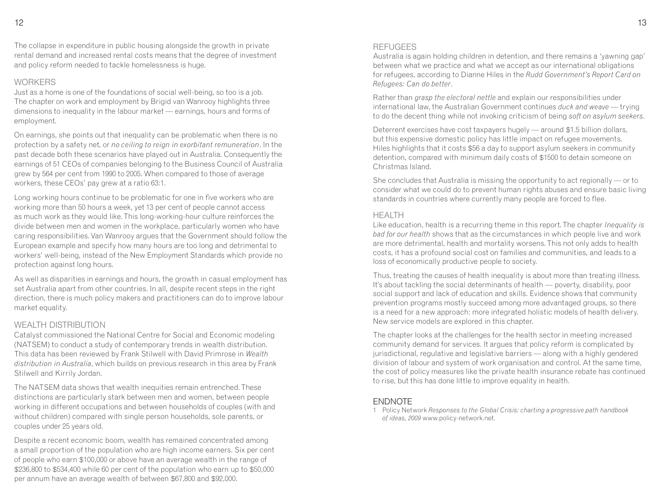The collapse in expenditure in public housing alongside the growth in private rental demand and increased rental costs means that the degree of investment and policy reform needed to tackle homelessness is huge.

#### **WORKERS**

Just as a home is one of the foundations of social well-being, so too is a job. The chapter on work and employment by Brigid van Wanrooy highlights three dimensions to inequality in the labour market — earnings, hours and forms of employment.

On earnings, she points out that inequality can be problematic when there is no protection by a safety net, or *no ceiling to reign in exorbitant remuneration*. In the past decade both these scenarios have played out in Australia. Consequently the earnings of 51 CEOs of companies belonging to the Business Council of Australia grew by 564 per cent from 1990 to 2005. When compared to those of average workers, these CEOs' pay grew at a ratio 63:1.

Long working hours continue to be problematic for one in five workers who are working more than 50 hours a week, yet 13 per cent of people cannot access as much work as they would like. This long-working-hour culture reinforces the divide between men and women in the workplace, particularly women who have caring responsibilities. Van Wanrooy argues that the Government should follow the European example and specify how many hours are too long and detrimental to workers' well-being, instead of the New Employment Standards which provide no protection against long hours.

As well as disparities in earnings and hours, the growth in casual employment has set Australia apart from other countries. In all, despite recent steps in the right direction, there is much policy makers and practitioners can do to improve labour market equality.

#### WEALTH DISTRIBUTION

Catalyst commissioned the National Centre for Social and Economic modeling (NATSEM) to conduct a study of contemporary trends in wealth distribution. This data has been reviewed by Frank Stilwell with David Primrose in *Wealth distribution in Australia*, which builds on previous research in this area by Frank Stilwell and Kirrily Jordan.

The NATSEM data shows that wealth inequities remain entrenched. These distinctions are particularly stark between men and women, between people working in different occupations and between households of couples (with and without children) compared with single person households, sole parents, or couples under 25 years old.

Despite a recent economic boom, wealth has remained concentrated among a small proportion of the population who are high income earners. Six per cent of people who earn \$100,000 or above have an average wealth in the range of \$236,800 to \$534,400 while 60 per cent of the population who earn up to \$50,000 per annum have an average wealth of between \$67,800 and \$92,000.

#### REFUGEES

Australia is again holding children in detention, and there remains a 'yawning gap' between what we practice and what we accept as our international obligations for refugees, according to Dianne Hiles in the *Rudd Government's Report Card on Refugees: Can do better*.

Rather than *grasp the electoral nettle* and explain our responsibilities under international law, the Australian Government continues *duck and weave* — trying to do the decent thing while not invoking criticism of being *soft on asylum seekers*.

Deterrent exercises have cost taxpayers hugely — around \$1.5 billion dollars, but this expensive domestic policy has little impact on refugee movements. Hiles highlights that it costs \$56 a day to support asylum seekers in community detention, compared with minimum daily costs of \$1500 to detain someone on Christmas Island.

She concludes that Australia is missing the opportunity to act regionally — or to consider what we could do to prevent human rights abuses and ensure basic living standards in countries where currently many people are forced to flee.

#### **HFALTH**

Like education, health is a recurring theme in this report. The chapter *Inequality is bad for our health* shows that as the circumstances in which people live and work are more detrimental, health and mortality worsens. This not only adds to health costs, it has a profound social cost on families and communities, and leads to a loss of economically productive people to society.

Thus, treating the causes of health inequality is about more than treating illness. It's about tackling the social determinants of health — poverty, disability, poor social support and lack of education and skills. Evidence shows that community prevention programs mostly succeed among more advantaged groups, so there is a need for a new approach: more integrated holistic models of health delivery. New service models are explored in this chapter.

The chapter looks at the challenges for the health sector in meeting increased community demand for services. It argues that policy reform is complicated by jurisdictional, regulative and legislative barriers — along with a highly gendered division of labour and system of work organisation and control. At the same time, the cost of policy measures like the private health insurance rebate has continued to rise, but this has done little to improve equality in health.

#### **FNDNOTE**

1 Policy Network *Responses to the Global Crisis: charting a progressive path handbook of ideas, 2009* www.policy-network.net.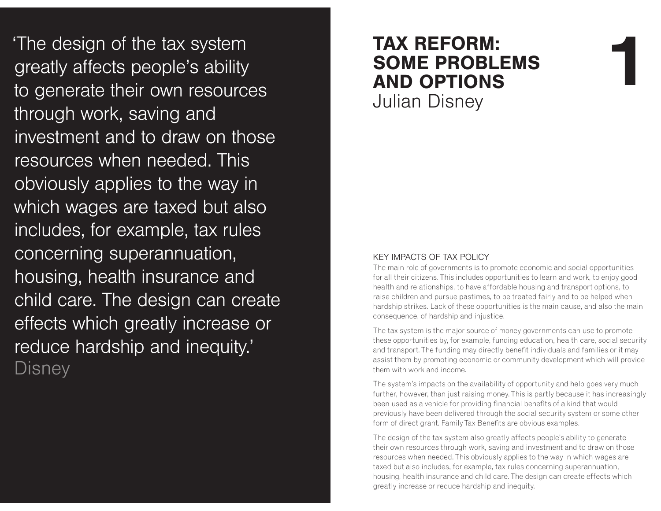The design of the tax system<br>
greatly affects people's ability<br>
to generate their own resources<br>
through work, saving and<br>
through work, saving and<br> **AND OPTIONS**<br>
Uulian Disney through work, saving and investment and to draw on those resources when needed. This obviously applies to the way in which wages are taxed but also includes, for example, tax rules concerning superannuation, housing, health insurance and child care. The design can create effects which greatly increase or reduce hardship and inequity.' Disney

# **TAX REFORM: SOME PROBLEMS AND OPTIONS** Julian Disney

#### KEY IMPACTS OF TAX POLICY

 The main role of governments is to promote economic and social opportunities for all their citizens. This includes opportunities to learn and work, to enjoy good health and relationships, to have affordable housing and transport options, to raise children and pursue pastimes, to be treated fairly and to be helped when hardship strikes. Lack of these opportunities is the main cause, and also the main consequence, of hardship and injustice.

**1**

The tax system is the major source of money governments can use to promote these opportunities by, for example, funding education, health care, social security and transport. The funding may directly benefit individuals and families or it may assist them by promoting economic or community development which will provide them with work and income.

The system's impacts on the availability of opportunity and help goes very much further, however, than just raising money. This is partly because it has increasingly been used as a vehicle for providing financial benefits of a kind that would previously have been delivered through the social security system or some other form of direct grant. Family Tax Benefits are obvious examples.

The design of the tax system also greatly affects people's ability to generate their own resources through work, saving and investment and to draw on those resources when needed. This obviously applies to the way in which wages are taxed but also includes, for example, tax rules concerning superannuation, housing, health insurance and child care. The design can create effects which greatly increase or reduce hardship and inequity.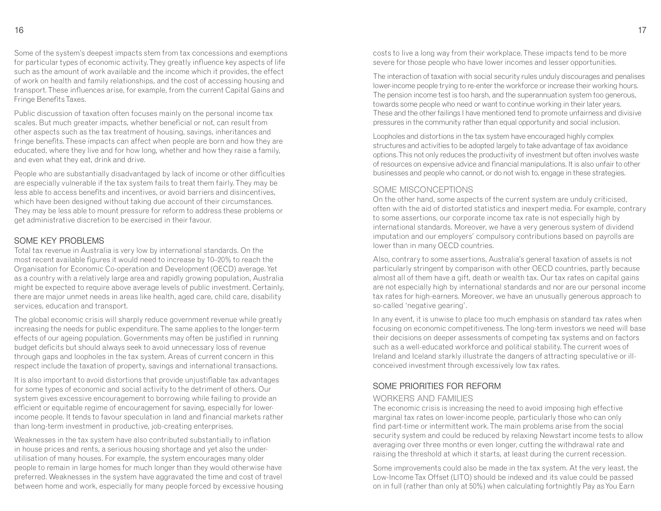Some of the system's deepest impacts stem from tax concessions and exemptions for particular types of economic activity. They greatly influence key aspects of life such as the amount of work available and the income which it provides, the effect of work on health and family relationships, and the cost of accessing housing and transport. These influences arise, for example, from the current Capital Gains and Fringe Benefits Taxes.

Public discussion of taxation often focuses mainly on the personal income tax scales. But much greater impacts, whether beneficial or not, can result from other aspects such as the tax treatment of housing, savings, inheritances and fringe benefits. These impacts can affect when people are born and how they are educated, where they live and for how long, whether and how they raise a family, and even what they eat, drink and drive.

People who are substantially disadvantaged by lack of income or other difficulties are especially vulnerable if the tax system fails to treat them fairly. They may be less able to access benefits and incentives, or avoid barriers and disincentives, which have been designed without taking due account of their circumstances. They may be less able to mount pressure for reform to address these problems or get administrative discretion to be exercised in their favour.

#### SOME KEY PROBLEMS.

 Total tax revenue in Australia is very low by international standards. On the most recent available figures it would need to increase by 10–20% to reach the Organisation for Economic Co-operation and Development (OECD) average. Yet as a country with a relatively large area and rapidly growing population, Australia might be expected to require above average levels of public investment. Certainly, there are major unmet needs in areas like health, aged care, child care, disability services, education and transport.

The global economic crisis will sharply reduce government revenue while greatly increasing the needs for public expenditure. The same applies to the longer-term effects of our ageing population. Governments may often be justified in running budget deficits but should always seek to avoid unnecessary loss of revenue through gaps and loopholes in the tax system. Areas of current concern in this respect include the taxation of property, savings and international transactions.

It is also important to avoid distortions that provide unjustifiable tax advantages for some types of economic and social activity to the detriment of others. Our system gives excessive encouragement to borrowing while failing to provide an efficient or equitable regime of encouragement for saving, especially for lowerincome people. It tends to favour speculation in land and financial markets rather than long-term investment in productive, job-creating enterprises.

Weaknesses in the tax system have also contributed substantially to inflation in house prices and rents, a serious housing shortage and yet also the underutilisation of many houses. For example, the system encourages many older people to remain in large homes for much longer than they would otherwise have preferred. Weaknesses in the system have aggravated the time and cost of travel between home and work, especially for many people forced by excessive housing costs to live a long way from their workplace. These impacts tend to be more severe for those people who have lower incomes and lesser opportunities.

The interaction of taxation with social security rules unduly discourages and penalises lower-income people trying to re-enter the workforce or increase their working hours. The pension income test is too harsh, and the superannuation system too generous, towards some people who need or want to continue working in their later years. These and the other failings I have mentioned tend to promote unfairness and divisive pressures in the community rather than equal opportunity and social inclusion.

Loopholes and distortions in the tax system have encouraged highly complex structures and activities to be adopted largely to take advantage of tax avoidance options. This not only reduces the productivity of investment but often involves waste of resources on expensive advice and financial manipulations. It is also unfair to other businesses and people who cannot, or do not wish to, engage in these strategies.

#### SOME MISCONCEPTIONS

 On the other hand, some aspects of the current system are unduly criticised, often with the aid of distorted statistics and inexpert media. For example, contrary to some assertions, our corporate income tax rate is not especially high by international standards. Moreover, we have a very generous system of dividend imputation and our employers' compulsory contributions based on payrolls are lower than in many OECD countries.

Also, contrary to some assertions, Australia's general taxation of assets is not particularly stringent by comparison with other OECD countries, partly because almost all of them have a gift, death or wealth tax. Our tax rates on capital gains are not especially high by international standards and nor are our personal income tax rates for high-earners. Moreover, we have an unusually generous approach to so-called 'negative gearing'.

In any event, it is unwise to place too much emphasis on standard tax rates when focusing on economic competitiveness. The long-term investors we need will base their decisions on deeper assessments of competing tax systems and on factors such as a well-educated workforce and political stability. The current woes of Ireland and Iceland starkly illustrate the dangers of attracting speculative or illconceived investment through excessively low tax rates.

#### SOME PRIORITIES FOR REFORM

#### WORKERS AND FAMILIES

 The economic crisis is increasing the need to avoid imposing high effective marginal tax rates on lower-income people, particularly those who can only find part-time or intermittent work. The main problems arise from the social security system and could be reduced by relaxing Newstart income tests to allow averaging over three months or even longer, cutting the withdrawal rate and raising the threshold at which it starts, at least during the current recession.

Some improvements could also be made in the tax system. At the very least, the Low-Income Tax Offset (LITO) should be indexed and its value could be passed on in full (rather than only at 50%) when calculating fortnightly Pay as You Earn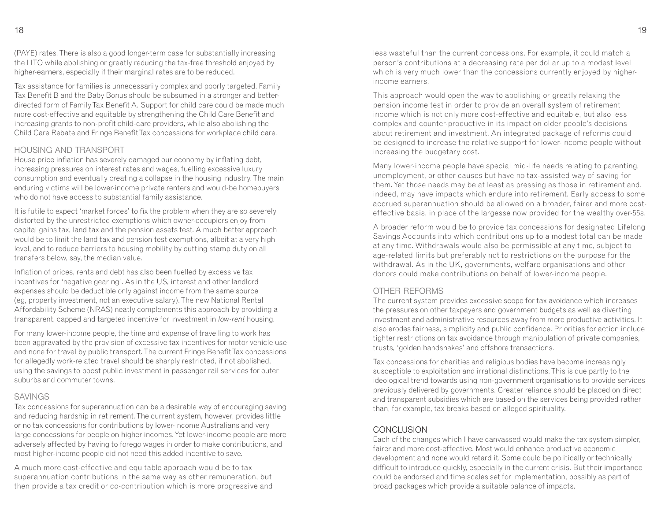(PAYE) rates. There is also a good longer-term case for substantially increasing the LITO while abolishing or greatly reducing the tax-free threshold enjoyed by higher-earners, especially if their marginal rates are to be reduced.

Tax assistance for families is unnecessarily complex and poorly targeted. Family Tax Benefit B and the Baby Bonus should be subsumed in a stronger and betterdirected form of Family Tax Benefit A. Support for child care could be made much more cost-effective and equitable by strengthening the Child Care Benefit and increasing grants to non-profit child-care providers, while also abolishing the Child Care Rebate and Fringe Benefit Tax concessions for workplace child care.

#### HOUSING AND TRANSPORT

 House price inflation has severely damaged our economy by inflating debt, increasing pressures on interest rates and wages, fuelling excessive luxury consumption and eventually creating a collapse in the housing industry. The main enduring victims will be lower-income private renters and would-be homebuyers who do not have access to substantial family assistance.

It is futile to expect 'market forces' to fix the problem when they are so severely distorted by the unrestricted exemptions which owner-occupiers enjoy from capital gains tax, land tax and the pension assets test. A much better approach would be to limit the land tax and pension test exemptions, albeit at a very high level, and to reduce barriers to housing mobility by cutting stamp duty on all transfers below, say, the median value.

Inflation of prices, rents and debt has also been fuelled by excessive tax incentives for 'negative gearing'. As in the US, interest and other landlord expenses should be deductible only against income from the same source (eg, property investment, not an executive salary). The new National Rental Affordability Scheme (NRAS) neatly complements this approach by providing a transparent, capped and targeted incentive for investment in *low-rent* housing.

For many lower-income people, the time and expense of travelling to work has been aggravated by the provision of excessive tax incentives for motor vehicle use and none for travel by public transport. The current Fringe Benefit Tax concessions for allegedly work-related travel should be sharply restricted, if not abolished, using the savings to boost public investment in passenger rail services for outer suburbs and commuter towns.

#### SAVINGS

 Tax concessions for superannuation can be a desirable way of encouraging saving and reducing hardship in retirement. The current system, however, provides little or no tax concessions for contributions by lower-income Australians and very large concessions for people on higher incomes. Yet lower-income people are more adversely affected by having to forego wages in order to make contributions, and most higher-income people did not need this added incentive to save.

A much more cost-effective and equitable approach would be to tax superannuation contributions in the same way as other remuneration, but then provide a tax credit or co-contribution which is more progressive and less wasteful than the current concessions. For example, it could match a person's contributions at a decreasing rate per dollar up to a modest level which is very much lower than the concessions currently enjoyed by higherincome earners.

This approach would open the way to abolishing or greatly relaxing the pension income test in order to provide an overall system of retirement income which is not only more cost-effective and equitable, but also less complex and counter-productive in its impact on older people's decisions about retirement and investment. An integrated package of reforms could be designed to increase the relative support for lower-income people without increasing the budgetary cost.

Many lower-income people have special mid-life needs relating to parenting, unemployment, or other causes but have no tax-assisted way of saving for them. Yet those needs may be at least as pressing as those in retirement and, indeed, may have impacts which endure into retirement. Early access to some accrued superannuation should be allowed on a broader, fairer and more costeffective basis, in place of the largesse now provided for the wealthy over-55s.

A broader reform would be to provide tax concessions for designated Lifelong Savings Accounts into which contributions up to a modest total can be made at any time. Withdrawals would also be permissible at any time, subject to age-related limits but preferably not to restrictions on the purpose for the withdrawal. As in the UK, governments, welfare organisations and other donors could make contributions on behalf of lower-income people.

#### OTHER REFORMS

 The current system provides excessive scope for tax avoidance which increases the pressures on other taxpayers and government budgets as well as diverting investment and administrative resources away from more productive activities. It also erodes fairness, simplicity and public confidence. Priorities for action include tighter restrictions on tax avoidance through manipulation of private companies, trusts, 'golden handshakes' and offshore transactions.

Tax concessions for charities and religious bodies have become increasingly susceptible to exploitation and irrational distinctions. This is due partly to the ideological trend towards using non-government organisations to provide services previously delivered by governments. Greater reliance should be placed on direct and transparent subsidies which are based on the services being provided rather than, for example, tax breaks based on alleged spirituality.

#### CONCLUSION

 Each of the changes which I have canvassed would make the tax system simpler, fairer and more cost-effective. Most would enhance productive economic development and none would retard it. Some could be politically or technically difficult to introduce quickly, especially in the current crisis. But their importance could be endorsed and time scales set for implementation, possibly as part of broad packages which provide a suitable balance of impacts.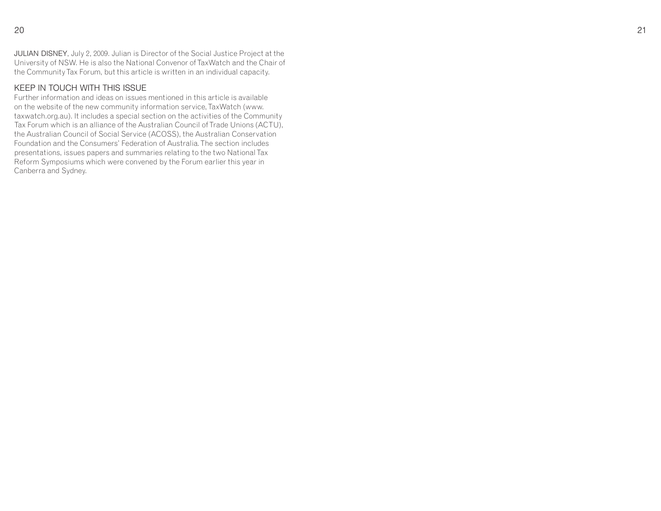JULIAN DISNEY, July 2, 2009. Julian is Director of the Social Justice Project at the University of NSW. He is also the National Convenor of TaxWatch and the Chair of the Community Tax Forum, but this article is written in an individual capacity.

#### KEEP IN TOUCH WITH THIS ISSUE

 Further information and ideas on issues mentioned in this article is available on the website of the new community information service, TaxWatch (www. taxwatch.org.au). It includes a special section on the activities of the Community Tax Forum which is an alliance of the Australian Council of Trade Unions (ACTU), the Australian Council of Social Service (ACOSS), the Australian Conservation Foundation and the Consumers' Federation of Australia. The section includes presentations, issues papers and summaries relating to the two National Tax Reform Symposiums which were convened by the Forum earlier this year in Canberra and Sydney.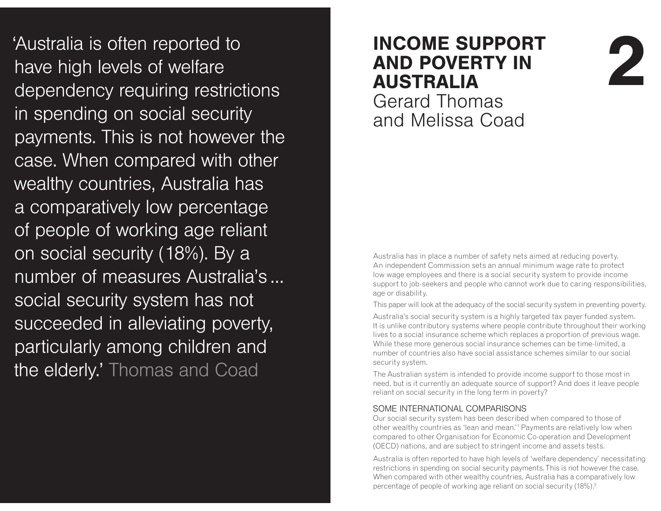'Australia is often reported to have high levels of welfare dependency requiring restrictions in spending on social security. payments. This is not however the case. When compared with other wealthy countries, Australia has a comparatively low percentage of people of working age reliant on social security (18%). By a number of measures Australia's ... social security system has not succeeded in alleviating poverty, particularly among children and the elderly.' Thomas and Coad

# **INCOME SUPPORT AND POVERTY IN AUSTRALIA**

Gerard Thomas and Melissa Coad

Australia has in place a number of safety nets aimed at reducing poverty. An independent Commission sets an annual minimum wage rate to protect low wage employees and there is a social security system to provide income support to job-seekers and people who cannot work due to caring responsibilities, age or disability.

**1**

This paper will look at the adequacy of the social security system in preventing poverty.

Australia's social security system is a highly targeted tax payer funded system. It is unlike contributory systems where people contribute throughout their working lives to a social insurance scheme which replaces a proportion of previous wage. While these more generous social insurance schemes can be time-limited, a number of countries also have social assistance schemes similar to our social security system.

The Australian system is intended to provide income support to those most in need, but is it currently an adequate source of support? And does it leave people reliant on social security in the long term in poverty?

#### SOME INTERNATIONAL COMPARISONS

 Our social security system has been described when compared to those of other wealthy countries as 'lean and mean.'1 Payments are relatively low when compared to other Organisation for Economic Co-operation and Development (OECD) nations, and are subject to stringent income and assets tests.

Australia is often reported to have high levels of 'welfare dependency' necessitating restrictions in spending on social security payments. This is not however the case. When compared with other wealthy countries, Australia has a comparatively low percentage of people of working age reliant on social security (18%). $^{\text{2}}$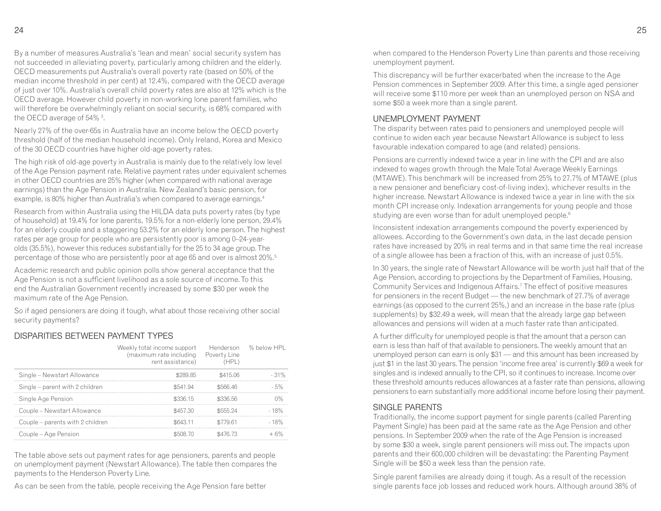By a number of measures Australia's 'lean and mean' social security system has not succeeded in alleviating poverty, particularly among children and the elderly. OECD measurements put Australia's overall poverty rate (based on 50% of the median income threshold in per cent) at 12.4%, compared with the OECD average of just over 10%. Australia's overall child poverty rates are also at 12% which is the OECD average. However child poverty in non-working lone parent families, who will therefore be overwhelmingly reliant on social security, is 68% compared with the OECD average of 54% 3 .

Nearly 27% of the over-65s in Australia have an income below the OECD poverty threshold (half of the median household income). Only Ireland, Korea and Mexico of the 30 OECD countries have higher old-age poverty rates.

The high risk of old-age poverty in Australia is mainly due to the relatively low level of the Age Pension payment rate. Relative payment rates under equivalent schemes in other OECD countries are 25% higher (when compared with national average earnings) than the Age Pension in Australia. New Zealand's basic pension, for example, is 80% higher than Australia's when compared to average earnings.4

Research from within Australia using the HILDA data puts poverty rates (by type of household) at 19.4% for lone parents, 19.5% for a non-elderly lone person, 29.4% for an elderly couple and a staggering 53.2% for an elderly lone person. The highest rates per age group for people who are persistently poor is among 0–24-yearolds (35.5%), however this reduces substantially for the 25 to 34 age group. The percentage of those who are persistently poor at age 65 and over is almost 20%.5

Academic research and public opinion polls show general acceptance that the Age Pension is not a sufficient livelihood as a sole source of income. To this end the Australian Government recently increased by some \$30 per week the maximum rate of the Age Pension.

So if aged pensioners are doing it tough, what about those receiving other social security payments?

#### DISPARITIES BETWEEN PAYMENT TYPES

|                                  | Weekly total income support<br>(maximum rate including Poverty Line<br>rent assistance) | (HPI )   | Henderson % below HPL |
|----------------------------------|-----------------------------------------------------------------------------------------|----------|-----------------------|
| Single - Newstart Allowance      | .S289.85                                                                                | \$415.06 |                       |
| Single – parent with 2 children  | \$541.94                                                                                | \$566.46 |                       |
| Single Age Pension               | \$336.15                                                                                | \$336.56 |                       |
| Couple – Newstart Allowance      | \$457.30                                                                                | \$555.24 | 18%                   |
| Couple – parents with 2 children |                                                                                         | \$779.61 |                       |
| Couple – Age Pension             | SSSO 18. 70                                                                             | \$476.73 |                       |

The table above sets out payment rates for age pensioners, parents and people on unemployment payment (Newstart Allowance). The table then compares the payments to the Henderson Poverty Line.

As can be seen from the table, people receiving the Age Pension fare better

when compared to the Henderson Poverty Line than parents and those receiving unemployment payment.

This discrepancy will be further exacerbated when the increase to the Age Pension commences in September 2009. After this time, a single aged pensioner will receive some \$110 more per week than an unemployed person on NSA and some \$50 a week more than a single parent.

#### UNEMPLOYMENT PAYMENT

 The disparity between rates paid to pensioners and unemployed people will continue to widen each year because Newstart Allowance is subject to less favourable indexation compared to age (and related) pensions.

Pensions are currently indexed twice a year in line with the CPI and are also indexed to wages growth through the Male Total Average Weekly Earnings (MTAWE). This benchmark will be increased from 25% to 27.7% of MTAWE (plus a new pensioner and beneficiary cost-of-living index), whichever results in the higher increase. Newstart Allowance is indexed twice a year in line with the six month CPI increase only. Indexation arrangements for young people and those studying are even worse than for adult unemployed people.<sup>6</sup>

Inconsistent indexation arrangements compound the poverty experienced by allowees. According to the Government's own data, in the last decade pension rates have increased by 20% in real terms and in that same time the real increase of a single allowee has been a fraction of this, with an increase of just 0.5%.

In 30 years, the single rate of Newstart Allowance will be worth just half that of the Age Pension, according to projections by the Department of Families, Housing, Community Services and Indigenous Affairs.7 The effect of positive measures for pensioners in the recent Budget — the new benchmark of 27.7% of average earnings (as opposed to the current 25%,) and an increase in the base rate (plus supplements) by \$32.49 a week, will mean that the already large gap between allowances and pensions will widen at a much faster rate than anticipated.

A further difficulty for unemployed people is that the amount that a person can earn is less than half of that available to pensioners. The weekly amount that an unemployed person can earn is only \$31 — and this amount has been increased by just \$1 in the last 30 years. The pension 'income free area' is currently \$69 a week for singles and is indexed annually to the CPI, so it continues to increase. Income over these threshold amounts reduces allowances at a faster rate than pensions, allowing pensioners to earn substantially more additional income before losing their payment.

#### **SINGLE PARENTS**

 Traditionally, the income support payment for single parents (called Parenting Payment Single) has been paid at the same rate as the Age Pension and other pensions. In September 2009 when the rate of the Age Pension is increased by some \$30 a week, single parent pensioners will miss out. The impacts upon parents and their 600,000 children will be devastating: the Parenting Payment Single will be \$50 a week less than the pension rate.

Single parent families are already doing it tough. As a result of the recession single parents face job losses and reduced work hours. Although around 38% of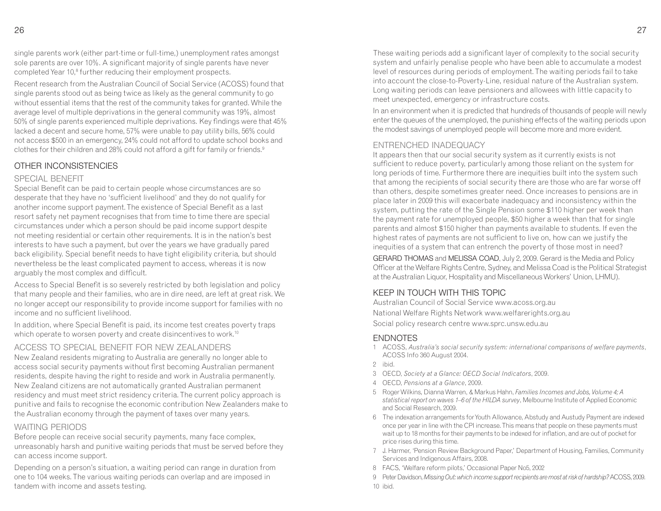single parents work (either part-time or full-time,) unemployment rates amongst sole parents are over 10%. A significant majority of single parents have never completed Year 10,8 further reducing their employment prospects.

Recent research from the Australian Council of Social Service (ACOSS) found that single parents stood out as being twice as likely as the general community to go without essential items that the rest of the community takes for granted. While the average level of multiple deprivations in the general community was 19%, almost 50% of single parents experienced multiple deprivations. Key findings were that 45% lacked a decent and secure home, 57% were unable to pay utility bills, 56% could not access \$500 in an emergency, 24% could not afford to update school books and clothes for their children and 28% could not afford a gift for family or friends.9

#### OTHER INCONSISTENCIES

#### SPECIAL BENEEIT

 Special Benefit can be paid to certain people whose circumstances are so desperate that they have no 'sufficient livelihood' and they do not qualify for another income support payment. The existence of Special Benefit as a last resort safety net payment recognises that from time to time there are special circumstances under which a person should be paid income support despite not meeting residential or certain other requirements. It is in the nation's best interests to have such a payment, but over the years we have gradually pared back eligibility. Special benefit needs to have tight eligibility criteria, but should nevertheless be the least complicated payment to access, whereas it is now arguably the most complex and difficult.

Access to Special Benefit is so severely restricted by both legislation and policy that many people and their families, who are in dire need, are left at great risk. We no longer accept our responsibility to provide income support for families with no income and no sufficient livelihood.

In addition, where Special Benefit is paid, its income test creates poverty traps which operate to worsen poverty and create disincentives to work.<sup>10</sup>

#### ACCESS TO SPECIAL BENEFIT FOR NEW ZEALANDERS

 New Zealand residents migrating to Australia are generally no longer able to access social security payments without first becoming Australian permanent residents, despite having the right to reside and work in Australia permanently. New Zealand citizens are not automatically granted Australian permanent residency and must meet strict residency criteria. The current policy approach is punitive and fails to recognise the economic contribution New Zealanders make to the Australian economy through the payment of taxes over many years.

#### WAITING PFRIODS

 Before people can receive social security payments, many face complex, unreasonably harsh and punitive waiting periods that must be served before they can access income support.

Depending on a person's situation, a waiting period can range in duration from one to 104 weeks. The various waiting periods can overlap and are imposed in tandem with income and assets testing.

These waiting periods add a significant layer of complexity to the social security system and unfairly penalise people who have been able to accumulate a modest level of resources during periods of employment. The waiting periods fail to take into account the close-to-Poverty-Line, residual nature of the Australian system. Long waiting periods can leave pensioners and allowees with little capacity to meet unexpected, emergency or infrastructure costs.

In an environment when it is predicted that hundreds of thousands of people will newly enter the queues of the unemployed, the punishing effects of the waiting periods upon the modest savings of unemployed people will become more and more evident.

#### ENTRENCHED INADEQUACY

 It appears then that our social security system as it currently exists is not sufficient to reduce poverty, particularly among those reliant on the system for long periods of time. Furthermore there are inequities built into the system such that among the recipients of social security there are those who are far worse off than others, despite sometimes greater need. Once increases to pensions are in place later in 2009 this will exacerbate inadequacy and inconsistency within the system, putting the rate of the Single Pension some \$110 higher per week than the payment rate for unemployed people, \$50 higher a week than that for single parents and almost \$150 higher than payments available to students. If even the highest rates of payments are not sufficient to live on, how can we justify the inequities of a system that can entrench the poverty of those most in need?

GERARD THOMAS and MELISSA COAD, July 2, 2009. Gerard is the Media and Policy Officer at the Welfare Rights Centre, Sydney, and Melissa Coad is the Political Strategist at the Australian Liquor, Hospitality and Miscellaneous Workers' Union, LHMU).

#### KEEP IN TOUCH WITH THIS TOPIC

 Australian Council of Social Service www.acoss.org.au National Welfare Rights Network www.welfarerights.org.au Social policy research centre www.sprc.unsw.edu.au

#### **ENDNOTES**

- 1 ACOSS, *Australia's social security system: international comparisons of welfare payments*, ACOSS Info 360 August 2004.
- 2 ibid.
- 3 OECD, *Society at a Glance: OECD Social Indicators*, 2009.
- 4 OECD, *Pensions at a Glance*, 2009.
- 5 Roger Wilkins, Dianna Warren, & Markus Hahn, *Families Incomes and Jobs, Volume 4; A statistical report on waves 1–6 of the HILDA survey*, Melbourne Institute of Applied Economic and Social Research, 2009.
- 6 The indexation arrangements for Youth Allowance, Abstudy and Austudy Payment are indexed once per year in line with the CPI increase. This means that people on these payments must wait up to 18 months for their payments to be indexed for inflation, and are out of pocket for price rises during this time.
- 7 J. Harmer, 'Pension Review Background Paper,' Department of Housing, Families, Community Services and Indigenous Affairs, 2008.
- 8 FACS, 'Welfare reform pilots,' Occasional Paper No5, 2002

 9 Peter Davidson, *Missing Out: which income support recipients are most at risk of hardship?* ACOSS, 2009.10 ibid.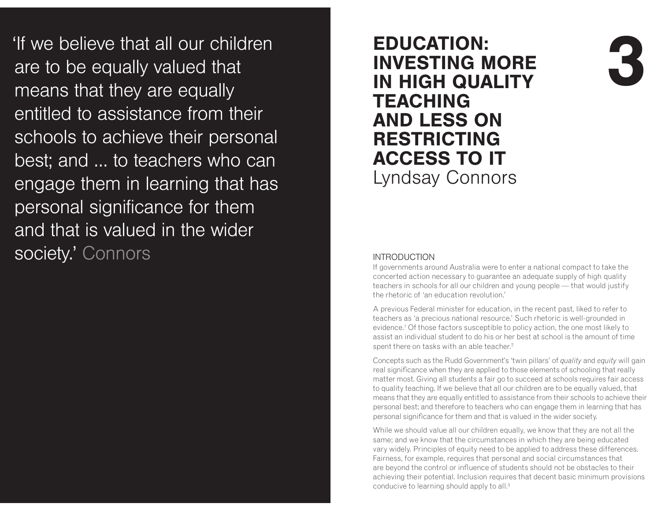'If we believe that all our children are to be equally valued that means that they are equally entitled to assistance from their schools to achieve their personal best; and ... to teachers who can engage them in learning that has personal significance for them and that is valued in the wider society' Connors

# **EDUCATION: INVESTING MORE IN HIGH QUALITY TEACHING AND LESS ON**  $RESTRACTING$ **ACCESS TO IT** Lyndsay Connors

#### $INTRODUCTION$

 If governments around Australia were to enter a national compact to take the concerted action necessary to guarantee an adequate supply of high quality teachers in schools for all our children and young people — that would justify the rhetoric of 'an education revolution.'

**4**

A previous Federal minister for education, in the recent past, liked to refer to teachers as 'a precious national resource.' Such rhetoric is well-grounded in evidence.1 Of those factors susceptible to policy action, the one most likely to assist an individual student to do his or her best at school is the amount of time spent there on tasks with an able teacher.<sup>2</sup>

Concepts such as the Rudd Government's 'twin pillars' of *quality* and *equity* will gain real significance when they are applied to those elements of schooling that really matter most. Giving all students a fair go to succeed at schools requires fair access to quality teaching. If we believe that all our children are to be equally valued, that means that they are equally entitled to assistance from their schools to achieve their personal best; and therefore to teachers who can engage them in learning that has personal significance for them and that is valued in the wider society.

While we should value all our children equally, we know that they are not all the same; and we know that the circumstances in which they are being educated vary widely. Principles of equity need to be applied to address these differences. Fairness, for example, requires that personal and social circumstances that are beyond the control or influence of students should not be obstacles to their achieving their potential. Inclusion requires that decent basic minimum provisions conducive to learning should apply to all.<sup>3</sup>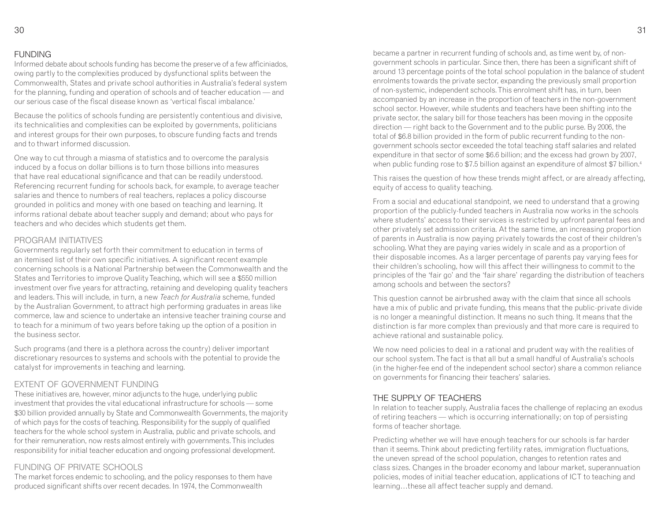#### **FUNDING**

 Informed debate about schools funding has become the preserve of a few afficiniados, owing partly to the complexities produced by dysfunctional splits between the Commonwealth, States and private school authorities in Australia's federal system for the planning, funding and operation of schools and of teacher education — and our serious case of the fiscal disease known as 'vertical fiscal imbalance.'

Because the politics of schools funding are persistently contentious and divisive, its technicalities and complexities can be exploited by governments, politicians and interest groups for their own purposes, to obscure funding facts and trends and to thwart informed discussion.

One way to cut through a miasma of statistics and to overcome the paralysis induced by a focus on dollar billions is to turn those billions into measures that have real educational significance and that can be readily understood. Referencing recurrent funding for schools back, for example, to average teacher salaries and thence to numbers of real teachers, replaces a policy discourse grounded in politics and money with one based on teaching and learning. It informs rational debate about teacher supply and demand; about who pays for teachers and who decides which students get them.

#### PROGRAM INITIATIVES

 Governments regularly set forth their commitment to education in terms of an itemised list of their own specific initiatives. A significant recent example concerning schools is a National Partnership between the Commonwealth and the States and Territories to improve Quality Teaching, which will see a \$550 million investment over five years for attracting, retaining and developing quality teachers and leaders. This will include, in turn, a new *Teach for Australia* scheme, funded by the Australian Government, to attract high performing graduates in areas like commerce, law and science to undertake an intensive teacher training course and to teach for a minimum of two years before taking up the option of a position in the business sector.

Such programs (and there is a plethora across the country) deliver important discretionary resources to systems and schools with the potential to provide the catalyst for improvements in teaching and learning.

#### FXTENT OF GOVERNMENT FUNDING

 These initiatives are, however, minor adjuncts to the huge, underlying public investment that provides the vital educational infrastructure for schools — some \$30 billion provided annually by State and Commonwealth Governments, the majority of which pays for the costs of teaching. Responsibility for the supply of qualified teachers for the whole school system in Australia, public and private schools, and for their remuneration, now rests almost entirely with governments. This includes responsibility for initial teacher education and ongoing professional development.

#### FUNDING OF PRIVATE SCHOOLS

 The market forces endemic to schooling, and the policy responses to them have produced significant shifts over recent decades. In 1974, the Commonwealth

became a partner in recurrent funding of schools and, as time went by, of nongovernment schools in particular. Since then, there has been a significant shift of around 13 percentage points of the total school population in the balance of student enrolments towards the private sector, expanding the previously small proportion of non-systemic, independent schools. This enrolment shift has, in turn, been accompanied by an increase in the proportion of teachers in the non-government school sector. However, while students and teachers have been shifting into the private sector, the salary bill for those teachers has been moving in the opposite direction — right back to the Government and to the public purse. By 2006, the total of \$6.8 billion provided in the form of public recurrent funding to the nongovernment schools sector exceeded the total teaching staff salaries and related expenditure in that sector of some \$6.6 billion; and the excess had grown by 2007, when public funding rose to \$7.5 billion against an expenditure of almost \$7 billion.4

This raises the question of how these trends might affect, or are already affecting, equity of access to quality teaching.

From a social and educational standpoint, we need to understand that a growing proportion of the publicly-funded teachers in Australia now works in the schools where students' access to their services is restricted by upfront parental fees and other privately set admission criteria. At the same time, an increasing proportion of parents in Australia is now paying privately towards the cost of their children's schooling. What they are paying varies widely in scale and as a proportion of their disposable incomes. As a larger percentage of parents pay varying fees for their children's schooling, how will this affect their willingness to commit to the principles of the 'fair go' and the 'fair share' regarding the distribution of teachers among schools and between the sectors?

This question cannot be airbrushed away with the claim that since all schools have a mix of public and private funding, this means that the public-private divide is no longer a meaningful distinction. It means no such thing. It means that the distinction is far more complex than previously and that more care is required to achieve rational and sustainable policy.

We now need policies to deal in a rational and prudent way with the realities of our school system. The fact is that all but a small handful of Australia's schools (in the higher-fee end of the independent school sector) share a common reliance on governments for financing their teachers' salaries.

#### THE SUPPLY OF TEACHERS

 In relation to teacher supply, Australia faces the challenge of replacing an exodus of retiring teachers — which is occurring internationally; on top of persisting forms of teacher shortage.

Predicting whether we will have enough teachers for our schools is far harder than it seems. Think about predicting fertility rates, immigration fluctuations, the uneven spread of the school population, changes to retention rates and class sizes. Changes in the broader economy and labour market, superannuation policies, modes of initial teacher education, applications of ICT to teaching and learning…these all affect teacher supply and demand.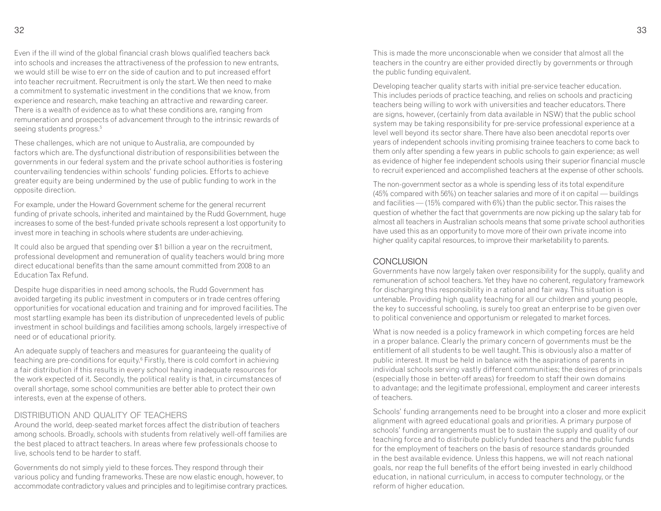Even if the ill wind of the global financial crash blows qualified teachers back into schools and increases the attractiveness of the profession to new entrants, we would still be wise to err on the side of caution and to put increased effort into teacher recruitment. Recruitment is only the start. We then need to make a commitment to systematic investment in the conditions that we know, from experience and research, make teaching an attractive and rewarding career. There is a wealth of evidence as to what these conditions are, ranging from remuneration and prospects of advancement through to the intrinsic rewards of seeing students progress.<sup>5</sup>

These challenges, which are not unique to Australia, are compounded by factors which are. The dysfunctional distribution of responsibilities between the governments in our federal system and the private school authorities is fostering countervailing tendencies within schools' funding policies. Efforts to achieve greater equity are being undermined by the use of public funding to work in the opposite direction.

For example, under the Howard Government scheme for the general recurrent funding of private schools, inherited and maintained by the Rudd Government, huge increases to some of the best-funded private schools represent a lost opportunity to invest more in teaching in schools where students are under-achieving.

It could also be argued that spending over \$1 billion a year on the recruitment, professional development and remuneration of quality teachers would bring more direct educational benefits than the same amount committed from 2008 to an Education Tax Refund.

Despite huge disparities in need among schools, the Rudd Government has avoided targeting its public investment in computers or in trade centres offering opportunities for vocational education and training and for improved facilities. The most startling example has been its distribution of unprecedented levels of public investment in school buildings and facilities among schools, largely irrespective of need or of educational priority.

An adequate supply of teachers and measures for guaranteeing the quality of teaching are pre-conditions for equity.<sup>6</sup> Firstly, there is cold comfort in achieving a fair distribution if this results in every school having inadequate resources for the work expected of it. Secondly, the political reality is that, in circumstances of overall shortage, some school communities are better able to protect their own interests, even at the expense of others.

#### DISTRIBUTION AND OUALITY OF TEACHERS

 Around the world, deep-seated market forces affect the distribution of teachers among schools. Broadly, schools with students from relatively well-off families are the best placed to attract teachers. In areas where few professionals choose to live, schools tend to be harder to staff.

Governments do not simply yield to these forces. They respond through their various policy and funding frameworks. These are now elastic enough, however, to accommodate contradictory values and principles and to legitimise contrary practices. This is made the more unconscionable when we consider that almost all the teachers in the country are either provided directly by governments or through the public funding equivalent.

Developing teacher quality starts with initial pre-service teacher education. This includes periods of practice teaching, and relies on schools and practicing teachers being willing to work with universities and teacher educators. There are signs, however, (certainly from data available in NSW) that the public school system may be taking responsibility for pre-service professional experience at a level well beyond its sector share. There have also been anecdotal reports over years of independent schools inviting promising trainee teachers to come back to them only after spending a few years in public schools to gain experience; as well as evidence of higher fee independent schools using their superior financial muscle to recruit experienced and accomplished teachers at the expense of other schools.

The non-government sector as a whole is spending less of its total expenditure (45% compared with 56%) on teacher salaries and more of it on capital — buildings and facilities — (15% compared with 6%) than the public sector. This raises the question of whether the fact that governments are now picking up the salary tab for almost all teachers in Australian schools means that some private school authorities have used this as an opportunity to move more of their own private income into higher quality capital resources, to improve their marketability to parents.

#### CONCLUSION

 Governments have now largely taken over responsibility for the supply, quality and remuneration of school teachers. Yet they have no coherent, regulatory framework for discharging this responsibility in a rational and fair way. This situation is untenable. Providing high quality teaching for all our children and young people, the key to successful schooling, is surely too great an enterprise to be given over to political convenience and opportunism or relegated to market forces.

What is now needed is a policy framework in which competing forces are held in a proper balance. Clearly the primary concern of governments must be the entitlement of all students to be well taught. This is obviously also a matter of public interest. It must be held in balance with the aspirations of parents in individual schools serving vastly different communities; the desires of principals (especially those in better-off areas) for freedom to staff their own domains to advantage; and the legitimate professional, employment and career interests of teachers.

Schools' funding arrangements need to be brought into a closer and more explicit alignment with agreed educational goals and priorities. A primary purpose of schools' funding arrangements must be to sustain the supply and quality of our teaching force and to distribute publicly funded teachers and the public funds for the employment of teachers on the basis of resource standards grounded in the best available evidence. Unless this happens, we will not reach national goals, nor reap the full benefits of the effort being invested in early childhood education, in national curriculum, in access to computer technology, or the reform of higher education.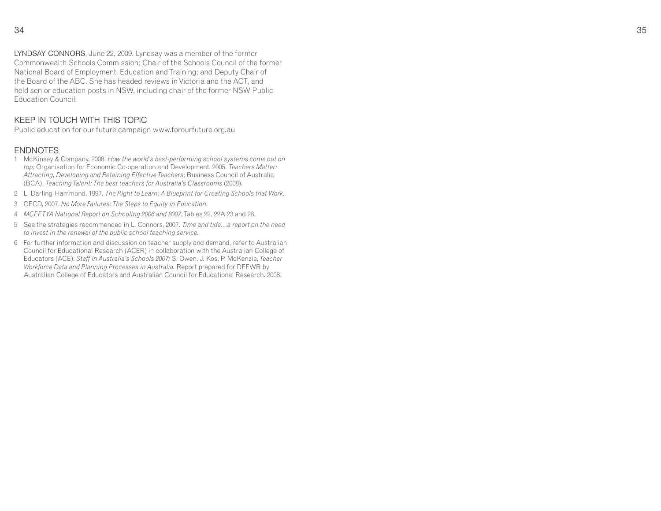LYNDSAY CONNORS, June 22, 2009. Lyndsay was a member of the former Commonwealth Schools Commission; Chair of the Schools Council of the former National Board of Employment, Education and Training; and Deputy Chair of the Board of the ABC. She has headed reviews in Victoria and the ACT, and held senior education posts in NSW, including chair of the former NSW Public Education Council.

#### KEEP IN TOUCH WITH THIS TOPIC

Public education for our future campaign www.forourfuture.org.au

#### ENDNOTES

- 1 McKinsey & Company, 2008. *How the world's best-performing school systems come out on top;* Organisation for Economic Co-operation and Development. 2005. *Teachers Matter: Attracting, Developing and Retaining Effective Teachers*; Business Council of Australia (BCA), *Teaching Talent: The best teachers for Australia's Classrooms* (2008).
- 2 L. Darling-Hammond, 1997. *The Right to Learn: A Blueprint for Creating Schools that Work.*
- 3 OECD, 2007. *No More Failures: The Steps to Equity in Education.*
- 4 *MCEETYA National Report on Schooling 2006 and 2007*, Tables 22, 22A 23 and 28.
- 5 See the strategies recommended in L. Connors, 2007. *Time and tide…a report on the need to invest in the renewal of the public school teaching service.*
- 6 For further information and discussion on teacher supply and demand, refer to Australian Council for Educational Research (ACER) in collaboration with the Australian College of Educators (ACE). *Staff in Australia's Schools 2007;* S. Owen, J. Kos, P. McKenzie, *Teacher Workforce Data and Planning Processes in Australia.* Report prepared for DEEWR by Australian College of Educators and Australian Council for Educational Research. 2008.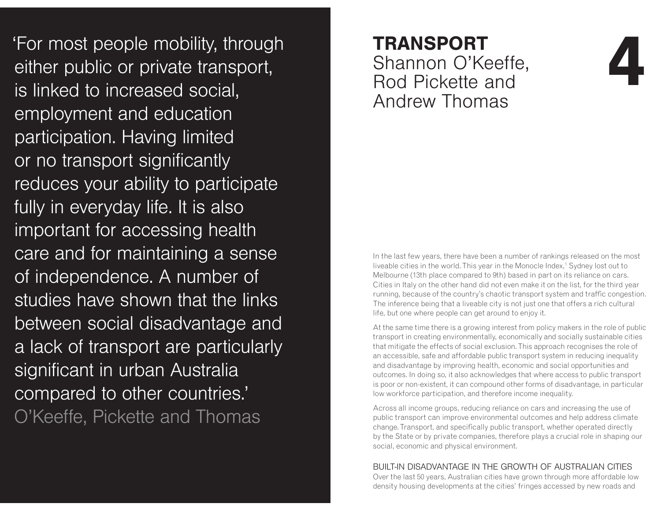For most people mobility, through **TRANSPORT**<br>
either public or private transport, Shannon O'Keeffe,<br>
is linked to increased social, Rod Pickette and<br>
employment and education<br>
employment and education employment and education participation. Having limited or no transport significantly reduces your ability to participate fully in everyday life. It is also important for accessing health care and for maintaining a sense of independence. A number of studies have shown that the links between social disadvantage and a lack of transport are particularly significant in urban Australia compared to other countries.' O'Keeffe, Pickette and Thomas

# **TRANSPORT** Shannon O'Keeffe, Rod Pickette and Andrew Thomas

In the last few years, there have been a number of rankings released on the most liveable cities in the world. This year in the Monocle Index,1 Sydney lost out to Melbourne (13th place compared to 9th) based in part on its reliance on cars. Cities in Italy on the other hand did not even make it on the list, for the third year running, because of the country's chaotic transport system and traffic congestion. The inference being that a liveable city is not just one that offers a rich cultural life, but one where people can get around to enjoy it.

**(**

At the same time there is a growing interest from policy makers in the role of public transport in creating environmentally, economically and socially sustainable cities that mitigate the effects of social exclusion. This approach recognises the role of an accessible, safe and affordable public transport system in reducing inequality and disadvantage by improving health, economic and social opportunities and outcomes. In doing so, it also acknowledges that where access to public transport is poor or non-existent, it can compound other forms of disadvantage, in particular low workforce participation, and therefore income inequality.

Across all income groups, reducing reliance on cars and increasing the use of public transport can improve environmental outcomes and help address climate change. Transport, and specifically public transport, whether operated directly by the State or by private companies, therefore plays a crucial role in shaping our social, economic and physical environment.

#### BUILT-IN DISADVANTAGE IN THE GROWTH OF AUSTRALIAN CITIES

 Over the last 50 years, Australian cities have grown through more affordable low density housing developments at the cities' fringes accessed by new roads and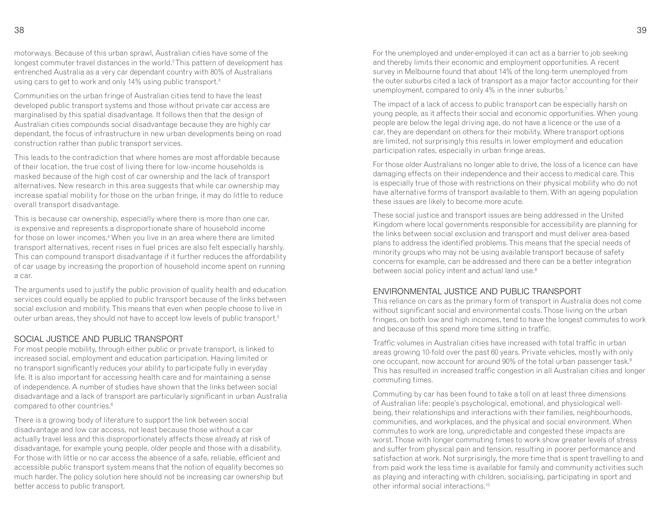motorways. Because of this urban sprawl, Australian cities have some of the longest commuter travel distances in the world.<sup>2</sup>This pattern of development has entrenched Australia as a very car dependant country with 80% of Australians using cars to get to work and only 14% using public transport.<sup>3</sup>

Communities on the urban fringe of Australian cities tend to have the least developed public transport systems and those without private car access are marginalised by this spatial disadvantage. It follows then that the design of Australian cities compounds social disadvantage because they are highly car dependant, the focus of infrastructure in new urban developments being on road construction rather than public transport services.

This leads to the contradiction that where homes are most affordable because of their location, the true cost of living there for low-income households is masked because of the high cost of car ownership and the lack of transport alternatives. New research in this area suggests that while car ownership may increase spatial mobility for those on the urban fringe, it may do little to reduce overall transport disadvantage.

This is because car ownership, especially where there is more than one car, is expensive and represents a disproportionate share of household income for those on lower incomes.<sup>4</sup> When you live in an area where there are limited transport alternatives, recent rises in fuel prices are also felt especially harshly. This can compound transport disadvantage if it further reduces the affordability of car usage by increasing the proportion of household income spent on running a car.

The arguments used to justify the public provision of quality health and education services could equally be applied to public transport because of the links between social exclusion and mobility. This means that even when people choose to live in outer urban areas, they should not have to accept low levels of public transport.5

#### SOCIAL JUSTICE AND PUBLIC TRANSPORT

 For most people mobility, through either public or private transport, is linked to increased social, employment and education participation. Having limited or no transport significantly reduces your ability to participate fully in everyday life. It is also important for accessing health care and for maintaining a sense of independence. A number of studies have shown that the links between social disadvantage and a lack of transport are particularly significant in urban Australia compared to other countries.6

There is a growing body of literature to support the link between social disadvantage and low car access, not least because those without a car actually travel less and this disproportionately affects those already at risk of disadvantage, for example young people, older people and those with a disability. For those with little or no car access the absence of a safe, reliable, efficient and accessible public transport system means that the notion of equality becomes so much harder. The policy solution here should not be increasing car ownership but better access to public transport.

For the unemployed and under-employed it can act as a barrier to job seeking and thereby limits their economic and employment opportunities. A recent survey in Melbourne found that about 14% of the long-term unemployed from the outer suburbs cited a lack of transport as a major factor accounting for their unemployment, compared to only 4% in the inner suburbs. $^7$ 

The impact of a lack of access to public transport can be especially harsh on young people, as it affects their social and economic opportunities. When young people are below the legal driving age, do not have a licence or the use of a car, they are dependant on others for their mobility. Where transport options are limited, not surprisingly this results in lower employment and education participation rates, especially in urban fringe areas.

For those older Australians no longer able to drive, the loss of a licence can have damaging effects on their independence and their access to medical care. This is especially true of those with restrictions on their physical mobility who do not have alternative forms of transport available to them. With an ageing population these issues are likely to become more acute.

These social justice and transport issues are being addressed in the United Kingdom where local governments responsible for accessibility are planning for the links between social exclusion and transport and must deliver area-based plans to address the identified problems. This means that the special needs of minority groups who may not be using available transport because of safety concerns for example, can be addressed and there can be a better integration between social policy intent and actual land use.8

#### ENVIRONMENTAL JUSTICE AND PUBLIC TRANSPORT

 This reliance on cars as the primary form of transport in Australia does not come without significant social and environmental costs. Those living on the urban fringes, on both low and high incomes, tend to have the longest commutes to work and because of this spend more time sitting in traffic.

Traffic volumes in Australian cities have increased with total traffic in urban areas growing 10-fold over the past 60 years. Private vehicles, mostly with only one occupant, now account for around 90% of the total urban passenger task.<sup>9</sup> This has resulted in increased traffic congestion in all Australian cities and longer commuting times.

Commuting by car has been found to take a toll on at least three dimensions of Australian life: people's psychological, emotional, and physiological wellbeing, their relationships and interactions with their families, neighbourhoods, communities, and workplaces, and the physical and social environment. When commutes to work are long, unpredictable and congested these impacts are worst. Those with longer commuting times to work show greater levels of stress and suffer from physical pain and tension, resulting in poorer performance and satisfaction at work. Not surprisingly, the more time that is spent travelling to and from paid work the less time is available for family and community activities such as playing and interacting with children, socialising, participating in sport and other informal social interactions.<sup>10</sup>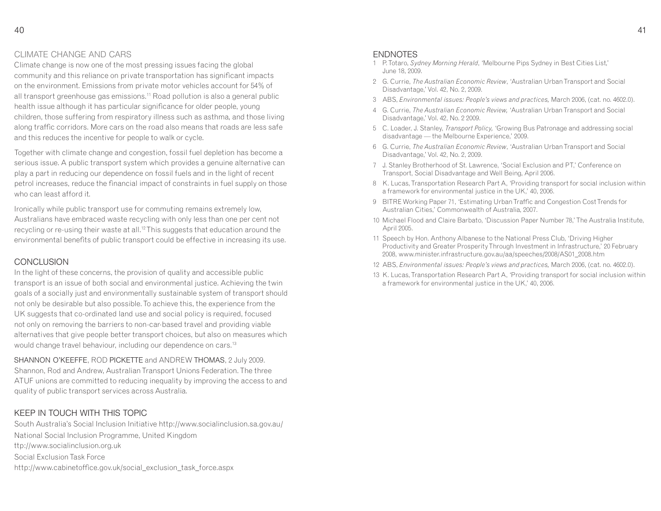#### CLIMATE CHANGE AND CARS

 Climate change is now one of the most pressing issues facing the global community and this reliance on private transportation has significant impacts on the environment. Emissions from private motor vehicles account for 54% of all transport greenhouse gas emissions.11 Road pollution is also a general public health issue although it has particular significance for older people, young children, those suffering from respiratory illness such as asthma, and those living along traffic corridors. More cars on the road also means that roads are less safe and this reduces the incentive for people to walk or cycle.

Together with climate change and congestion, fossil fuel depletion has become a serious issue. A public transport system which provides a genuine alternative can play a part in reducing our dependence on fossil fuels and in the light of recent petrol increases, reduce the financial impact of constraints in fuel supply on those who can least afford it.

Ironically while public transport use for commuting remains extremely low, Australians have embraced waste recycling with only less than one per cent not recycling or re-using their waste at all.<sup>12</sup> This suggests that education around the environmental benefits of public transport could be effective in increasing its use.

#### CONCLUSION

 In the light of these concerns, the provision of quality and accessible public transport is an issue of both social and environmental justice. Achieving the twin goals of a socially just and environmentally sustainable system of transport should not only be desirable but also possible. To achieve this, the experience from the UK suggests that co-ordinated land use and social policy is required, focused not only on removing the barriers to non-car-based travel and providing viable alternatives that give people better transport choices, but also on measures which would change travel behaviour, including our dependence on cars.<sup>13</sup>

SHANNON O'KEEFFE, ROD PICKETTE and ANDREW THOMAS, 2 July 2009. Shannon, Rod and Andrew, Australian Transport Unions Federation. The three ATUF unions are committed to reducing inequality by improving the access to and quality of public transport services across Australia.

#### KEEP IN TOUCH WITH THIS TOPIC

 South Australia's Social Inclusion Initiative http://www.socialinclusion.sa.gov.au/National Social Inclusion Programme, United Kingdom ttp://www.socialinclusion.org.ukSocial Exclusion Task Force http://www.cabinetoffice.gov.uk/social\_exclusion\_task\_force.aspx

#### ENDNOTES

- 1 P. Totaro, *Sydney Morning Herald*, 'Melbourne Pips Sydney in Best Cities List,' June 18, 2009.
- 2 G. Currie, *The Australian Economic Review*, 'Australian Urban Transport and Social Disadvantage,' Vol. 42, No. 2, 2009.
- 3 ABS, *Environmental issues: People's views and practices,* March 2006, (cat. no. 4602.0).
- 4 G. Currie, *The Australian Economic Review,* 'Australian Urban Transport and Social Disadvantage,' Vol. 42, No. 2 2009.
- 5 C. Loader, J. Stanley, *Transport Policy,* 'Growing Bus Patronage and addressing social disadvantage — the Melbourne Experience,' 2009.
- 6 G. Currie, *The Australian Economic Review*, 'Australian Urban Transport and Social Disadvantage,' Vol. 42, No. 2, 2009.
- 7 J. Stanley Brotherhood of St. Lawrence, 'Social Exclusion and PT,' Conference on Transport, Social Disadvantage and Well Being, April 2006.
- 8 K. Lucas, Transportation Research Part A, 'Providing transport for social inclusion within a framework for environmental justice in the UK,' 40, 2006.
- 9 BITRE Working Paper 71, 'Estimating Urban Traffic and Congestion Cost Trends for Australian Cities,' Commonwealth of Australia, 2007.
- 10 Michael Flood and Claire Barbato, 'Discussion Paper Number 78,' The Australia Institute, April 2005.
- 11 Speech by Hon. Anthony Albanese to the National Press Club, 'Driving Higher Productivity and Greater Prosperity Through Investment in Infrastructure,' 20 February 2008, www.minister.infrastructure.gov.au/aa/speeches/2008/AS01\_2008.htm
- 12 ABS, *Environmental issues: People's views and practices,* March 2006, (cat. no. 4602.0).
- 13 K. Lucas, Transportation Research Part A, 'Providing transport for social inclusion within a framework for environmental justice in the UK,' 40, 2006.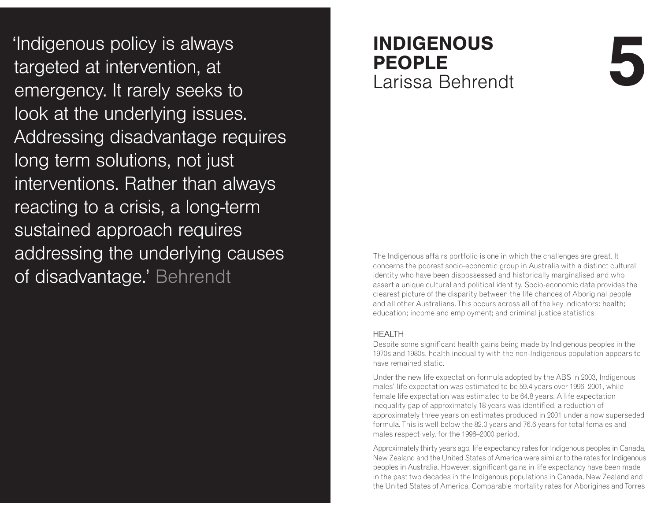'Indigenous policy is always targeted at intervention, at emergency. It rarely seeks to look at the underlying issues. Addressing disadvantage requires long term solutions, not just interventions. Rather than always reacting to a crisis, a long-term sustained approach requires addressing the underlying causes of disadvantage.' Behrendt

### **INDIGENOUS PEOPLE** Larissa Behrendt **+**

The Indigenous affairs portfolio is one in which the challenges are great. It concerns the poorest socio-economic group in Australia with a distinct cultural identity who have been dispossessed and historically marginalised and who assert a unique cultural and political identity. Socio-economic data provides the clearest picture of the disparity between the life chances of Aboriginal people and all other Australians. This occurs across all of the key indicators: health; education; income and employment; and criminal justice statistics.

#### HFAITH

 Despite some significant health gains being made by Indigenous peoples in the 1970s and 1980s, health inequality with the non-Indigenous population appears to have remained static.

Under the new life expectation formula adopted by the ABS in 2003, Indigenous males' life expectation was estimated to be 59.4 years over 1996–2001, while female life expectation was estimated to be 64.8 years. A life expectation inequality gap of approximately 18 years was identified, a reduction of approximately three years on estimates produced in 2001 under a now superseded formula. This is well below the 82.0 years and 76.6 years for total females and males respectively, for the 1998–2000 period.

Approximately thirty years ago, life expectancy rates for Indigenous peoples in Canada, New Zealand and the United States of America were similar to the rates for Indigenous peoples in Australia. However, significant gains in life expectancy have been made in the past two decades in the Indigenous populations in Canada, New Zealand and the United States of America. Comparable mortality rates for Aborigines and Torres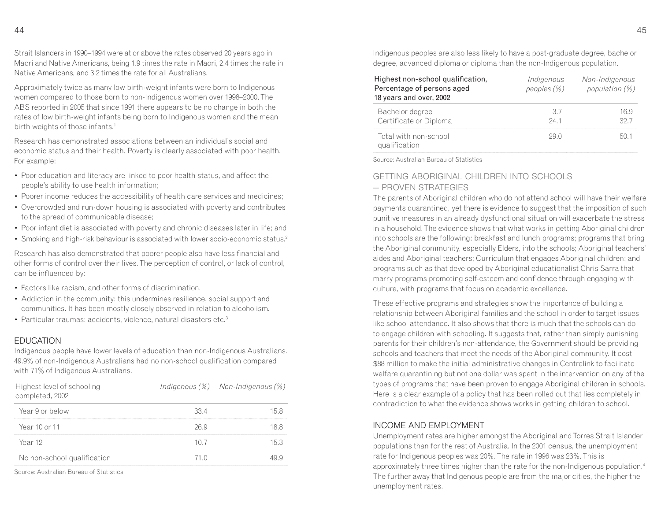Strait Islanders in 1990–1994 were at or above the rates observed 20 years ago in Maori and Native Americans, being 1.9 times the rate in Maori, 2.4 times the rate in Native Americans, and 3.2 times the rate for all Australians.

Approximately twice as many low birth-weight infants were born to Indigenous women compared to those born to non-Indigenous women over 1998–2000. The ABS reported in 2005 that since 1991 there appears to be no change in both the rates of low birth-weight infants being born to Indigenous women and the mean birth weights of those infants.<sup>1</sup>

Research has demonstrated associations between an individual's social and economic status and their health. Poverty is clearly associated with poor health. For example:

- Poor education and literacy are linked to poor health status, and affect the people's ability to use health information;
- Poorer income reduces the accessibility of health care services and medicines;
- Overcrowded and run-down housing is associated with poverty and contributes to the spread of communicable disease;
- Poor infant diet is associated with poverty and chronic diseases later in life; and
- Smoking and high-risk behaviour is associated with lower socio-economic status.<sup>2</sup>

Research has also demonstrated that poorer people also have less financial and other forms of control over their lives. The perception of control, or lack of control, can be influenced by:

- Factors like racism, and other forms of discrimination.
- Addiction in the community: this undermines resilience, social support and communities. It has been mostly closely observed in relation to alcoholism.
- Particular traumas: accidents, violence, natural disasters etc.<sup>3</sup>

#### EDUCATION

 Indigenous people have lower levels of education than non-Indigenous Australians. 49.9% of non-Indigenous Australians had no non-school qualification compared with 71% of Indigenous Australians.

| Highest level of schooling<br>completed, 2002 |      | Indigenous $(\%)$ Non-Indigenous $(\%)$ |
|-----------------------------------------------|------|-----------------------------------------|
| Year 9 or below                               | 33.4 |                                         |
| Year 10 or 11                                 | 26 Q |                                         |
| Year 12                                       | 107  |                                         |
| No non-school qualification                   | 71 N |                                         |

Source: Australian Bureau of Statistics

Indigenous peoples are also less likely to have a post-graduate degree, bachelor degree, advanced diploma or diploma than the non-Indigenous population.

| Highest non-school qualification,<br>Percentage of persons aged<br>18 years and over, 2002 | Indigenous<br>peoples $(\%)$ | Non-Indigenous<br>population $(\%)$ |
|--------------------------------------------------------------------------------------------|------------------------------|-------------------------------------|
| Bachelor degree<br>Certificate or Diploma                                                  | 37<br>-24-1                  | 16 Q<br>32.7                        |
| Total with non-school<br>qualification                                                     | 29 N                         |                                     |

Source: Australian Bureau of Statistics

#### GETTING ABORIGINAL CHILDREN INTO SCHOOLS  $-$  PROVEN STRATEGIES

 The parents of Aboriginal children who do not attend school will have their welfare payments quarantined, yet there is evidence to suggest that the imposition of such punitive measures in an already dysfunctional situation will exacerbate the stress in a household. The evidence shows that what works in getting Aboriginal children into schools are the following: breakfast and lunch programs; programs that bring the Aboriginal community, especially Elders, into the schools; Aboriginal teachers' aides and Aboriginal teachers; Curriculum that engages Aboriginal children; and programs such as that developed by Aboriginal educationalist Chris Sarra that marry programs promoting self-esteem and confidence through engaging with culture, with programs that focus on academic excellence.

These effective programs and strategies show the importance of building a relationship between Aboriginal families and the school in order to target issues like school attendance. It also shows that there is much that the schools can do to engage children with schooling. It suggests that, rather than simply punishing parents for their children's non-attendance, the Government should be providing schools and teachers that meet the needs of the Aboriginal community. It cost \$88 million to make the initial administrative changes in Centrelink to facilitate welfare quarantining but not one dollar was spent in the intervention on any of the types of programs that have been proven to engage Aboriginal children in schools. Here is a clear example of a policy that has been rolled out that lies completely in contradiction to what the evidence shows works in getting children to school.

#### INCOME AND EMPI OYMENT

 Unemployment rates are higher amongst the Aboriginal and Torres Strait Islander populations than for the rest of Australia. In the 2001 census, the unemployment rate for Indigenous peoples was 20%. The rate in 1996 was 23%. This is approximately three times higher than the rate for the non-Indigenous population.<sup>4</sup> The further away that Indigenous people are from the major cities, the higher the unemployment rates.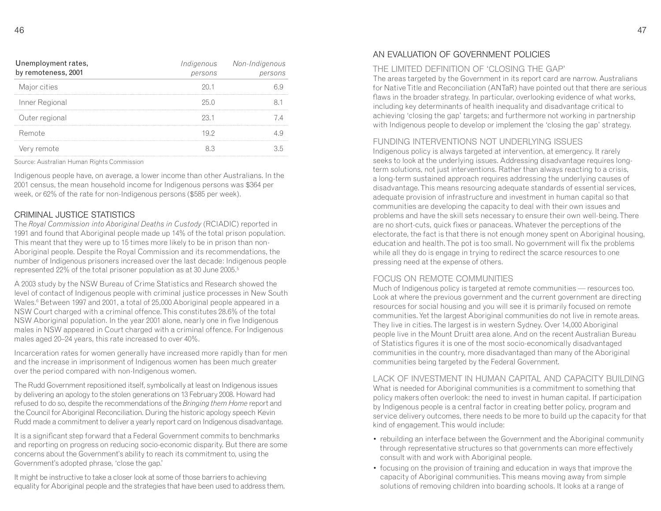| Unemployment rates,<br>by remoteness, 2001 | persons | Indigenous Non-Indigenous<br>persons |
|--------------------------------------------|---------|--------------------------------------|
| Major cities                               | 201     |                                      |
| Inner Regional                             | 25 O    |                                      |
| Outer regional                             | 23.1    |                                      |
| Remote                                     | 19.2    |                                      |
| Very remote                                |         |                                      |

Source: Australian Human Rights Commission

Indigenous people have, on average, a lower income than other Australians. In the 2001 census, the mean household income for Indigenous persons was \$364 per week, or 62% of the rate for non-Indigenous persons (\$585 per week).

#### CRIMINAL JUSTICE STATISTICS

 The *Royal Commission into Aboriginal Deaths in Custody* (RCIADIC) reported in 1991 and found that Aboriginal people made up 14% of the total prison population. This meant that they were up to 15 times more likely to be in prison than non-Aboriginal people. Despite the Royal Commission and its recommendations, the number of Indigenous prisoners increased over the last decade: Indigenous people represented 22% of the total prisoner population as at 30 June 2005. $^{\rm 5}$ 

A 2003 study by the NSW Bureau of Crime Statistics and Research showed the level of contact of Indigenous people with criminal justice processes in New South Wales.<sup>6</sup> Between 1997 and 2001, a total of 25,000 Aboriginal people appeared in a NSW Court charged with a criminal offence. This constitutes 28.6% of the total NSW Aboriginal population. In the year 2001 alone, nearly one in five Indigenous males in NSW appeared in Court charged with a criminal offence. For Indigenous males aged 20–24 years, this rate increased to over 40%.

Incarceration rates for women generally have increased more rapidly than for men and the increase in imprisonment of Indigenous women has been much greater over the period compared with non-Indigenous women.

The Rudd Government repositioned itself, symbolically at least on Indigenous issues by delivering an apology to the stolen generations on 13 February 2008. Howard had refused to do so, despite the recommendations of the *Bringing them Home* report and the Council for Aboriginal Reconciliation. During the historic apology speech Kevin Rudd made a commitment to deliver a yearly report card on Indigenous disadvantage.

It is a significant step forward that a Federal Government commits to benchmarks and reporting on progress on reducing socio-economic disparity. But there are some concerns about the Government's ability to reach its commitment to, using the Government's adopted phrase, 'close the gap.'

It might be instructive to take a closer look at some of those barriers to achieving equality for Aboriginal people and the strategies that have been used to address them.

#### AN EVALUATION OF GOVERNMENT POLICIES

#### THE LIMITED DEFINITION OF 'CLOSING THE GAP'

 The areas targeted by the Government in its report card are narrow. Australians for Native Title and Reconciliation (ANTaR) have pointed out that there are serious flaws in the broader strategy. In particular, overlooking evidence of what works, including key determinants of health inequality and disadvantage critical to achieving 'closing the gap' targets; and furthermore not working in partnership with Indigenous people to develop or implement the 'closing the gap' strategy.

#### FUNDING INTERVENTIONS NOT UNDERLYING ISSUES

 Indigenous policy is always targeted at intervention, at emergency. It rarely seeks to look at the underlying issues. Addressing disadvantage requires longterm solutions, not just interventions. Rather than always reacting to a crisis, a long-term sustained approach requires addressing the underlying causes of disadvantage. This means resourcing adequate standards of essential services, adequate provision of infrastructure and investment in human capital so that communities are developing the capacity to deal with their own issues and problems and have the skill sets necessary to ensure their own well-being. There are no short-cuts, quick fixes or panaceas. Whatever the perceptions of the electorate, the fact is that there is not enough money spent on Aboriginal housing, education and health. The pot is too small. No government will fix the problems while all they do is engage in trying to redirect the scarce resources to one pressing need at the expense of others.

#### FOCUS ON REMOTE COMMUNITIES

 Much of Indigenous policy is targeted at remote communities — resources too. Look at where the previous government and the current government are directing resources for social housing and you will see it is primarily focused on remote communities. Yet the largest Aboriginal communities do not live in remote areas. They live in cities. The largest is in western Sydney. Over 14,000 Aboriginal people live in the Mount Druitt area alone. And on the recent Australian Bureau of Statistics figures it is one of the most socio-economically disadvantaged communities in the country, more disadvantaged than many of the Aboriginal communities being targeted by the Federal Government.

I ACK OF INVESTMENT IN HUMAN CAPITAL AND CAPACITY BUILDING.

What is needed for Aboriginal communities is a commitment to something that policy makers often overlook: the need to invest in human capital. If participation by Indigenous people is a central factor in creating better policy, program and service delivery outcomes, there needs to be more to build up the capacity for that kind of engagement. This would include:

- rebuilding an interface between the Government and the Aboriginal community through representative structures so that governments can more effectively consult with and work with Aboriginal people.
- focusing on the provision of training and education in ways that improve the capacity of Aboriginal communities. This means moving away from simple solutions of removing children into boarding schools. It looks at a range of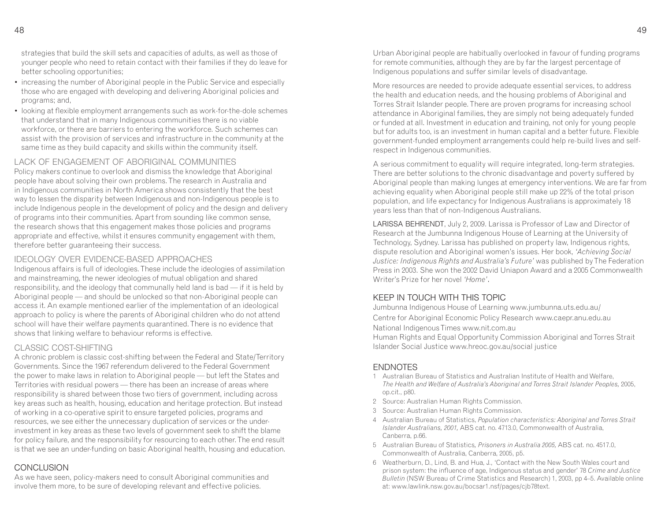strategies that build the skill sets and capacities of adults, as well as those of younger people who need to retain contact with their families if they do leave for better schooling opportunities;

- increasing the number of Aboriginal people in the Public Service and especially those who are engaged with developing and delivering Aboriginal policies and programs; and,
- looking at flexible employment arrangements such as work-for-the-dole schemes that understand that in many Indigenous communities there is no viable workforce, or there are barriers to entering the workforce. Such schemes can assist with the provision of services and infrastructure in the community at the same time as they build capacity and skills within the community itself.

#### LACK OF ENGAGEMENT OF ABORIGINAL COMMUNITIES

 Policy makers continue to overlook and dismiss the knowledge that Aboriginal people have about solving their own problems. The research in Australia and in Indigenous communities in North America shows consistently that the best way to lessen the disparity between Indigenous and non-Indigenous people is to include Indigenous people in the development of policy and the design and delivery of programs into their communities. Apart from sounding like common sense, the research shows that this engagement makes those policies and programs appropriate and effective, whilst it ensures community engagement with them, therefore better guaranteeing their success.

#### IDEOI OGY OVER EVIDENCE-BASED APPROACHES

 Indigenous affairs is full of ideologies. These include the ideologies of assimilation and mainstreaming, the newer ideologies of mutual obligation and shared responsibility, and the ideology that communally held land is bad — if it is held by Aboriginal people — and should be unlocked so that non-Aboriginal people can access it. An example mentioned earlier of the implementation of an ideological approach to policy is where the parents of Aboriginal children who do not attend school will have their welfare payments quarantined. There is no evidence that shows that linking welfare to behaviour reforms is effective.

#### CLASSIC COST-SHIFTING

 A chronic problem is classic cost-shifting between the Federal and State/Territory Governments. Since the 1967 referendum delivered to the Federal Government the power to make laws in relation to Aboriginal people — but left the States and Territories with residual powers — there has been an increase of areas where responsibility is shared between those two tiers of government, including across key areas such as health, housing, education and heritage protection. But instead of working in a co-operative spirit to ensure targeted policies, programs and resources, we see either the unnecessary duplication of services or the underinvestment in key areas as these two levels of government seek to shift the blame for policy failure, and the responsibility for resourcing to each other. The end result is that we see an under-funding on basic Aboriginal health, housing and education.

#### CONCLUSION

 As we have seen, policy-makers need to consult Aboriginal communities and involve them more, to be sure of developing relevant and effective policies.

Urban Aboriginal people are habitually overlooked in favour of funding programs for remote communities, although they are by far the largest percentage of Indigenous populations and suffer similar levels of disadvantage.

More resources are needed to provide adequate essential services, to address the health and education needs, and the housing problems of Aboriginal and Torres Strait Islander people. There are proven programs for increasing school attendance in Aboriginal families, they are simply not being adequately funded or funded at all. Investment in education and training, not only for young people but for adults too, is an investment in human capital and a better future. Flexible government-funded employment arrangements could help re-build lives and selfrespect in Indigenous communities.

A serious commitment to equality will require integrated, long-term strategies. There are better solutions to the chronic disadvantage and poverty suffered by Aboriginal people than making lunges at emergency interventions. We are far from achieving equality when Aboriginal people still make up 22% of the total prison population, and life expectancy for Indigenous Australians is approximately 18 years less than that of non-Indigenous Australians.

LARISSA BEHRENDT, July 2, 2009. Larissa is Professor of Law and Director of Research at the Jumbunna Indigenous House of Learning at the University of Technology, Sydney. Larissa has published on property law, Indigenous rights, dispute resolution and Aboriginal women's issues. Her book, *'Achieving Social Justice: Indigenous Rights and Australia's Future'* was published by The Federation Press in 2003. She won the 2002 David Uniapon Award and a 2005 Commonwealth Writer's Prize for her novel *'Home'*.

#### KEEP IN TOUCH WITH THIS TOPIC

Jumbunna Indigenous House of Learning www.jumbunna.uts.edu.au/

Centre for Aboriginal Economic Policy Research www.caepr.anu.edu.au

National Indigenous Times www.nit.com.au

 Human Rights and Equal Opportunity Commission Aboriginal and Torres Strait Islander Social Justice www.hreoc.gov.au/social justice

#### **FNDNOTES**

- 1 Australian Bureau of Statistics and Australian Institute of Health and Welfare, *The Health and Welfare of Australia's Aboriginal and Torres Strait Islander Peoples,* 2005, op.cit., p80.
- 2 Source: Australian Human Rights Commission.
- 3 Source: Australian Human Rights Commission.
- 4 Australian Bureau of Statistics, *Population characteristics: Aboriginal and Torres Strait Islander Australians, 2001,* ABS cat. no. 4713.0, Commonwealth of Australia, Canberra, p.66.
- 5 Australian Bureau of Statistics*, Prisoners in Australia 2005,* ABS cat. no. 4517.0, Commonwealth of Australia, Canberra, 2005, p5.
- 6 Weatherburn, D., Lind, B. and Hua, J., 'Contact with the New South Wales court and prison system: the influence of age, Indigenous status and gender' 78 *Crime and Justice Bulletin* (NSW Bureau of Crime Statistics and Research) 1, 2003, pp 4–5. Available online at: www.lawlink.nsw.gov.au/bocsar1.nsf/pages/cjb78text.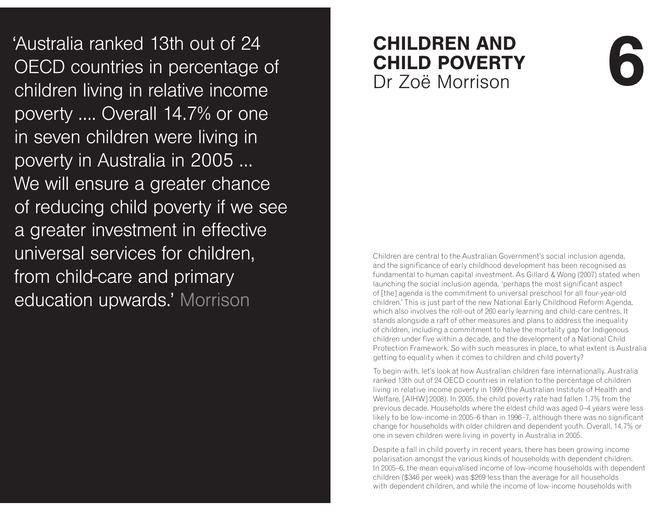Australia ranked 13th out of 24<br>
OECD countries in percentage of **CHILD POVERTY**<br>
children living in relative income<br>
poverty .... Overall 14.7% or one poverty .... Overall 14.7% or one in seven children were living in poverty in Australia in 2005 ... We will ensure a greater chance of reducing child poverty if we see a greater investment in effective universal services for children, from child-care and primary education upwards.' Morrison

## **CHILDREN AND CHILD POVERTY** Dr Zoë Morrison **/**<br>//<br>n<br>(1)

Children are central to the Australian Government's social inclusion agenda, and the significance of early childhood development has been recognised as fundamental to human capital investment. As Gillard & Wong (2007) stated when launching the social inclusion agenda, 'perhaps the most significant aspect of [the] agenda is the commitment to universal preschool for all four-year-old children.' This is just part of the new National Early Childhood Reform Agenda, which also involves the roll-out of 260 early learning and child-care centres. It stands alongside a raft of other measures and plans to address the inequality of children, including a commitment to halve the mortality gap for Indigenous children under five within a decade, and the development of a National Child Protection Framework. So with such measures in place, to what extent is Australia getting to equality when it comes to children and child poverty?

To begin with, let's look at how Australian children fare internationally. Australia ranked 13th out of 24 OECD countries in relation to the percentage of children living in relative income poverty in 1999 (the Australian Institute of Health and Welfare, [AIHW] 2008). In 2005, the child poverty rate had fallen 1.7% from the previous decade. Households where the eldest child was aged 0–4 years were less likely to be low-income in 2005–6 than in 1996–7, although there was no significant change for households with older children and dependent youth. Overall, 14.7% or one in seven children were living in poverty in Australia in 2005.

Despite a fall in child poverty in recent years, there has been growing income polarisation amongst the various kinds of households with dependent children. In 2005–6, the mean equivalised income of low-income households with dependent children (\$346 per week) was \$269 less than the average for all households with dependent children, and while the income of low-income households with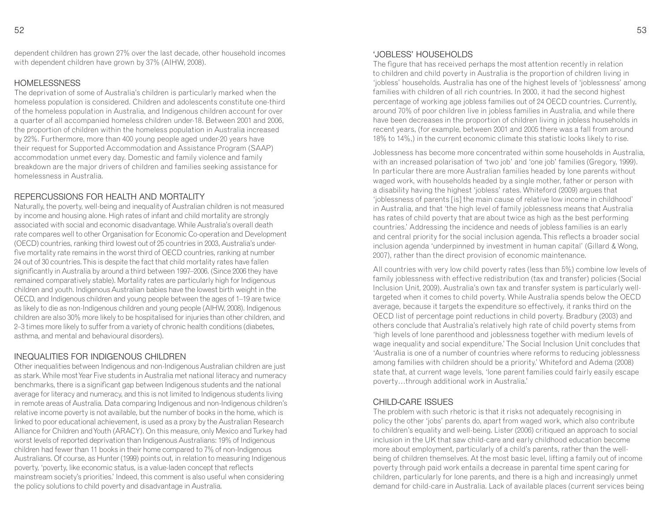dependent children has grown 27% over the last decade, other household incomes with dependent children have grown by 37% (AIHW, 2008).

#### HOMEL ESSNESS

 The deprivation of some of Australia's children is particularly marked when the homeless population is considered. Children and adolescents constitute one-third of the homeless population in Australia, and Indigenous children account for over a quarter of all accompanied homeless children under-18. Between 2001 and 2006, the proportion of children within the homeless population in Australia increased by 22%. Furthermore, more than 400 young people aged under-20 years have their request for Supported Accommodation and Assistance Program (SAAP) accommodation unmet every day. Domestic and family violence and family breakdown are the major drivers of children and families seeking assistance for homelessness in Australia.

#### REPERCUSSIONS FOR HEALTH AND MORTALITY

 Naturally, the poverty, well-being and inequality of Australian children is not measured by income and housing alone. High rates of infant and child mortality are strongly associated with social and economic disadvantage. While Australia's overall death rate compares well to other Organisation for Economic Co-operation and Development (OECD) countries, ranking third lowest out of 25 countries in 2003, Australia's underfive mortality rate remains in the worst third of OECD countries, ranking at number 24 out of 30 countries. This is despite the fact that child mortality rates have fallen significantly in Australia by around a third between 1997–2006. (Since 2006 they have remained comparatively stable). Mortality rates are particularly high for Indigenous children and youth. Indigenous Australian babies have the lowest birth weight in the OECD, and Indigenous children and young people between the ages of 1–19 are twice as likely to die as non-Indigenous children and young people (AIHW, 2008). Indigenous children are also 30% more likely to be hospitalised for injuries than other children, and 2–3 times more likely to suffer from a variety of chronic health conditions (diabetes, asthma, and mental and behavioural disorders).

#### INEQUALITIES FOR INDIGENOUS CHILDREN

 Other inequalities between Indigenous and non-Indigenous Australian children are just as stark. While most Year Five students in Australia met national literacy and numeracy benchmarks, there is a significant gap between Indigenous students and the national average for literacy and numeracy, and this is not limited to Indigenous students living in remote areas of Australia. Data comparing Indigenous and non-Indigenous children's relative income poverty is not available, but the number of books in the home, which is linked to poor educational achievement, is used as a proxy by the Australian Research Alliance for Children and Youth (ARACY). On this measure, only Mexico and Turkey had worst levels of reported deprivation than Indigenous Australians: 19% of Indigenous children had fewer than 11 books in their home compared to 7% of non-Indigenous Australians. Of course, as Hunter (1999) points out, in relation to measuring Indigenous poverty, 'poverty, like economic status, is a value-laden concept that reflects mainstream society's priorities.' Indeed, this comment is also useful when considering the policy solutions to child poverty and disadvantage in Australia.

 The figure that has received perhaps the most attention recently in relation to children and child poverty in Australia is the proportion of children living in 'jobless' households. Australia has one of the highest levels of 'joblessness' among families with children of all rich countries. In 2000, it had the second highest percentage of working age jobless families out of 24 OECD countries. Currently, around 70% of poor children live in jobless families in Australia, and while there have been decreases in the proportion of children living in jobless households in recent years, (for example, between 2001 and 2005 there was a fall from around 18% to 14%,) in the current economic climate this statistic looks likely to rise.

Joblessness has become more concentrated within some households in Australia, with an increased polarisation of 'two job' and 'one job' families (Gregory, 1999). In particular there are more Australian families headed by lone parents without waged work, with households headed by a single mother, father or person with a disability having the highest 'jobless' rates. Whiteford (2009) argues that 'joblessness of parents [is] the main cause of relative low income in childhood' in Australia, and that 'the high level of family joblessness means that Australia has rates of child poverty that are about twice as high as the best performing countries.' Addressing the incidence and needs of jobless families is an early and central priority for the social inclusion agenda. This reflects a broader social inclusion agenda 'underpinned by investment in human capital' (Gillard & Wong, 2007), rather than the direct provision of economic maintenance.

All countries with very low child poverty rates (less than 5%) combine low levels of family joblessness with effective redistribution (tax and transfer) policies (Social Inclusion Unit, 2009). Australia's own tax and transfer system is particularly welltargeted when it comes to child poverty. While Australia spends below the OECD average, because it targets the expenditure so effectively, it ranks third on the OECD list of percentage point reductions in child poverty. Bradbury (2003) and others conclude that Australia's relatively high rate of child poverty stems from 'high levels of lone parenthood and joblessness together with medium levels of wage inequality and social expenditure.' The Social Inclusion Unit concludes that 'Australia is one of a number of countries where reforms to reducing joblessness among families with children should be a priority.' Whiteford and Adema (2008) state that, at current wage levels, 'lone parent families could fairly easily escape poverty…through additional work in Australia.'

#### CHILD-CARE ISSUES

 The problem with such rhetoric is that it risks not adequately recognising in policy the other 'jobs' parents do, apart from waged work, which also contribute to children's equality and well-being. Lister (2006) critiqued an approach to social inclusion in the UK that saw child-care and early childhood education become more about employment, particularly of a child's parents, rather than the wellbeing of children themselves. At the most basic level, lifting a family out of income poverty through paid work entails a decrease in parental time spent caring for children, particularly for lone parents, and there is a high and increasingly unmet demand for child-care in Australia. Lack of available places (current services being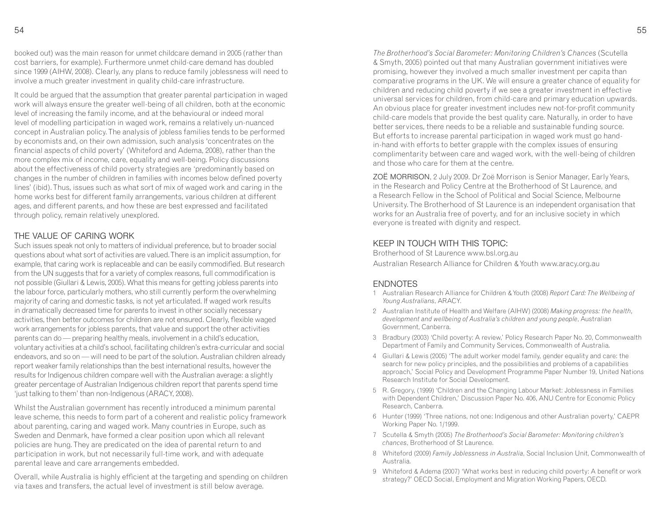booked out) was the main reason for unmet childcare demand in 2005 (rather than cost barriers, for example). Furthermore unmet child-care demand has doubled since 1999 (AIHW, 2008). Clearly, any plans to reduce family joblessness will need to involve a much greater investment in quality child-care infrastructure.

It could be argued that the assumption that greater parental participation in waged work will always ensure the greater well-being of all children, both at the economic level of increasing the family income, and at the behavioural or indeed moral level of modelling participation in waged work, remains a relatively un-nuanced concept in Australian policy. The analysis of jobless families tends to be performed by economists and, on their own admission, such analysis 'concentrates on the financial aspects of child poverty' (Whiteford and Adema, 2008), rather than the more complex mix of income, care, equality and well-being. Policy discussions about the effectiveness of child poverty strategies are 'predominantly based on changes in the number of children in families with incomes below defined poverty lines' (ibid). Thus, issues such as what sort of mix of waged work and caring in the home works best for different family arrangements, various children at different ages, and different parents, and how these are best expressed and facilitated through policy, remain relatively unexplored.

#### THE VALUE OF CARING WORK

 Such issues speak not only to matters of individual preference, but to broader social questions about what sort of activities are valued. There is an implicit assumption, for example, that caring work is replaceable and can be easily commodified. But research from the UN suggests that for a variety of complex reasons, full commodification is not possible (Giullari & Lewis, 2005). What this means for getting jobless parents into the labour force, particularly mothers, who still currently perform the overwhelming majority of caring and domestic tasks, is not yet articulated. If waged work results in dramatically decreased time for parents to invest in other socially necessary activities, then better outcomes for children are not ensured. Clearly, flexible waged work arrangements for jobless parents, that value and support the other activities parents can do — preparing healthy meals, involvement in a child's education, voluntary activities at a child's school, facilitating children's extra-curricular and social endeavors, and so on — will need to be part of the solution. Australian children already report weaker family relationships than the best international results, however the results for Indigenous children compare well with the Australian average: a slightly greater percentage of Australian Indigenous children report that parents spend time 'just talking to them' than non-Indigenous (ARACY, 2008).

Whilst the Australian government has recently introduced a minimum parental leave scheme, this needs to form part of a coherent and realistic policy framework about parenting, caring and waged work. Many countries in Europe, such as Sweden and Denmark, have formed a clear position upon which all relevant policies are hung. They are predicated on the idea of parental return to and participation in work, but not necessarily full-time work, and with adequate parental leave and care arrangements embedded.

Overall, while Australia is highly efficient at the targeting and spending on children via taxes and transfers, the actual level of investment is still below average.

*The Brotherhood's Social Barometer: Monitoring Children's Chances* (Scutella & Smyth, 2005) pointed out that many Australian government initiatives were promising, however they involved a much smaller investment per capita than comparative programs in the UK. We will ensure a greater chance of equality for children and reducing child poverty if we see a greater investment in effective universal services for children, from child-care and primary education upwards. An obvious place for greater investment includes new not-for-profit community child-care models that provide the best quality care. Naturally, in order to have better services, there needs to be a reliable and sustainable funding source. But efforts to increase parental participation in waged work must go handin-hand with efforts to better grapple with the complex issues of ensuring complimentarity between care and waged work, with the well-being of children and those who care for them at the centre.

ZOË MORRISON, 2 July 2009. Dr Zoë Morrison is Senior Manager, Early Years, in the Research and Policy Centre at the Brotherhood of St Laurence, and a Research Fellow in the School of Political and Social Science, Melbourne University. The Brotherhood of St Laurence is an independent organisation that works for an Australia free of poverty, and for an inclusive society in which everyone is treated with dignity and respect.

#### KEEP IN TOUCH WITH THIS TOPIC:

 Brotherhood of St Laurence www.bsl.org.auAustralian Research Alliance for Children & Youth www.aracy.org.au

#### **FNDNOTFS**

- 1 Australian Research Alliance for Children & Youth (2008) *Report Card: The Wellbeing of Young Australians*, ARACY.
- 2 Australian Institute of Health and Welfare (AIHW) (2008) *Making progress: the health, development and wellbeing of Australia's children and young people*, Australian Government, Canberra.
- 3 Bradbury (2003) 'Child poverty: A review,' Policy Research Paper No. 20, Commonwealth Department of Family and Community Services, Commonwealth of Australia.
- 4 Giullari & Lewis (2005) 'The adult worker model family, gender equality and care: the search for new policy principles, and the possibilities and problems of a capabilities approach,' Social Policy and Development Programme Paper Number 19, United Nations Research Institute for Social Development.
- 5 R. Gregory, (1999) 'Children and the Changing Labour Market: Joblessness in Families with Dependent Children,' Discussion Paper No. 406, ANU Centre for Economic Policy Research, Canberra.
- 6 Hunter (1999) 'Three nations, not one: Indigenous and other Australian poverty,' CAEPR Working Paper No. 1/1999.
- 7 Scutella & Smyth (2005) *The Brotherhood's Social Barometer: Monitoring children's chances*, Brotherhood of St Laurence.
- 8 Whiteford (2009) *Family Joblessness in Australia*, Social Inclusion Unit, Commonwealth of Australia.
- 9 Whiteford & Adema (2007) 'What works best in reducing child poverty: A benefit or work strategy?' OECD Social, Employment and Migration Working Papers, OECD.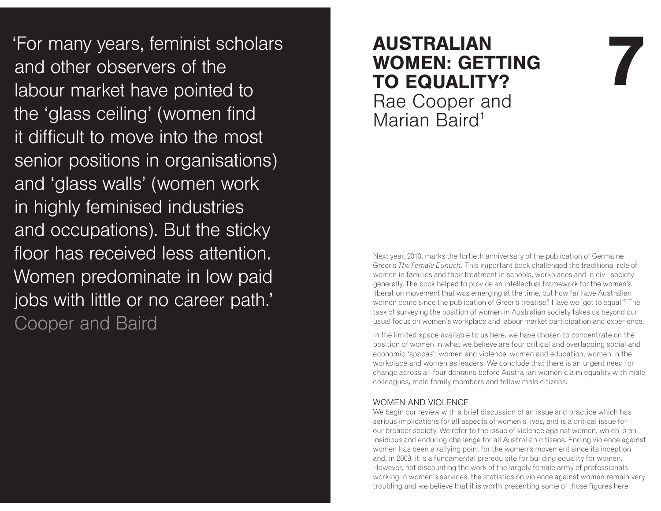'For many years, feminist scholars and other observers of the labour market have pointed to the 'glass ceiling' (women find it difficult to move into the most senior positions in organisations) and 'glass walls' (women work in highly feminised industries and occupations). But the sticky floor has received less attention. Women predominate in low paid jobs with little or no career path.' **Cooper and Baird** 

# **AUSTRALIAN<br>
WOMEN: GETTING<br>
TO EQUALITY?** Rae Cooper and

Marian Baird<sup>1</sup>

Next year, 2010, marks the fortieth anniversary of the publication of Germaine Greer's *The Female Eunuch.* This important book challenged the traditional role of women in families and their treatment in schools, workplaces and in civil society generally. The book helped to provide an intellectual framework for the women's liberation movement that was emerging at the time, but how far have Australian women come since the publication of Greer's treatise? Have we 'got to equal'? The task of surveying the position of women in Australian society takes us beyond our usual focus on women's workplace and labour market participation and experience.

In the limited space available to us here, we have chosen to concentrate on the position of women in what we believe are four critical and overlapping social and economic 'spaces': women and violence, women and education, women in the workplace and women as leaders. We conclude that there is an urgent need for change across all four domains before Australian women claim equality with male colleagues, male family members and fellow male citizens.

#### WOMEN AND VIOLENCE

 We begin our review with a brief discussion of an issue and practice which has serious implications for all aspects of women's lives, and is a critical issue for our broader society. We refer to the issue of violence against women, which is an insidious and enduring challenge for all Australian citizens. Ending violence against women has been a rallying point for the women's movement since its inception and, in 2009, it is a fundamental prerequisite for building equality for women. However, not discounting the work of the largely female army of professionals working in women's services, the statistics on violence against women remain very troubling and we believe that it is worth presenting some of those figures here.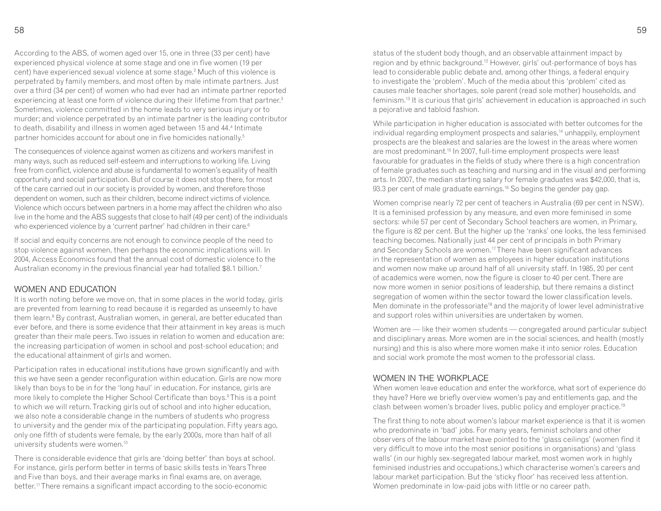According to the ABS, of women aged over 15, one in three (33 per cent) have experienced physical violence at some stage and one in five women (19 per cent) have experienced sexual violence at some stage.<sup>2</sup> Much of this violence is perpetrated by family members, and most often by male intimate partners. Just over a third (34 per cent) of women who had ever had an intimate partner reported experiencing at least one form of violence during their lifetime from that partner.<sup>3</sup> Sometimes, violence committed in the home leads to very serious injury or to murder; and violence perpetrated by an intimate partner is the leading contributor to death, disability and illness in women aged between 15 and 44.4 Intimate partner homicides account for about one in five homicides nationally.<sup>5</sup>

The consequences of violence against women as citizens and workers manifest in many ways, such as reduced self-esteem and interruptions to working life. Living free from conflict, violence and abuse is fundamental to women's equality of health opportunity and social participation. But of course it does not stop there, for most of the care carried out in our society is provided by women, and therefore those dependent on women, such as their children, become indirect victims of violence. Violence which occurs between partners in a home may affect the children who also live in the home and the ABS suggests that close to half (49 per cent) of the individuals who experienced violence by a 'current partner' had children in their care.<sup>6</sup>

If social and equity concerns are not enough to convince people of the need to stop violence against women, then perhaps the economic implications will. In 2004, Access Economics found that the annual cost of domestic violence to the Australian economy in the previous financial year had totalled \$8.1 billion.<sup>7</sup>

#### WOMEN AND EDUCATION

 It is worth noting before we move on, that in some places in the world today, girls are prevented from learning to read because it is regarded as unseemly to have them learn.<sup>8</sup> By contrast, Australian women, in general, are better educated than ever before, and there is some evidence that their attainment in key areas is much greater than their male peers. Two issues in relation to women and education are: the increasing participation of women in school and post-school education; and the educational attainment of girls and women.

Participation rates in educational institutions have grown significantly and with this we have seen a gender reconfiguration within education. Girls are now more likely than boys to be in for the 'long haul' in education. For instance, girls are more likely to complete the Higher School Certificate than boys.<sup>9</sup> This is a point to which we will return. Tracking girls out of school and into higher education, we also note a considerable change in the numbers of students who progress to university and the gender mix of the participating population. Fifty years ago, only one fifth of students were female, by the early 2000s, more than half of all university students were women.<sup>10</sup>

There is considerable evidence that girls are 'doing better' than boys at school. For instance, girls perform better in terms of basic skills tests in Years Three and Five than boys, and their average marks in final exams are, on average, better.11 There remains a significant impact according to the socio-economic

status of the student body though, and an observable attainment impact by region and by ethnic background.<sup>12</sup> However, girls' out-performance of boys has lead to considerable public debate and, among other things, a federal enquiry to investigate the 'problem'. Much of the media about this 'problem' cited as causes male teacher shortages, sole parent (read sole mother) households, and feminism.<sup>13</sup> It is curious that girls' achievement in education is approached in such a pejorative and tabloid fashion.

While participation in higher education is associated with better outcomes for the individual regarding employment prospects and salaries,<sup>14</sup> unhappily, employment prospects are the bleakest and salaries are the lowest in the areas where women are most predominant.15 In 2007, full-time employment prospects were least favourable for graduates in the fields of study where there is a high concentration of female graduates such as teaching and nursing and in the visual and performing arts. In 2007, the median starting salary for female graduates was \$42,000, that is, 93.3 per cent of male graduate earnings.<sup>16</sup> So begins the gender pay gap.

Women comprise nearly 72 per cent of teachers in Australia (69 per cent in NSW). It is a feminised profession by any measure, and even more feminised in some sectors: while 57 per cent of Secondary School teachers are women, in Primary, the figure is 82 per cent. But the higher up the 'ranks' one looks, the less feminised teaching becomes. Nationally just 44 per cent of principals in both Primary and Secondary Schools are women.<sup>17</sup> There have been significant advances in the representation of women as employees in higher education institutions and women now make up around half of all university staff. In 1985, 20 per cent of academics were women, now the figure is closer to 40 per cent. There are now more women in senior positions of leadership, but there remains a distinct segregation of women within the sector toward the lower classification levels. Men dominate in the professoriate<sup>18</sup> and the majority of lower level administrative and support roles within universities are undertaken by women.

Women are — like their women students — congregated around particular subject and disciplinary areas. More women are in the social sciences, and health (mostly nursing) and this is also where more women make it into senior roles. Education and social work promote the most women to the professorial class.

#### WOMEN IN THE WORKPI ACF

 When women leave education and enter the workforce, what sort of experience do they have? Here we briefly overview women's pay and entitlements gap, and the clash between women's broader lives, public policy and employer practice.<sup>19</sup>

The first thing to note about women's labour market experience is that it is women who predominate in 'bad' jobs. For many years, feminist scholars and other observers of the labour market have pointed to the 'glass ceilings' (women find it very difficult to move into the most senior positions in organisations) and 'glass walls' (in our highly sex-segregated labour market, most women work in highly feminised industries and occupations,) which characterise women's careers and labour market participation. But the 'sticky floor' has received less attention. Women predominate in low-paid jobs with little or no career path.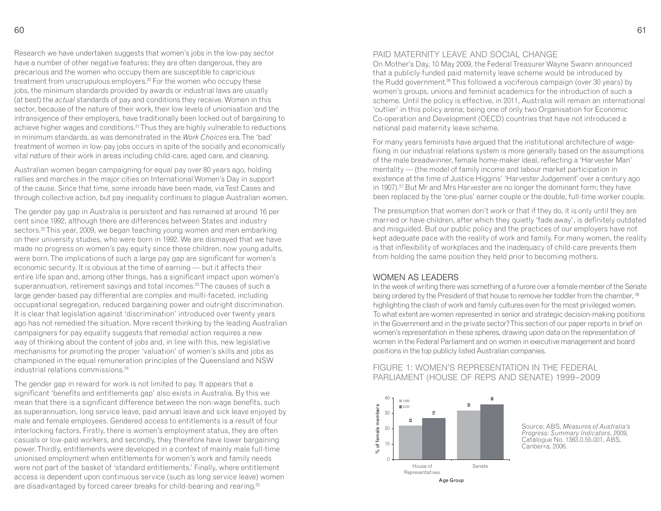Research we have undertaken suggests that women's jobs in the low-pay sector have a number of other negative features: they are often dangerous, they are precarious and the women who occupy them are susceptible to capricious treatment from unscrupulous employers.<sup>20</sup> For the women who occupy these jobs, the minimum standards provided by awards or industrial laws are usually (at best) the *actual* standards of pay and conditions they receive. Women in this sector, because of the nature of their work, their low levels of unionisation and the intransigence of their employers, have traditionally been locked out of bargaining to achieve higher wages and conditions.<sup>21</sup> Thus they are highly vulnerable to reductions in minimum standards, as was demonstrated in the *Work Choices* era. The 'bad' treatment of women in low-pay jobs occurs in spite of the socially and economically vital nature of their work in areas including child-care, aged care, and cleaning.

Australian women began campaigning for equal pay over 80 years ago, holding rallies and marches in the major cities on International Women's Day in support of the cause. Since that time, some inroads have been made, via Test Cases and through collective action, but pay inequality continues to plague Australian women.

The gender pay gap in Australia is persistent and has remained at around 16 per cent since 1992, although there are differences between States and industry sectors.<sup>22</sup> This year, 2009, we began teaching young women and men embarking on their university studies, who were born in 1992. We are dismayed that we have made no progress on women's pay equity since these children, now young adults, were born. The implications of such a large pay gap are significant for women's economic security. It is obvious at the time of earning — but it affects their entire life span and, among other things, has a significant impact upon women's superannuation, retirement savings and total incomes.<sup>23</sup> The causes of such a large gender-based pay differential are complex and multi-faceted, including occupational segregation, reduced bargaining power and outright discrimination. It is clear that legislation against 'discrimination' introduced over twenty years ago has not remedied the situation. More recent thinking by the leading Australian campaigners for pay equality suggests that remedial action requires a new way of thinking about the content of jobs and, in line with this, new legislative mechanisms for promoting the proper 'valuation' of women's skills and jobs as championed in the equal remuneration principles of the Queensland and NSW industrial relations commissions<sup>24</sup>

The gender gap in reward for work is not limited to pay. It appears that a significant 'benefits and entitlements gap' also exists in Australia. By this we mean that there is a significant difference between the non-wage benefits, such as superannuation, long service leave, paid annual leave and sick leave enjoyed by male and female employees. Gendered access to entitlements is a result of four interlocking factors. Firstly, there is women's employment status, they are often casuals or low-paid workers, and secondly, they therefore have lower bargaining power. Thirdly, entitlements were developed in a context of mainly male full-time unionised employment when entitlements for women's work and family needs were not part of the basket of 'standard entitlements.' Finally, where entitlement access is dependent upon continuous service (such as long service leave) women are disadvantaged by forced career breaks for child-bearing and rearing.25

#### PAID MATERNITY LEAVE AND SOCIAL CHANGE

 On Mother's Day, 10 May 2009, the Federal Treasurer Wayne Swann announced that a publicly-funded paid maternity leave scheme would be introduced by the Rudd government.<sup>26</sup> This followed a vociferous campaign (over 30 years) by women's groups, unions and feminist academics for the introduction of such a scheme. Until the policy is effective, in 2011, Australia will remain an international 'outlier' in this policy arena; being one of only two Organisation for Economic Co-operation and Development (OECD) countries that have not introduced a national paid maternity leave scheme.

For many years feminists have argued that the institutional architecture of wagefixing in our industrial relations system is more generally based on the assumptions of the male breadwinner, female home-maker ideal, reflecting a 'Harvester Man' mentality — (the model of family income and labour market participation in existence at the time of Justice Higgins' 'Harvester Judgement' over a century ago in 1907).27 But Mr and Mrs Harvester are no longer the dominant form; they have been replaced by the 'one-plus' earner couple or the double, full-time worker couple.

The presumption that women don't work or that if they do, it is only until they are married or have children, after which they quietly 'fade away', is definitely outdated and misguided. But our public policy and the practices of our employers have not kept adequate pace with the reality of work and family. For many women, the reality is that inflexibility of workplaces and the inadequacy of child-care prevents them from holding the same position they held prior to becoming mothers.

#### WOMEN AS LEADERS

 In the week of writing there was something of a furore over a female member of the Senate being ordered by the President of that house to remove her toddler from the chamber,  $^{28}$ highlighting the clash of work and family cultures even for the most privileged women. To what extent are women represented in senior and strategic decision-making positions in the Government and in the private sector? This section of our paper reports in brief on women's representation in these spheres, drawing upon data on the representation of women in the Federal Parliament and on women in executive management and board positions in the top publicly listed Australian companies.

#### FIGURE 1: WOMEN'S REPRESENTATION IN THE FEDERAL PARLIAMENT (HOUSE OF REPS AND SENATE) 1999–2009



Source: ABS, *Measures of Australia's Progress: Summary Indicators*, *2009,*Catalogue No. 1383.0.55.001, ABS, Canberra, 2006.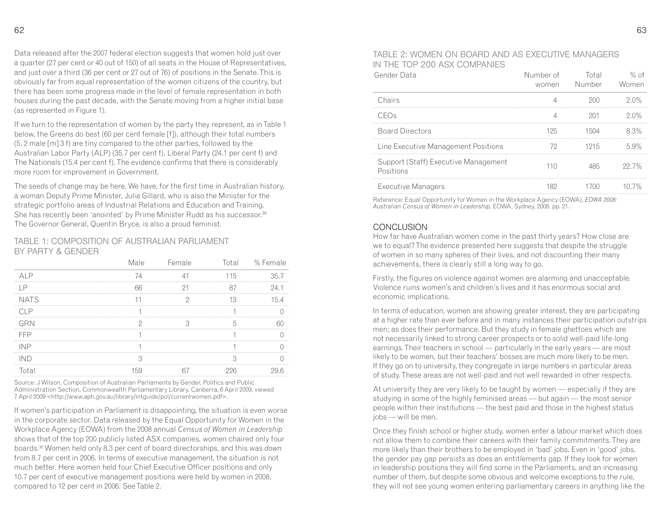Data released after the 2007 federal election suggests that women hold just over a quarter (27 per cent or 40 out of 150) of all seats in the House of Representatives, and just over a third (36 per cent or 27 out of 76) of positions in the Senate. This is obviously far from equal representation of the women citizens of the country, but there has been some progress made in the level of female representation in both houses during the past decade, with the Senate moving from a higher initial base (as represented in Figure 1).

If we turn to the representation of women by the party they represent, as in Table 1 below, the Greens do best (60 per cent female [f]), although their total numbers (5, 2 male [m] 3 f) are tiny compared to the other parties, followed by the Australian Labor Party (ALP) (35.7 per cent f), Liberal Party (24.1 per cent f) and The Nationals (15.4 per cent f). The evidence confirms that there is considerably more room for improvement in Government.

The seeds of change may be here. We have, for the first time in Australian history, a woman Deputy Prime Minister, Julia Gillard, who is also the Minister for the strategic portfolio areas of Industrial Relations and Education and Training. She has recently been 'anointed' by Prime Minister Rudd as his successor.<sup>29</sup> The Governor General, Quentin Bryce, is also a proud feminist.

#### TABLE 1: COMPOSITION OF AUSTRALIAN PARLIAMENT BY PARTY & GENDER

|             | lale | Female |     | Total % Female |
|-------------|------|--------|-----|----------------|
|             |      |        | 115 |                |
|             |      |        |     |                |
| <b>NATS</b> |      |        |     |                |
|             |      |        |     |                |
|             |      |        |     |                |
|             |      |        |     |                |
|             |      |        |     |                |
|             |      |        |     |                |
|             |      |        |     |                |

Source: J Wilson, Composition of Australian Parliaments by Gender, Politics and Public Administration Section, Commonwealth Parliamentary Library, Canberra, 6 April 2009, viewed 7 April 2009 <http://www.aph.gov.au/library/intguide/pol/currentwomen.pdf>.

If women's participation in Parliament is disappointing, the situation is even worse in the corporate sector. Data released by the Equal Opportunity for Women in the Workplace Agency (EOWA) from the 2008 annual *Census of Women in Leadership* shows that of the top 200 publicly listed ASX companies, women chaired only four boards.30 Women held only 8.3 per cent of board directorships, and this was *down* from 8.7 per cent in 2006. In terms of executive management, the situation is not much better. Here women held four Chief Executive Officer positions and only 10.7 per cent of executive management positions were held by women in 2008, compared to 12 per cent in 2006. See Table 2.

#### TABLE 2: WOMEN ON BOARD AND AS EXECUTIVE MANAGERS IN THE TOP 200 ASX COMPANIES

| Gender Data                                       | Number of<br>women | Total<br>Number | % of<br>Women |
|---------------------------------------------------|--------------------|-----------------|---------------|
| Chairs                                            |                    |                 | 20%           |
| $\epsilon$ ( ) $\pm$ ( )                          |                    |                 | 20%           |
| <b>Board Directors</b>                            | 125                | 1504            | 8.3%          |
| Line Executive Management Positions               |                    | 1215            | 5.9%          |
| Support (Staff) Executive Management<br>Positions | 110                | 85              | 22.7%         |
| Executive Managers                                | 182                | 700.            | $10.7\%$      |

Reference: Equal Opportunity for Women in the Workplace Agency (EOWA), *EOWA 2008: Australian Census of Women in Leadership,* EOWA, Sydney, 2008. pp. 21.

#### CONCLUSION

 How far have Australian women come in the past thirty years? How close are we to equal? The evidence presented here suggests that despite the struggle of women in so many spheres of their lives, and not discounting their many achievements, there is clearly still a long way to go.

Firstly, the figures on violence against women are alarming and unacceptable. Violence ruins women's and children's lives and it has enormous social and economic implications.

In terms of education, women are showing greater interest, they are participating at a higher rate than ever before and in many instances their participation outstrips men; as does their performance. But they study in female ghettoes which are not necessarily linked to strong career prospects or to solid well-paid life-long earnings. Their teachers in school — particularly in the early years — are most likely to be women, but their teachers' bosses are much more likely to be men. If they go on to university, they congregate in large numbers in particular areas of study. These areas are not well-paid and not well rewarded in other respects.

At university they are very likely to be taught by women — especially if they are studying in some of the highly feminised areas — but again — the most senior people within their institutions — the best paid and those in the highest status jobs — will be men.

Once they finish school or higher study, women enter a labour market which does not allow them to combine their careers with their family commitments. They are more likely than their brothers to be employed in 'bad' jobs. Even in 'good' jobs, the gender pay gap persists as does an entitlements gap. If they look for women in leadership positions they will find some in the Parliaments, and an increasing number of them, but despite some obvious and welcome exceptions to the rule, they will not see young women entering parliamentary careers in anything like the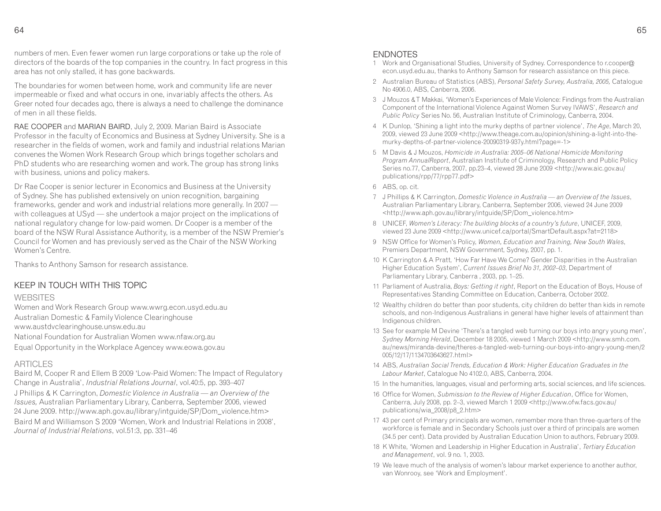numbers of men. Even fewer women run large corporations or take up the role of directors of the boards of the top companies in the country. In fact progress in this area has not only stalled, it has gone backwards.

The boundaries for women between home, work and community life are never impermeable or fixed and what occurs in one, invariably affects the others. As Greer noted four decades ago, there is always a need to challenge the dominance of men in all these fields.

RAE COOPER and MARIAN BAIRD, July 2, 2009. Marian Baird is Associate Professor in the faculty of Economics and Business at Sydney University. She is a researcher in the fields of women, work and family and industrial relations Marian convenes the Women Work Research Group which brings together scholars and PhD students who are researching women and work. The group has strong links with business, unions and policy makers.

Dr Rae Cooper is senior lecturer in Economics and Business at the University of Sydney. She has published extensively on union recognition, bargaining frameworks, gender and work and industrial relations more generally. In 2007 with colleagues at USyd — she undertook a major project on the implications of national regulatory change for low-paid women. Dr Cooper is a member of the board of the NSW Rural Assistance Authority, is a member of the NSW Premier's Council for Women and has previously served as the Chair of the NSW Working Women's Centre.

Thanks to Anthony Samson for research assistance.

#### KEEP IN TOUCH WITH THIS TOPIC

#### WEBSITES

 Women and Work Research Group www.wwrg.econ.usyd.edu.au Australian Domestic & Family Violence Clearinghouse www.austdvclearinghouse.unsw.edu.au

National Foundation for Australian Women www.nfaw.org.au Equal Opportunity in the Workplace Agencey www.eowa.gov.au

#### **ARTICLES**

 Baird M, Cooper R and Ellem B 2009 'Low-Paid Women: The Impact of Regulatory Change in Australia', *Industrial Relations Journal*, vol.40:5, pp. 393–407 J Phillips & K Carrington, *Domestic Violence in Australia — an Overview of the Issues,* Australian Parliamentary Library, Canberra, September 2006, viewed 24 June 2009. http://www.aph.gov.au/library/intguide/SP/Dom\_violence.htm> Baird M and Williamson S 2009 'Women, Work and Industrial Relations in 2008', *Journal of Industrial Relations*, vol.51:3, pp. 331–46

#### ENDNOTES

- 1 Work and Organisational Studies, University of Sydney. Correspondence to r.cooper@econ.usyd.edu.au, thanks to Anthony Samson for research assistance on this piece.
- 2 Australian Bureau of Statistics (ABS), *Personal Safety Survey, Australia, 2005,* Catalogue No 4906.0, ABS, Canberra, 2006.
- 3 J Mouzos & T Makkai, 'Women's Experiences of Male Violence: Findings from the Australian Component of the International Violence Against Women Survey IVAWS', *Research and Public Policy* Series No. 56, Australian Institute of Criminology, Canberra, 2004.
- 4 K Dunlop, 'Shining a light into the murky depths of partner violence', *The Age*, March 20, 2009, viewed 23 June 2009 <http://www.theage.com.au/opinion/shining-a-light-into-themurky-depths-of-partner-violence-20090319-937y.html?page=-1>
- 5 M Davis & J Mouzos, *Homicide in Australia: 2005–06 National Homicide Monitoring Program AnnualReport*, Australian Institute of Criminology, Research and Public Policy Series no.77, Canberra, 2007, pp.23–4, viewed 28 June 2009 <http://www.aic.gov.au/publications/rpp/77/rpp77.pdf>
- 6 ABS, op. cit.
- 7 J Phillips & K Carrington, *Domestic Violence in Australia an Overview of the Issues*, Australian Parliamentary Library, Canberra, September 2006, viewed 24 June 2009 <http://www.aph.gov.au/library/intguide/SP/Dom\_violence.htm>
- 8 UNICEF, *Women's Literacy: The building blocks of a country's future*, UNICEF, 2009, viewed 23 June 2009 <http://www.unicef.ca/portal/SmartDefault.aspx?at=2118>
- 9 NSW Office for Women's Policy, *Women, Education and Training, New South Wales*, Premiers Department, NSW Government, Sydney, 2007, pp. 1.
- 10 K Carrington & A Pratt, 'How Far Have We Come? Gender Disparities in the Australian Higher Education System', *Current Issues Brief No 31, 2002–03*, Department of Parliamentary Library, Canberra , 2003, pp. 1–25.
- 11 Parliament of Australia, *Boys: Getting it right*, Report on the Education of Boys, House of Representatives Standing Committee on Education, Canberra, October 2002.
- 12 Wealthy children do better than poor students, city children do better than kids in remote schools, and non-Indigenous Australians in general have higher levels of attainment than Indigenous children.
- 13 See for example M Devine 'There's a tangled web turning our boys into angry young men', *Sydney Morning Herald*, December 18 2005, viewed 1 March 2009 <http://www.smh.com. au/news/miranda-devine/theres-a-tangled-web-turning-our-boys-into-angry-young-men/2005/12/17/1134703643627.html>
- 14 ABS, *Australian Social Trends, Education & Work: Higher Education Graduates in the Labour Market*, Catalogue No 4102.0, ABS, Canberra, 2004.
- 15 In the humanities, languages, visual and performing arts, social sciences, and life sciences.
- 16 Office for Women, *Submission to the Review of Higher Education*, Office for Women, Canberra, July 2008, pp. 2–3, viewed March 1 2009 <http://www.ofw.facs.gov.au/publications/wia\_2008/p8\_2.htm>
- 17 43 per cent of Primary principals are women, remember more than three-quarters of the workforce is female and in Secondary Schools just over a third of principals are women (34.5 per cent). Data provided by Australian Education Union to authors, February 2009.
- 18 K White, 'Women and Leadership in Higher Education in Australia', *Tertiary Education and Management*, vol. 9 no. 1, 2003.
- 19 We leave much of the analysis of women's labour market experience to another author, van Wonrooy, see 'Work and Employment'.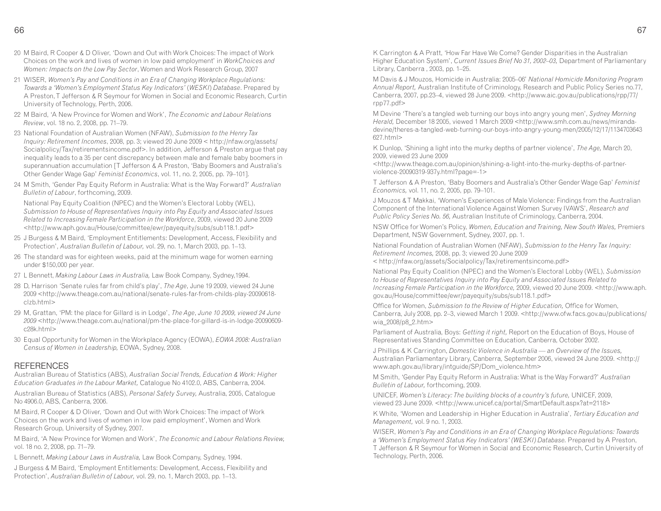- 20 M Baird, R Cooper & D Oliver, 'Down and Out with Work Choices: The impact of Work Choices on the work and lives of women in low paid employment' in *WorkChoices and Women: Impacts on the Low Pay Sector*, Women and Work Research Group, 2007
- 21 WISER, *Women's Pay and Conditions in an Era of Changing Workplace Regulations: Towards a 'Women's Employment Status Key Indicators'* (*WESKI*) *Database*. Prepared by A Preston, T Jefferson & R Seymour for Women in Social and Economic Research, Curtin University of Technology, Perth, 2006.
- 22 M Baird, 'A New Province for Women and Work', *The Economic and Labour Relations Review*, vol. 18 no. 2, 2008, pp. 71–79.
- 23 National Foundation of Australian Women (NFAW), *Submission to the Henry Tax Inquiry: Retirement Incomes*, 2008, pp. 3; viewed 20 June 2009 < http://nfaw.org/assets/ Socialpolicy/Tax/retirementsincome.pdf>. In addition, Jefferson & Preston argue that pay inequality leads to a 35 per cent discrepancy between male and female baby boomers in superannuation accumulation [T Jefferson & A Preston, 'Baby Boomers and Australia's Other Gender Wage Gap' *Feminist Economics*, vol. 11, no. 2, 2005, pp. 79–101].
- 24 M Smith, 'Gender Pay Equity Reform in Australia: What is the Way Forward?' *Australian Bulletin of Labour*, forthcoming, 2009.

 National Pay Equity Coalition (NPEC) and the Women's Electoral Lobby (WEL), *Submission to House of Representatives Inquiry into Pay Equity and Associated Issues Related to Increasing Female Participation in the Workforce*, 2009, viewed 20 June 2009 <http://www.aph.gov.au/House/committee/ewr/payequity/subs/sub118.1.pdf>

- 25 J Burgess & M Baird, 'Employment Entitlements: Development, Access, Flexibility and Protection', *Australian Bulletin of Labour,* vol. 29, no. 1, March 2003, pp. 1–13.
- 26 The standard was for eighteen weeks, paid at the minimum wage for women earning under \$150,000 per year.
- 27 L Bennett, *Making Labour Laws in Australia,* Law Book Company, Sydney,1994.
- 28 D, Harrison 'Senate rules far from child's play', *The Age*, June 19 2009, viewed 24 June 2009 <http://www.theage.com.au/national/senate-rules-far-from-childs-play-20090618clzb.html>
- 29 M, Grattan, 'PM: the place for Gillard is in Lodge', *The Age*, *June 10 2009, viewed 24 June 2009* <http://www.theage.com.au/national/pm-the-place-for-gillard-is-in-lodge-20090609c28k.html>
- 30 Equal Opportunity for Women in the Workplace Agency (EOWA), *EOWA 2008: Australian Census of Women in Leadership,* EOWA, Sydney, 2008.

#### REFERENCES

 Australian Bureau of Statistics (ABS), *Australian Social Trends, Education & Work: Higher Education Graduates in the Labour Market,* Catalogue No 4102.0, ABS, Canberra, 2004.

Australian Bureau of Statistics (ABS), *Personal Safety Survey,* Australia, 2005, Catalogue No 4906.0, ABS, Canberra, 2006.

M Baird, R Cooper & D Oliver, 'Down and Out with Work Choices: The impact of Work Choices on the work and lives of women in low paid employment', Women and Work Research Group, University of Sydney, 2007.

M Baird, 'A New Province for Women and Work', *The Economic and Labour Relations Review,*vol. 18 no. 2, 2008, pp. 71–79.

L Bennett, *Making Labour Laws in Australia,* Law Book Company, Sydney, 1994.

J Burgess & M Baird, 'Employment Entitlements: Development, Access, Flexibility and Protection', *Australian Bulletin of Labour,* vol. 29, no. 1, March 2003, pp. 1–13.

K Carrington & A Pratt, 'How Far Have We Come? Gender Disparities in the Australian Higher Education System', *Current Issues Brief No 31, 2002–03,* Department of Parliamentary Library, Canberra , 2003, pp. 1–25.

M Davis & J Mouzos, Homicide in Australia: 2005–06' *National Homicide Monitoring Program Annual Report,* Australian Institute of Criminology, Research and Public Policy Series no.77, Canberra, 2007, pp.23–4, viewed 28 June 2009. <http://www.aic.gov.au/publications/rpp/77/rpp77.pdf>

 M Devine 'There's a tangled web turning our boys into angry young men', *Sydney Morning Herald,* December 18 2005, viewed 1 March 2009 <http://www.smh.com.au/news/mirandadevine/theres-a-tangled-web-turning-our-boys-into-angry-young-men/2005/12/17/1134703643627.html>

 K Dunlop, 'Shining a light into the murky depths of partner violence', *The Age,* March 20, 2009, viewed 23 June 2009

 <http://www.theage.com.au/opinion/shining-a-light-into-the-murky-depths-of-partnerviolence-20090319-937y.html?page=-1>

 T Jefferson & A Preston, 'Baby Boomers and Australia's Other Gender Wage Gap' *Feminist Economics,* vol. 11, no. 2, 2005, pp. 79–101.

J Mouzos & T Makkai, 'Women's Experiences of Male Violence: Findings from the Australian Component of the International Violence Against Women Survey IVAWS', *Research and Public Policy Series No. 56,* Australian Institute of Criminology, Canberra, 2004.

NSW Office for Women's Policy, *Women, Education and Training, New South Wales,* Premiers Department, NSW Government, Sydney, 2007, pp. 1.

National Foundation of Australian Women (NFAW), *Submission to the Henry Tax Inquiry: Retirement Incomes,* 2008, pp. 3; viewed 20 June 2009

< http://nfaw.org/assets/Socialpolicy/Tax/retirementsincome.pdf>

 National Pay Equity Coalition (NPEC) and the Women's Electoral Lobby (WEL), *Submission to House of Representatives Inquiry into Pay Equity and Associated Issues Related to Increasing Female Participation in the Workforce,* 2009, viewed 20 June 2009. <http://www.aph.gov.au/House/committee/ewr/payequity/subs/sub118.1.pdf>

 Office for Women, *Submission to the Review of Higher Education,* Office for Women, Canberra, July 2008, pp. 2–3, viewed March 1 2009. <http://www.ofw.facs.gov.au/publications/ wia\_2008/p8\_2.htm>

 Parliament of Australia, Boys: *Getting it right,* Report on the Education of Boys, House of Representatives Standing Committee on Education, Canberra, October 2002.

J Phillips & K Carrington, *Domestic Violence in Australia — an Overview of the Issues,* Australian Parliamentary Library, Canberra, September 2006, viewed 24 June 2009. <http://www.aph.gov.au/library/intguide/SP/Dom\_violence.htm>

 M Smith, 'Gender Pay Equity Reform in Australia: What is the Way Forward?' *Australian Bulletin of Labour,* forthcoming, 2009.

UNICEF, *Women's Literacy: The building blocks of a country's future,* UNICEF, 2009, viewed 23 June 2009. <http://www.unicef.ca/portal/SmartDefault.aspx?at=2118>

 K White, 'Women and Leadership in Higher Education in Australia', *Tertiary Education and Management,* vol. 9 no. 1, 2003.

WISER, *Women's Pay and Conditions in an Era of Changing Workplace Regulations: Towards a 'Women's Employment Status Key Indicators' (WESKI) Database.* Prepared by A Preston, T Jefferson & R Seymour for Women in Social and Economic Research, Curtin University of Technology, Perth, 2006.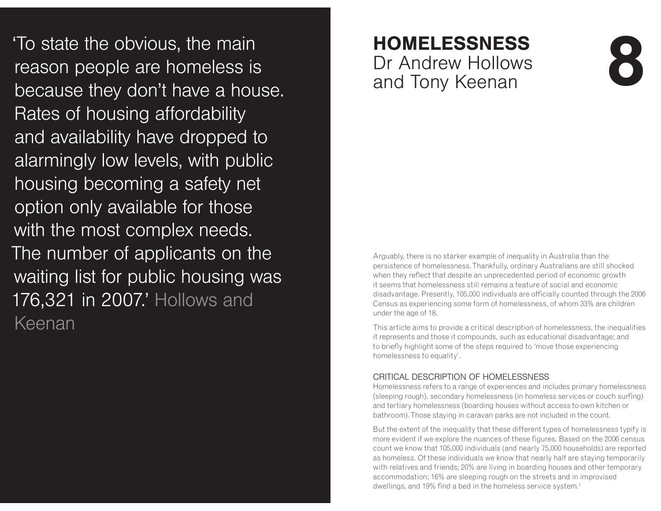'To state the obvious, the main reason people are homeless is because they don't have a house. Rates of housing affordability and availability have dropped to alarmingly low levels, with public housing becoming a safety net option only available for those with the most complex needs. The number of applicants on the waiting list for public housing was 176,321 in 2007.' Hollows and Keenan

# $HOMELESSNESS$ Dr Andrew Hollows " and Tony Keenan

# **SS**<br>
<sup>IWS</sup> 0

Arguably, there is no starker example of inequality in Australia than the persistence of homelessness. Thankfully, ordinary Australians are still shocked when they reflect that despite an unprecedented period of economic growth it seems that homelessness still remains a feature of social and economic disadvantage. Presently, 105,000 individuals are officially counted through the 2006 Census as experiencing some form of homelessness, of whom 33% are children under the age of 18.

This article aims to provide a critical description of homelessness, the inequalities it represents and those it compounds, such as educational disadvantage; and to briefly highlight some of the steps required to 'move those experiencing homelessness to equality'.

#### CRITICAL DESCRIPTION OF HOMELESSNESS

 Homelessness refers to a range of experiences and includes primary homelessness (sleeping rough), secondary homelessness (in homeless services or couch surfing) and tertiary homelessness (boarding houses without access to own kitchen or bathroom). Those staying in caravan parks are not included in the count.

But the extent of the inequality that these different types of homelessness typify is more evident if we explore the nuances of these figures. Based on the 2006 census count we know that 105,000 individuals (and nearly 75,000 households) are reported as homeless. Of these individuals we know that nearly half are staying temporarily with relatives and friends; 20% are living in boarding houses and other temporary accommodation; 16% are sleeping rough on the streets and in improvised dwellings, and 19% find a bed in the homeless service system.<sup>1</sup>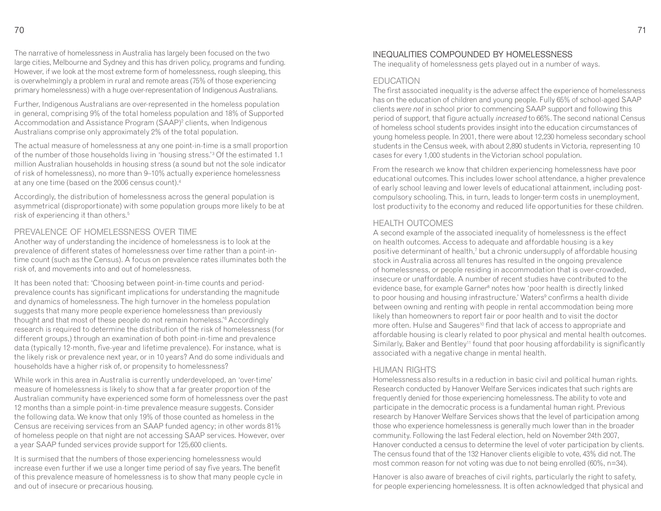The narrative of homelessness in Australia has largely been focused on the two large cities, Melbourne and Sydney and this has driven policy, programs and funding. However, if we look at the most extreme form of homelessness, rough sleeping, this is overwhelmingly a problem in rural and remote areas (75% of those experiencing primary homelessness) with a huge over-representation of Indigenous Australians.

Further, Indigenous Australians are over-represented in the homeless population in general, comprising 9% of the total homeless population and 18% of Supported Accommodation and Assistance Program (SAAP)<sup>2</sup> clients, when Indigenous Australians comprise only approximately 2% of the total population.

The actual measure of homelessness at any one point-in-time is a small proportion of the number of those households living in 'housing stress.'3 Of the estimated 1.1 million Australian households in housing stress (a sound but not the sole indicator of risk of homelessness), no more than 9–10% actually experience homelessness at any one time (based on the 2006 census count).4

Accordingly, the distribution of homelessness across the general population is asymmetrical (disproportionate) with some population groups more likely to be at risk of experiencing it than others.5

#### PREVALENCE OF HOMELESSNESS OVER TIME

 Another way of understanding the incidence of homelessness is to look at the prevalence of different states of homelessness over time rather than a point-intime count (such as the Census). A focus on prevalence rates illuminates both the risk of, and movements into and out of homelessness.

It has been noted that: 'Choosing between point-in-time counts and periodprevalence counts has significant implications for understanding the magnitude and dynamics of homelessness. The high turnover in the homeless population suggests that many more people experience homelessness than previously thought and that most of these people do not remain homeless.<sup>'6</sup> Accordingly research is required to determine the distribution of the risk of homelessness (for different groups,) through an examination of both point-in-time and prevalence data (typically 12-month, five-year and lifetime prevalence). For instance, what is the likely risk or prevalence next year, or in 10 years? And do some individuals and households have a higher risk of, or propensity to homelessness?

While work in this area in Australia is currently underdeveloped, an 'over-time' measure of homelessness is likely to show that a far greater proportion of the Australian community have experienced some form of homelessness over the past 12 months than a simple point-in-time prevalence measure suggests. Consider the following data. We know that only 19% of those counted as homeless in the Census are receiving services from an SAAP funded agency; in other words 81% of homeless people on that night are not accessing SAAP services. However, over a year SAAP funded services provide support for 125,600 clients.

It is surmised that the numbers of those experiencing homelessness would increase even further if we use a longer time period of say five years. The benefit of this prevalence measure of homelessness is to show that many people cycle in and out of insecure or precarious housing.

#### INEQUALITIES COMPOUNDED BY HOMELESSNESS

The inequality of homelessness gets played out in a number of ways.

#### FDUCATION

 The first associated inequality is the adverse affect the experience of homelessness has on the education of children and young people. Fully 65% of school-aged SAAP clients *were not* in school prior to commencing SAAP support and following this period of support, that figure actually *increased* to 66%. The second national Census of homeless school students provides insight into the education circumstances of young homeless people. In 2001, there were about 12,230 homeless secondary school students in the Census week, with about 2,890 students in Victoria, representing 10 cases for every 1,000 students in the Victorian school population.

From the research we know that children experiencing homelessness have poor educational outcomes. This includes lower school attendance, a higher prevalence of early school leaving and lower levels of educational attainment, including postcompulsory schooling. This, in turn, leads to longer-term costs in unemployment, lost productivity to the economy and reduced life opportunities for these children.

#### HEALTH OUTCOMES

 A second example of the associated inequality of homelessness is the effect on health outcomes. Access to adequate and affordable housing is a key positive determinant of health,<sup>7</sup> but a chronic undersupply of affordable housing stock in Australia across all tenures has resulted in the ongoing prevalence of homelessness, or people residing in accommodation that is over-crowded, insecure or unaffordable. A number of recent studies have contributed to the evidence base, for example Garner<sup>s</sup> notes how 'poor health is directly linked to poor housing and housing infrastructure.' Waters<sup>9</sup> confirms a health divide between owning and renting with people in rental accommodation being more likely than homeowners to report fair or poor health and to visit the doctor more often. Hulse and Saugeres<sup>10</sup> find that lack of access to appropriate and affordable housing is clearly related to poor physical and mental health outcomes. Similarly, Baker and Bentley<sup>11</sup> found that poor housing affordability is significantly associated with a negative change in mental health.

#### HUMAN RIGHTS

 Homelessness also results in a reduction in basic civil and political human rights. Research conducted by Hanover Welfare Services indicates that such rights are frequently denied for those experiencing homelessness. The ability to vote and participate in the democratic process is a fundamental human right. Previous research by Hanover Welfare Services shows that the level of participation among those who experience homelessness is generally much lower than in the broader community. Following the last Federal election, held on November 24th 2007, Hanover conducted a census to determine the level of voter participation by clients. The census found that of the 132 Hanover clients eligible to vote, 43% did not. The most common reason for not voting was due to not being enrolled (60%, n=34).

Hanover is also aware of breaches of civil rights, particularly the right to safety, for people experiencing homelessness. It is often acknowledged that physical and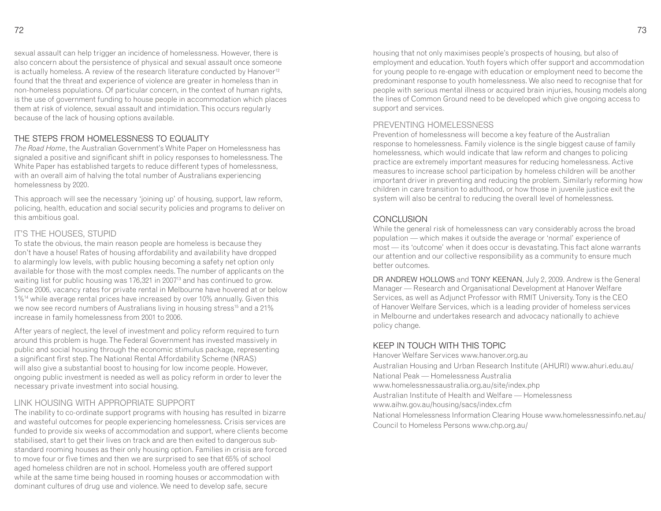sexual assault can help trigger an incidence of homelessness. However, there is also concern about the persistence of physical and sexual assault once someone is actually homeless. A review of the research literature conducted by Hanover<sup>12</sup> found that the threat and experience of violence are greater in homeless than in non-homeless populations. Of particular concern, in the context of human rights, is the use of government funding to house people in accommodation which places them at risk of violence, sexual assault and intimidation. This occurs regularly because of the lack of housing options available.

#### THE STEPS FROM HOMEL ESSNESS TO FOUAL ITY

 *The Road Home*, the Australian Government's White Paper on Homelessness has signaled a positive and significant shift in policy responses to homelessness. The White Paper has established targets to reduce different types of homelessness, with an overall aim of halving the total number of Australians experiencing homelessness by 2020.

This approach will see the necessary 'joining up' of housing, support, law reform, policing, health, education and social security policies and programs to deliver on this ambitious goal.

#### IT'S THE HOUSES, STUPID

 To state the obvious, the main reason people are homeless is because they don't have a house! Rates of housing affordability and availability have dropped to alarmingly low levels, with public housing becoming a safety net option only available for those with the most complex needs. The number of applicants on the waiting list for public housing was 176,321 in 2007<sup>13</sup> and has continued to grow. Since 2006, vacancy rates for private rental in Melbourne have hovered at or below 1%14 while average rental prices have increased by over 10% annually. Given this we now see record numbers of Australians living in housing stress<sup>15</sup> and a 21% increase in family homelessness from 2001 to 2006.

After years of neglect, the level of investment and policy reform required to turn around this problem is huge. The Federal Government has invested massively in public and social housing through the economic stimulus package, representing a significant first step. The National Rental Affordability Scheme (NRAS) will also give a substantial boost to housing for low income people. However, ongoing public investment is needed as well as policy reform in order to lever the necessary private investment into social housing.

#### **I INK HOUSING WITH APPROPRIATE SUPPORT**

 The inability to co-ordinate support programs with housing has resulted in bizarre and wasteful outcomes for people experiencing homelessness. Crisis services are funded to provide six weeks of accommodation and support, where clients become stabilised, start to get their lives on track and are then exited to dangerous substandard rooming houses as their only housing option. Families in crisis are forced to move four or five times and then we are surprised to see that 65% of school aged homeless children are not in school. Homeless youth are offered support while at the same time being housed in rooming houses or accommodation with dominant cultures of drug use and violence. We need to develop safe, secure

housing that not only maximises people's prospects of housing, but also of employment and education. Youth foyers which offer support and accommodation for young people to re-engage with education or employment need to become the predominant response to youth homelessness. We also need to recognise that for people with serious mental illness or acquired brain injuries, housing models along the lines of Common Ground need to be developed which give ongoing access to support and services.

#### PREVENTING HOMELESSNESS

 Prevention of homelessness will become a key feature of the Australian response to homelessness. Family violence is the single biggest cause of family homelessness, which would indicate that law reform and changes to policing practice are extremely important measures for reducing homelessness. Active measures to increase school participation by homeless children will be another important driver in preventing and reducing the problem. Similarly reforming how children in care transition to adulthood, or how those in juvenile justice exit the system will also be central to reducing the overall level of homelessness.

#### CONCLUSION

 While the general risk of homelessness can vary considerably across the broad population — which makes it outside the average or 'normal' experience of most — its 'outcome' when it does occur is devastating. This fact alone warrants our attention and our collective responsibility as a community to ensure much better outcomes.

DR ANDREW HOLLOWS and TONY KEENAN, July 2, 2009. Andrew is the General Manager — Research and Organisational Development at Hanover Welfare Services, as well as Adjunct Professor with RMIT University. Tony is the CEO of Hanover Welfare Services, which is a leading provider of homeless services in Melbourne and undertakes research and advocacy nationally to achieve policy change.

#### KEEP IN TOUCH WITH THIS TOPIC

 Hanover Welfare Services www.hanover.org.au Australian Housing and Urban Research Institute (AHURI) www.ahuri.edu.au/National Peak — Homelessness Australia www.homelessnessaustralia.org.au/site/index.php Australian Institute of Health and Welfare — Homelessness www.aihw.gov.au/housing/sacs/index.cfm National Homelessness Information Clearing House www.homelessnessinfo.net.au/Council to Homeless Persons www.chp.org.au/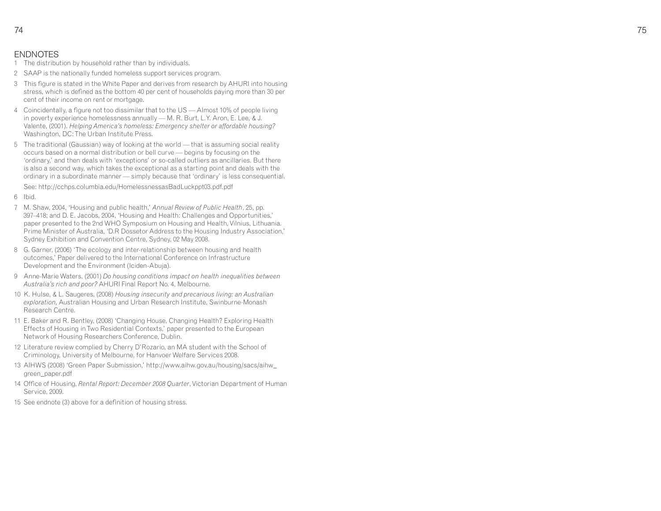#### ENDNOTES

- 1 The distribution by household rather than by individuals.
- 2 SAAP is the nationally funded homeless support services program.
- 3 This figure is stated in the White Paper and derives from research by AHURI into housing stress, which is defined as the bottom 40 per cent of households paying more than 30 per cent of their income on rent or mortgage.
- 4 Coincidentally, a figure not too dissimilar that to the US Almost 10% of people living in poverty experience homelessness annually — M. R. Burt, L.Y. Aron, E. Lee, & J. Valente, (2001). *Helping America's homeless: Emergency shelter or affordable housing?*Washington, DC: The Urban Institute Press.
- 5 The traditional (Gaussian) way of looking at the world that is assuming social reality occurs based on a normal distribution or bell curve — begins by focusing on the 'ordinary,' and then deals with 'exceptions' or so-called outliers as ancillaries. But there is also a second way, which takes the exceptional as a starting point and deals with the ordinary in a subordinate manner — simply because that 'ordinary' is less consequential.

See: http://cchps.columbia.edu/HomelessnessasBadLuckppt03.pdf.pdf

- 6 Ibid.
- 7 M. Shaw, 2004, 'Housing and public health,' *Annual Review of Public Health*, 25, pp. 397–418; and D. E. Jacobs, 2004, 'Housing and Health: Challenges and Opportunities,' paper presented to the 2nd WHO Symposium on Housing and Health, Vilnius, Lithuania. Prime Minister of Australia, 'D.R Dossetor Address to the Housing Industry Association,' Sydney Exhibition and Convention Centre, Sydney, 02 May 2008.
- 8 G. Garner, (2006) 'The ecology and inter-relationship between housing and health outcomes,' Paper delivered to the International Conference on Infrastructure Development and the Environment (Iciden-Abuja).
- 9 Anne-Marie Waters, (2001) *Do housing conditions impact on health inequalities between Australia's rich and poor?* AHURI Final Report No. 4, Melbourne.
- 10 K. Hulse, & L. Saugeres, (2008) *Housing insecurity and precarious living: an Australian exploration,* Australian Housing and Urban Research Institute, Swinburne-Monash Research Centre.
- 11 E. Baker and R. Bentley, (2008) 'Changing House, Changing Health? Exploring Health Effects of Housing in Two Residential Contexts,' paper presented to the European Network of Housing Researchers Conference, Dublin.
- 12 Literature review complied by Cherry D'Rozario, an MA student with the School of Criminology, University of Melbourne, for Hanvoer Welfare Services 2008.
- 13 AIHWS (2008) 'Green Paper Submission,' http://www.aihw.gov.au/housing/sacs/aihw\_green\_paper.pdf
- 14 Office of Housing, *Rental Report: December 2008 Quarter*, Victorian Department of Human Service, 2009.
- 15 See endnote (3) above for a definition of housing stress.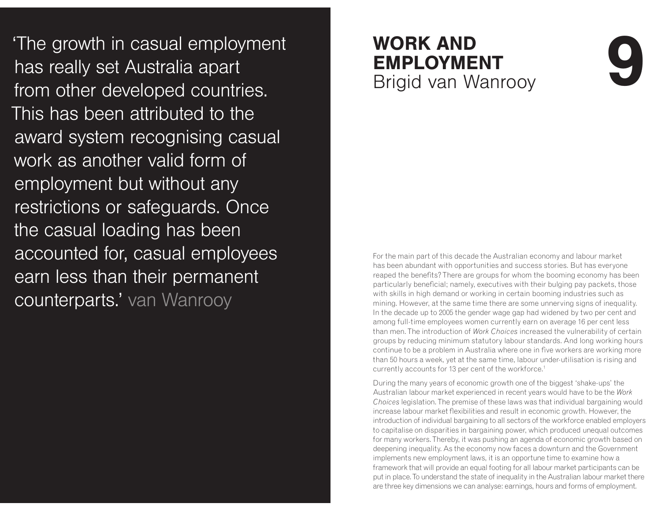The growth in casual employment has really set Australia apart from other developed countries. This has been attributed to the award system recognising casual work as another valid form of employment but without any restrictions or safeguards. Once the casual loading has been accounted for, casual employees earn less than their permanent counterparts.' van Wanrooy

# **WORK AND**  $\mathsf{EMPLOYMENT}\;$ Brigid van Wanrooy

For the main part of this decade the Australian economy and labour market has been abundant with opportunities and success stories. But has everyone reaped the benefits? There are groups for whom the booming economy has been particularly beneficial; namely, executives with their bulging pay packets, those with skills in high demand or working in certain booming industries such as mining. However, at the same time there are some unnerving signs of inequality. In the decade up to 2005 the gender wage gap had widened by two per cent and among full-time employees women currently earn on average 16 per cent less than men. The introduction of *Work Choices* increased the vulnerability of certain groups by reducing minimum statutory labour standards. And long working hours continue to be a problem in Australia where one in five workers are working more than 50 hours a week, yet at the same time, labour under-utilisation is rising and currently accounts for 13 per cent of the workforce.<sup>1</sup>

During the many years of economic growth one of the biggest 'shake-ups' the Australian labour market experienced in recent years would have to be the *Work Choices* legislation. The premise of these laws was that individual bargaining would increase labour market flexibilities and result in economic growth. However, the introduction of individual bargaining to all sectors of the workforce enabled employers to capitalise on disparities in bargaining power, which produced unequal outcomes for many workers. Thereby, it was pushing an agenda of economic growth based on deepening inequality. As the economy now faces a downturn and the Government implements new employment laws, it is an opportune time to examine how a framework that will provide an equal footing for all labour market participants can be put in place. To understand the state of inequality in the Australian labour market there are three key dimensions we can analyse: earnings, hours and forms of employment.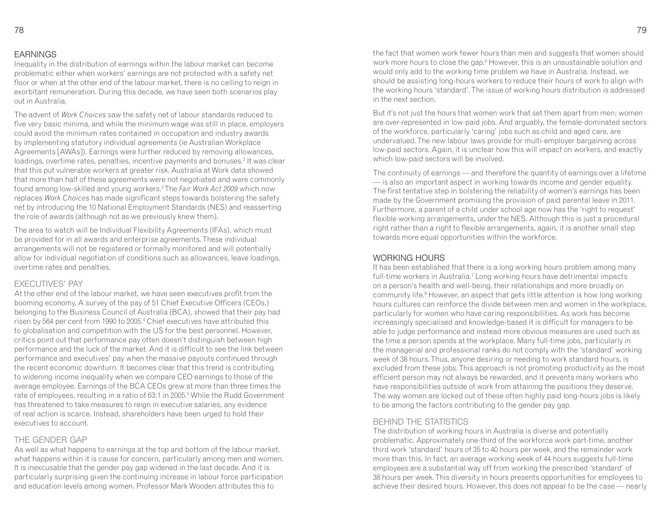#### **EARNINGS**

 Inequality in the distribution of earnings within the labour market can become problematic either when workers' earnings are not protected with a safety net floor or when at the other end of the labour market, there is no ceiling to reign in exorbitant remuneration. During this decade, we have seen both scenarios play out in Australia.

The advent of *Work Choices* saw the safety net of labour standards reduced to five very basic minima, and while the minimum wage was still in place, employers could avoid the minimum rates contained in occupation and industry awards by implementing statutory individual agreements (ie Australian Workplace Agreements [AWAs]). Earnings were further reduced by removing allowances, loadings, overtime rates, penalties, incentive payments and bonuses.2 It was clear that this put vulnerable workers at greater risk. Australia at Work data showed that more than half of these agreements were not negotiated and were commonly found among low-skilled and young workers.3 The *Fair Work Act 2009* which now replaces *Work Choices* has made significant steps towards bolstering the safety net by introducing the 10 National Employment Standards (NES) and reasserting the role of awards (although not as we previously knew them).

The area to watch will be Individual Flexibility Agreements (IFAs), which must be provided for in all awards and enterprise agreements. These individual arrangements will not be registered or formally monitored and will potentially allow for individual negotiation of conditions such as allowances, leave loadings, overtime rates and penalties.

#### **FXFCUTIVES' PAY**

 At the other end of the labour market, we have seen executives profit from the booming economy. A survey of the pay of 51 Chief Executive Officers (CEOs,) belonging to the Business Council of Australia (BCA), showed that their pay had risen by 564 per cent from 1990 to 2005.4 Chief executives have attributed this to globalisation and competition with the US for the best personnel. However, critics point out that performance pay often doesn't distinguish between high performance and the luck of the market. And it is difficult to see the link between performance and executives' pay when the massive payouts continued through the recent economic downturn. It becomes clear that this trend is contributing to widening income inequality when we compare CEO earnings to those of the average employee. Earnings of the BCA CEOs grew at more than three times the rate of employees, resulting in a ratio of 63:1 in 2005.<sup>5</sup> While the Rudd Government has threatened to take measures to reign in executive salaries, any evidence of real action is scarce. Instead, shareholders have been urged to hold their executives to account.

#### THE GENDER GAP

 As well as what happens to earnings at the top and bottom of the labour market, what happens within it is cause for concern, particularly among men and women. It is inexcusable that the gender pay gap widened in the last decade. And it is particularly surprising given the continuing increase in labour force participation and education levels among women. Professor Mark Wooden attributes this to

the fact that women work fewer hours than men and suggests that women should work more hours to close the gap.<sup>6</sup> However, this is an unsustainable solution and would only add to the working time problem we have in Australia. Instead, we should be assisting long-hours workers to reduce their hours of work to align with the working hours 'standard'. The issue of working hours distribution is addressed in the next section.

But it's not just the hours that women work that set them apart from men; women are over-represented in low-paid jobs. And arguably, the female-dominated sectors of the workforce, particularly 'caring' jobs such as child and aged care, are undervalued. The new labour laws provide for multi-employer bargaining across low-paid sectors. Again, it is unclear how this will impact on workers, and exactly which low-paid sectors will be involved.

The continuity of earnings — and therefore the quantity of earnings over a lifetime — is also an important aspect in working towards income and gender equality. The first tentative step in bolstering the reliability of women's earnings has been made by the Government promising the provision of paid parental leave in 2011. Furthermore, a parent of a child under school age now has the 'right to request' flexible working arrangements, under the NES. Although this is just a procedural right rather than a right to flexible arrangements, again, it is another small step towards more equal opportunities within the workforce.

#### WORKING HOURS

 It has been established that there is a long working hours problem among many full-time workers in Australia.7 Long working hours have detrimental impacts on a person's health and well-being, their relationships and more broadly on community life.<sup>8</sup> However, an aspect that gets little attention is how long working hours cultures can reinforce the divide between men and women in the workplace, particularly for women who have caring responsibilities. As work has become increasingly specialised and knowledge-based it is difficult for managers to be able to judge performance and instead more obvious measures are used such as the time a person spends at the workplace. Many full-time jobs, particularly in the managerial and professional ranks do not comply with the 'standard' working week of 38 hours. Thus, anyone desiring or needing to work standard hours, is excluded from these jobs. This approach is not promoting productivity as the most efficient person may not always be rewarded, and it prevents many workers who have responsibilities outside of work from attaining the positions they deserve. The way women are locked out of these often highly paid long-hours jobs is likely to be among the factors contributing to the gender pay gap.

#### **BEHIND THE STATISTICS**

 The distribution of working hours in Australia is diverse and potentially problematic. Approximately one-third of the workforce work part-time, another third work 'standard' hours of 35 to 40 hours per week, and the remainder work more than this. In fact, an average working week of 44 hours suggests full-time employees are a substantial way off from working the prescribed 'standard' of 38 hours per week. This diversity in hours presents opportunities for employees to achieve their desired hours. However, this does not appear to be the case — nearly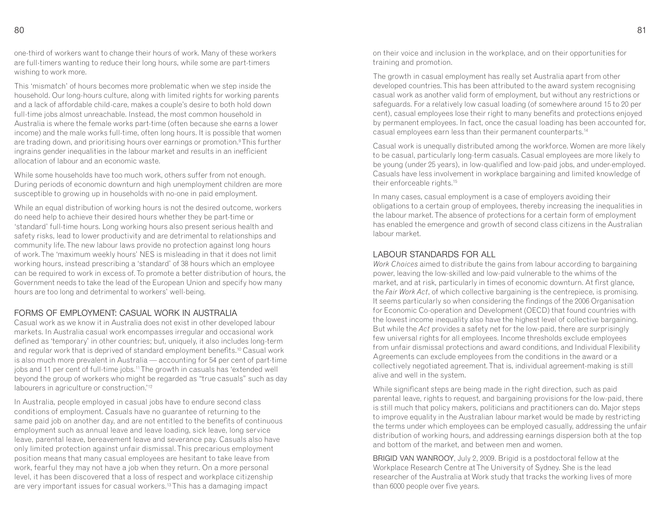one-third of workers want to change their hours of work. Many of these workers are full-timers wanting to reduce their long hours, while some are part-timers wishing to work more.

This 'mismatch' of hours becomes more problematic when we step inside the household. Our long-hours culture, along with limited rights for working parents and a lack of affordable child-care, makes a couple's desire to both hold down full-time jobs almost unreachable. Instead, the most common household in Australia is where the female works part-time (often because she earns a lower income) and the male works full-time, often long hours. It is possible that women are trading down, and prioritising hours over earnings or promotion.<sup>9</sup> This further ingrains gender inequalities in the labour market and results in an inefficient allocation of labour and an economic waste.

While some households have too much work, others suffer from not enough. During periods of economic downturn and high unemployment children are more susceptible to growing up in households with no-one in paid employment.

While an equal distribution of working hours is not the desired outcome, workers do need help to achieve their desired hours whether they be part-time or 'standard' full-time hours. Long working hours also present serious health and safety risks, lead to lower productivity and are detrimental to relationships and community life. The new labour laws provide no protection against long hours of work. The 'maximum weekly hours' NES is misleading in that it does not limit working hours, instead prescribing a 'standard' of 38 hours which an employee can be required to work in excess of. To promote a better distribution of hours, the Government needs to take the lead of the European Union and specify how many hours are too long and detrimental to workers' well-being.

#### FORMS OF FMPLOYMENT: CASUAL WORK IN AUSTRALIA

 Casual work as we know it in Australia does not exist in other developed labour markets. In Australia casual work encompasses irregular and occasional work defined as 'temporary' in other countries; but, uniquely, it also includes long-term and regular work that is deprived of standard employment benefits.<sup>10</sup> Casual work is also much more prevalent in Australia — accounting for 54 per cent of part-time jobs and 11 per cent of full-time jobs.<sup>11</sup> The growth in casuals has 'extended well beyond the group of workers who might be regarded as "true casuals" such as day labourers in agriculture or construction.<sup>'12</sup>

In Australia, people employed in casual jobs have to endure second class conditions of employment. Casuals have no guarantee of returning to the same paid job on another day, and are not entitled to the benefits of continuous employment such as annual leave and leave loading, sick leave, long service leave, parental leave, bereavement leave and severance pay. Casuals also have only limited protection against unfair dismissal. This precarious employment position means that many casual employees are hesitant to take leave from work, fearful they may not have a job when they return. On a more personal level, it has been discovered that a loss of respect and workplace citizenship are very important issues for casual workers.13 This has a damaging impact

on their voice and inclusion in the workplace, and on their opportunities for training and promotion.

The growth in casual employment has really set Australia apart from other developed countries. This has been attributed to the award system recognising casual work as another valid form of employment, but without any restrictions or safeguards. For a relatively low casual loading (of somewhere around 15 to 20 per cent), casual employees lose their right to many benefits and protections enjoyed by permanent employees. In fact, once the casual loading has been accounted for, casual employees earn less than their permanent counterparts.<sup>14</sup>

Casual work is unequally distributed among the workforce. Women are more likely to be casual, particularly long-term casuals. Casual employees are more likely to be young (under 25 years), in low-qualified and low-paid jobs, and under-employed. Casuals have less involvement in workplace bargaining and limited knowledge of their enforceable rights.<sup>15</sup>

In many cases, casual employment is a case of employers avoiding their obligations to a certain group of employees, thereby increasing the inequalities in the labour market. The absence of protections for a certain form of employment has enabled the emergence and growth of second class citizens in the Australian labour market.

#### LABOUR STANDARDS FOR ALL

 *Work Choices* aimed to distribute the gains from labour according to bargaining power, leaving the low-skilled and low-paid vulnerable to the whims of the market, and at risk, particularly in times of economic downturn. At first glance, the *Fair Work Act*, of which collective bargaining is the centrepiece, is promising. It seems particularly so when considering the findings of the 2006 Organisation for Economic Co-operation and Development (OECD) that found countries with the lowest income inequality also have the highest level of collective bargaining. But while the *Act* provides a safety net for the low-paid, there are surprisingly few universal rights for all employees. Income thresholds exclude employees from unfair dismissal protections and award conditions, and Individual Flexibility Agreements can exclude employees from the conditions in the award or a collectively negotiated agreement. That is, individual agreement-making is still alive and well in the system.

While significant steps are being made in the right direction, such as paid parental leave, rights to request, and bargaining provisions for the low-paid, there is still much that policy makers, politicians and practitioners can do. Major steps to improve equality in the Australian labour market would be made by restricting the terms under which employees can be employed casually, addressing the unfair distribution of working hours, and addressing earnings dispersion both at the top and bottom of the market, and between men and women.

BRIGID VAN WANROOY, July 2, 2009. Brigid is a postdoctoral fellow at the Workplace Research Centre at The University of Sydney. She is the lead researcher of the Australia at Work study that tracks the working lives of more than 6000 people over five years.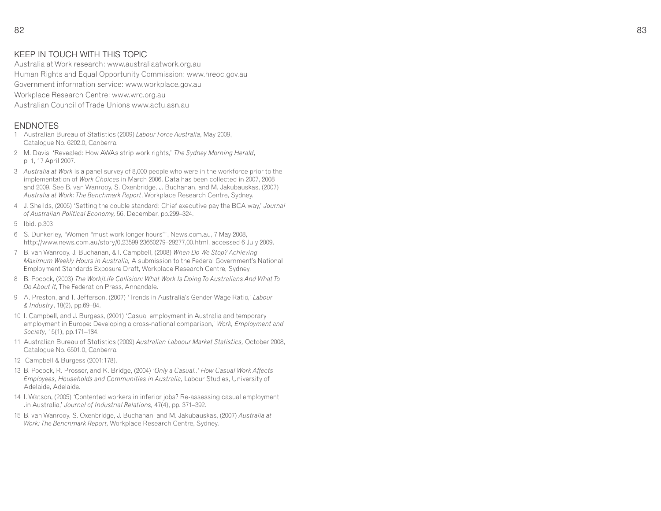#### KEEP IN TOUCH WITH THIS TOPIC

 Australia at Work research: www.australiaatwork.org.au Human Rights and Equal Opportunity Commission: www.hreoc.gov.au Government information service: www.workplace.gov.au Workplace Research Centre: www.wrc.org.auAustralian Council of Trade Unions www.actu.asn.au

#### ENDNOTES

- 1 Australian Bureau of Statistics (2009) *Labour Force Australia*, May 2009, Catalogue No. 6202.0, Canberra.
- 2 M. Davis, 'Revealed: How AWAs strip work rights,' *The Sydney Morning Herald*, p. 1, 17 April 2007.
- 3 *Australia at Work* is a panel survey of 8,000 people who were in the workforce prior to the implementation of *Work Choices* in March 2006. Data has been collected in 2007, 2008 and 2009. See B. van Wanrooy, S. Oxenbridge, J. Buchanan, and M. Jakubauskas, (2007) *Australia at Work: The Benchmark Report*, Workplace Research Centre, Sydney.
- 4 J. Sheilds, (2005) 'Setting the double standard: Chief executive pay the BCA way,' *Journal of Australian Political Economy,* 56, December, pp.299–324.
- 5 Ibid. p.303
- 6 S. Dunkerley, 'Women "must work longer hours"', News.com.au, 7 May 2008, http://www.news.com.au/story/0,23599,23660279–29277,00.html, accessed 6 July 2009.
- 7 B. van Wanrooy, J. Buchanan, & I. Campbell, (2008) *When Do We Stop? Achieving Maximum Weekly Hours in Australia,* A submission to the Federal Government's National Employment Standards Exposure Draft, Workplace Research Centre, Sydney.
- 8 B. Pocock, (2003) *The Work/Life Collision: What Work Is Doing To Australians And What To Do About It,* The Federation Press, Annandale.
- 9 A. Preston, and T. Jefferson, (2007) 'Trends in Australia's Gender-Wage Ratio,' *Labour & Industry*, 18(2), pp.69–84.
- 10 I. Campbell, and J. Burgess, (2001) 'Casual employment in Australia and temporary employment in Europe: Developing a cross-national comparison,' *Work, Employment and Society*, 15(1), pp.171–184.
- 11 Australian Bureau of Statistics (2009) *Australian Laboour Market Statistics,* October 2008, Catalogue No. 6501.0, Canberra.
- 12 Campbell & Burgess (2001:178).
- 13 B. Pocock, R. Prosser, and K. Bridge, (2004) *'Only a Casual..' How Casual Work Affects Employees, Households and Communities in Australia,* Labour Studies, University of Adelaide, Adelaide.
- 14 I. Watson, (2005) 'Contented workers in inferior jobs? Re-assessing casual employment .in Australia,' *Journal of Industrial Relations,* 47(4), pp. 371–392.
- 15 B. van Wanrooy, S. Oxenbridge, J. Buchanan, and M. Jakubauskas, (2007) *Australia at Work: The Benchmark Report,* Workplace Research Centre, Sydney.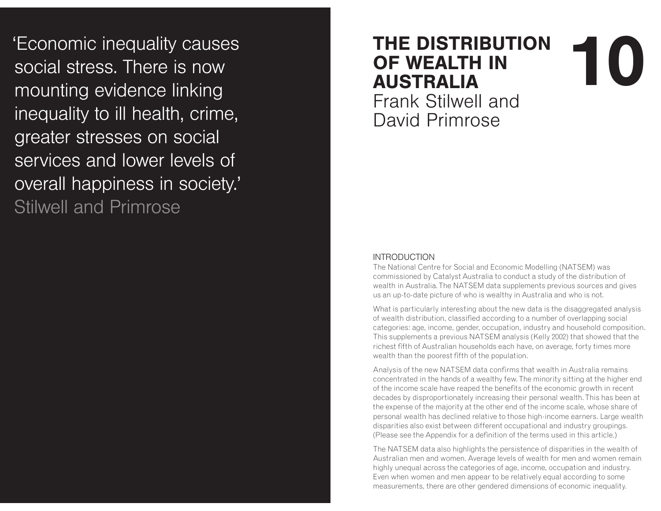'Economic inequality causes social stress. There is now mounting evidence linking inequality to ill health, crime, greater stresses on social services and lower levels of overall happiness in society.' Stilwell and Primrose

# **THE DISTRIBUTION OF WEALTH IN AUSTRALIA 01**

Frank Stilwell and David Primrose

#### **INTRODUCTION**

 The National Centre for Social and Economic Modelling (NATSEM) was commissioned by Catalyst Australia to conduct a study of the distribution of wealth in Australia. The NATSEM data supplements previous sources and gives us an up-to-date picture of who is wealthy in Australia and who is not.

What is particularly interesting about the new data is the disaggregated analysis of wealth distribution, classified according to a number of overlapping social categories: age, income, gender, occupation, industry and household composition. This supplements a previous NATSEM analysis (Kelly 2002) that showed that the richest fifth of Australian households each have, on average, forty times more wealth than the poorest fifth of the population.

Analysis of the new NATSEM data confirms that wealth in Australia remains concentrated in the hands of a wealthy few. The minority sitting at the higher end of the income scale have reaped the benefits of the economic growth in recent decades by disproportionately increasing their personal wealth. This has been at the expense of the majority at the other end of the income scale, whose share of personal wealth has declined relative to those high-income earners. Large wealth disparities also exist between different occupational and industry groupings. (Please see the Appendix for a definition of the terms used in this article.)

The NATSEM data also highlights the persistence of disparities in the wealth of Australian men and women. Average levels of wealth for men and women remain highly unequal across the categories of age, income, occupation and industry. Even when women and men appear to be relatively equal according to some measurements, there are other gendered dimensions of economic inequality.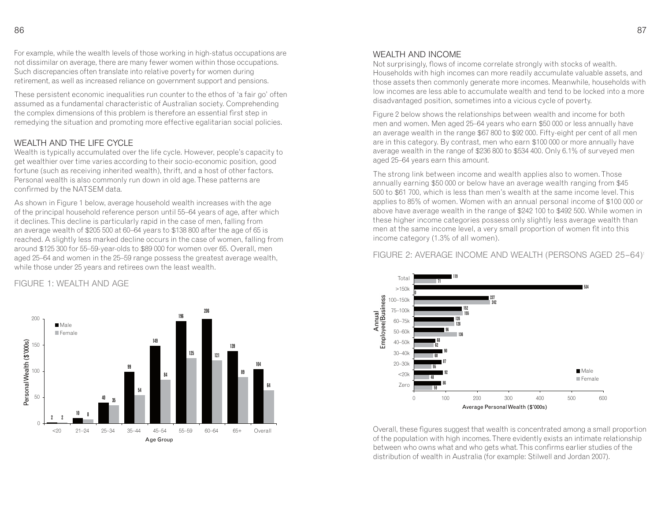For example, while the wealth levels of those working in high-status occupations are not dissimilar on average, there are many fewer women within those occupations. Such discrepancies often translate into relative poverty for women during retirement, as well as increased reliance on government support and pensions.

These persistent economic inequalities run counter to the ethos of 'a fair go' often assumed as a fundamental characteristic of Australian society. Comprehending the complex dimensions of this problem is therefore an essential first step in remedying the situation and promoting more effective egalitarian social policies.

#### WEALTH AND THE LIFE CYCLE

 Wealth is typically accumulated over the life cycle. However, people's capacity to get wealthier over time varies according to their socio-economic position, good fortune (such as receiving inherited wealth), thrift, and a host of other factors. Personal wealth is also commonly run down in old age. These patterns are confirmed by the NATSEM data.

As shown in Figure 1 below, average household wealth increases with the age of the principal household reference person until 55–64 years of age, after which it declines. This decline is particularly rapid in the case of men, falling from an average wealth of \$205 500 at 60–64 years to \$138 800 after the age of 65 is reached. A slightly less marked decline occurs in the case of women, falling from around \$125 300 for 55–59-year-olds to \$89 000 for women over 65. Overall, men aged 25–64 and women in the 25–59 range possess the greatest average wealth, while those under 25 years and retirees own the least wealth.

#### FIGURE 1: WEALTH AND AGE



#### WEALTH AND INCOME

 Not surprisingly, flows of income correlate strongly with stocks of wealth. Households with high incomes can more readily accumulate valuable assets, and those assets then commonly generate more incomes. Meanwhile, households with low incomes are less able to accumulate wealth and tend to be locked into a more disadvantaged position, sometimes into a vicious cycle of poverty.

Figure 2 below shows the relationships between wealth and income for both men and women. Men aged 25–64 years who earn \$50 000 or less annually have an average wealth in the range \$67 800 to \$92 000. Fifty-eight per cent of all men are in this category. By contrast, men who earn \$100 000 or more annually have average wealth in the range of \$236 800 to \$534 400. Only 6.1% of surveyed men aged 25–64 years earn this amount.

The strong link between income and wealth applies also to women. Those annually earning \$50 000 or below have an average wealth ranging from \$45 500 to \$61 700, which is less than men's wealth at the same income level. This applies to 85% of women. Women with an annual personal income of \$100 000 or above have average wealth in the range of \$242 100 to \$492 500. While women in these higher income categories possess only slightly less average wealth than men at the same income level, a very small proportion of women fit into this income category (1.3% of all women).

#### FIGURE 2: AVERAGE INCOME AND WEALTH (PERSONS AGED 25–64)1



Overall, these figures suggest that wealth is concentrated among a small proportion of the population with high incomes. There evidently exists an intimate relationship between who owns what and who gets what. This confirms earlier studies of the distribution of wealth in Australia (for example: Stilwell and Jordan 2007).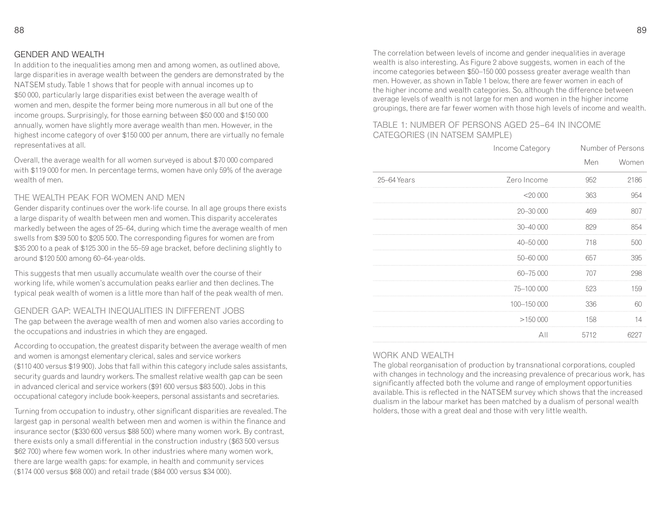#### **GENDER AND WEALTH**

 In addition to the inequalities among men and among women, as outlined above, large disparities in average wealth between the genders are demonstrated by the NATSEM study. Table 1 shows that for people with annual incomes up to \$50 000, particularly large disparities exist between the average wealth of women and men, despite the former being more numerous in all but one of the income groups. Surprisingly, for those earning between \$50 000 and \$150 000 annually, women have slightly more average wealth than men. However, in the highest income category of over \$150 000 per annum, there are virtually no female representatives at all.

Overall, the average wealth for all women surveyed is about \$70 000 compared with \$119 000 for men. In percentage terms, women have only 59% of the average wealth of men.

#### THE WEALTH PEAK FOR WOMEN AND MEN

 Gender disparity continues over the work-life course. In all age groups there exists a large disparity of wealth between men and women. This disparity accelerates markedly between the ages of 25–64, during which time the average wealth of men swells from \$39 500 to \$205 500. The corresponding figures for women are from \$35 200 to a peak of \$125 300 in the 55–59 age bracket, before declining slightly to around \$120 500 among 60–64-year-olds.

This suggests that men usually accumulate wealth over the course of their working life, while women's accumulation peaks earlier and then declines. The typical peak wealth of women is a little more than half of the peak wealth of men.

#### GENDER GAP: WEALTH INEQUALITIES IN DIFFERENT JOBS

 The gap between the average wealth of men and women also varies according to the occupations and industries in which they are engaged.

According to occupation, the greatest disparity between the average wealth of men and women is amongst elementary clerical, sales and service workers (\$110 400 versus \$19 900). Jobs that fall within this category include sales assistants, security guards and laundry workers. The smallest relative wealth gap can be seen in advanced clerical and service workers (\$91 600 versus \$83 500). Jobs in this occupational category include book-keepers, personal assistants and secretaries.

Turning from occupation to industry, other significant disparities are revealed. The largest gap in personal wealth between men and women is within the finance and insurance sector (\$330 600 versus \$88 500) where many women work. By contrast, there exists only a small differential in the construction industry (\$63 500 versus \$62 700) where few women work. In other industries where many women work, there are large wealth gaps: for example, in health and community services (\$174 000 versus \$68 000) and retail trade (\$84 000 versus \$34 000).

The correlation between levels of income and gender inequalities in average wealth is also interesting. As Figure 2 above suggests, women in each of the income categories between \$50–150 000 possess greater average wealth than men. However, as shown in Table 1 below, there are fewer women in each of the higher income and wealth categories. So, although the difference between average levels of wealth is not large for men and women in the higher income groupings, there are far fewer women with those high levels of income and wealth.

#### TABLE 1: NUMBER OF PERSONS AGED 25-64 IN INCOME CATEGORIES (IN NATSEM SAMPLE)

|             | Income Category |            | Number of Persons |
|-------------|-----------------|------------|-------------------|
|             |                 | <b>Men</b> | Women             |
| 25-64 Years | Zero Income     | 952        | 2186              |
|             | $<$ 20 000      | 363        | 954               |
|             | 20-30 000       | 469        | 807               |
|             | 30-40 000       | 829        | 854               |
|             | 40-50 000       | 718        | 500               |
|             | 50-60 000       | 657        | 395               |
|             | 60-75 000       | 707        | 298               |
|             | 75-100 000      | 523        | 159               |
|             | 100-150 000     | 336        | 60                |
|             | >150000         | 158        | 14                |
|             | All             | 5712       | 6227              |

#### WORK AND WEALTH

 The global reorganisation of production by transnational corporations, coupled with changes in technology and the increasing prevalence of precarious work, has significantly affected both the volume and range of employment opportunities available. This is reflected in the NATSEM survey which shows that the increased dualism in the labour market has been matched by a dualism of personal wealth holders, those with a great deal and those with very little wealth.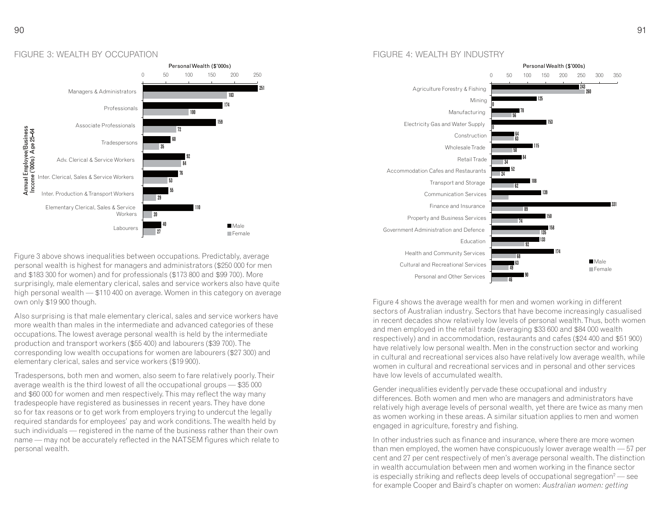

Figure 3 above shows inequalities between occupations. Predictably, average personal wealth is highest for managers and administrators (\$250 000 for men and \$183 300 for women) and for professionals (\$173 800 and \$99 700). More surprisingly, male elementary clerical, sales and service workers also have quite high personal wealth — \$110 400 on average. Women in this category on average own only \$19 900 though.

Also surprising is that male elementary clerical, sales and service workers have more wealth than males in the intermediate and advanced categories of these occupations. The lowest average personal wealth is held by the intermediate production and transport workers (\$55 400) and labourers (\$39 700). The corresponding low wealth occupations for women are labourers (\$27 300) and elementary clerical, sales and service workers (\$19 900).

Tradespersons, both men and women, also seem to fare relatively poorly. Their average wealth is the third lowest of all the occupational groups — \$35 000 and \$60 000 for women and men respectively. This may reflect the way many tradespeople have registered as businesses in recent years. They have done so for tax reasons or to get work from employers trying to undercut the legally required standards for employees' pay and work conditions. The wealth held by such individuals — registered in the name of the business rather than their own name — may not be accurately reflected in the NATSEM figures which relate to personal wealth.

#### FIGURE 4: WEALTH BY INDUSTRY



Figure 4 shows the average wealth for men and women working in different sectors of Australian industry. Sectors that have become increasingly casualised in recent decades show relatively low levels of personal wealth. Thus, both women and men employed in the retail trade (averaging \$33 600 and \$84 000 wealth respectively) and in accommodation, restaurants and cafes (\$24 400 and \$51 900) have relatively low personal wealth. Men in the construction sector and working in cultural and recreational services also have relatively low average wealth, while women in cultural and recreational services and in personal and other services have low levels of accumulated wealth.

Gender inequalities evidently pervade these occupational and industry differences. Both women and men who are managers and administrators have relatively high average levels of personal wealth, yet there are twice as many men as women working in these areas. A similar situation applies to men and women engaged in agriculture, forestry and fishing.

In other industries such as finance and insurance, where there are more women than men employed, the women have conspicuously lower average wealth — 57 per cent and 27 per cent respectively of men's average personal wealth. The distinction in wealth accumulation between men and women working in the finance sector is especially striking and reflects deep levels of occupational segregation $e^2$  — see for example Cooper and Baird's chapter on women: *Australian women: getting*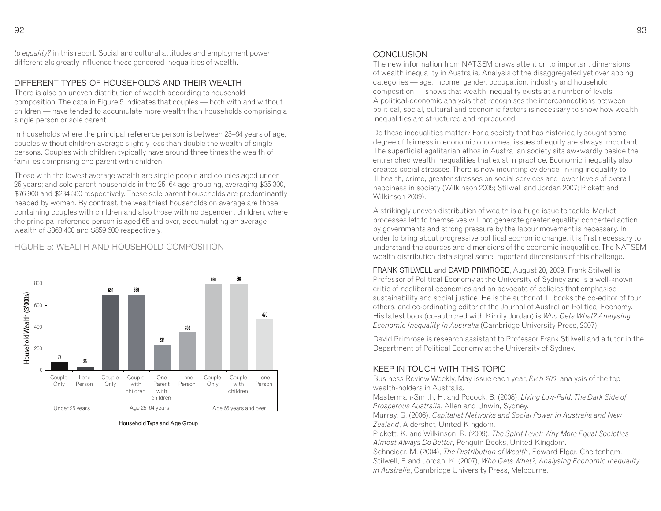#### DIFFERENT TYPES OF HOUSEHOLDS AND THEIR WEALTH

 There is also an uneven distribution of wealth according to household composition. The data in Figure 5 indicates that couples — both with and without children — have tended to accumulate more wealth than households comprising a single person or sole parent.

In households where the principal reference person is between 25–64 years of age, couples without children average slightly less than double the wealth of single persons. Couples with children typically have around three times the wealth of families comprising one parent with children.

Those with the lowest average wealth are single people and couples aged under 25 years; and sole parent households in the 25–64 age grouping, averaging \$35 300, \$76 900 and \$234 300 respectively. These sole parent households are predominantly headed by women. By contrast, the wealthiest households on average are those containing couples with children and also those with no dependent children, where the principal reference person is aged 65 and over, accumulating an average wealth of \$868 400 and \$859 600 respectively.

#### FIGURE 5: WEALTH AND HOUSEHOLD COMPOSITION



Household Type and Age Group

#### CONCLUSION

 The new information from NATSEM draws attention to important dimensions of wealth inequality in Australia. Analysis of the disaggregated yet overlapping categories — age, income, gender, occupation, industry and household composition — shows that wealth inequality exists at a number of levels. A political-economic analysis that recognises the interconnections between political, social, cultural and economic factors is necessary to show how wealth inequalities are structured and reproduced.

Do these inequalities matter? For a society that has historically sought some degree of fairness in economic outcomes, issues of equity are always important. The superficial egalitarian ethos in Australian society sits awkwardly beside the entrenched wealth inequalities that exist in practice. Economic inequality also creates social stresses. There is now mounting evidence linking inequality to ill health, crime, greater stresses on social services and lower levels of overall happiness in society (Wilkinson 2005; Stilwell and Jordan 2007; Pickett and Wilkinson 2009).

A strikingly uneven distribution of wealth is a huge issue to tackle. Market processes left to themselves will not generate greater equality: concerted action by governments and strong pressure by the labour movement is necessary. In order to bring about progressive political economic change, it is first necessary to understand the sources and dimensions of the economic inequalities. The NATSEM wealth distribution data signal some important dimensions of this challenge.

FRANK STILWELL and DAVID PRIMROSE, August 20, 2009. Frank Stilwell is Professor of Political Economy at the University of Sydney and is a well-known critic of neoliberal economics and an advocate of policies that emphasise sustainability and social justice. He is the author of 11 books the co-editor of four others, and co-ordinating editor of the Journal of Australian Political Economy. His latest book (co-authored with Kirrily Jordan) is *Who Gets What? Analysing Economic Inequality in Australia* (Cambridge University Press, 2007).

David Primrose is research assistant to Professor Frank Stilwell and a tutor in the Department of Political Economy at the University of Sydney.

#### KEEP IN TOUCH WITH THIS TOPIC

 Business Review Weekly, May issue each year, *Rich 200*: analysis of the top wealth-holders in Australia.

Masterman-Smith, H. and Pocock, B. (2008), *Living Low-Paid: The Dark Side of Prosperous Australia*, Allen and Unwin, Sydney.

 Murray, G. (2006), *Capitalist Networks and Social Power in Australia and New Zealand*, Aldershot, United Kingdom.

 Pickett, K. and Wilkinson, R. (2009), *The Spirit Level: Why More Equal Societies Almost Always Do Better*, Penguin Books, United Kingdom.

 Schneider, M. (2004), *The Distribution of Wealth*, Edward Elgar, Cheltenham. Stilwell, F. and Jordan, K. (2007), *Who Gets What?, Analysing Economic Inequality in Australia*, Cambridge University Press, Melbourne.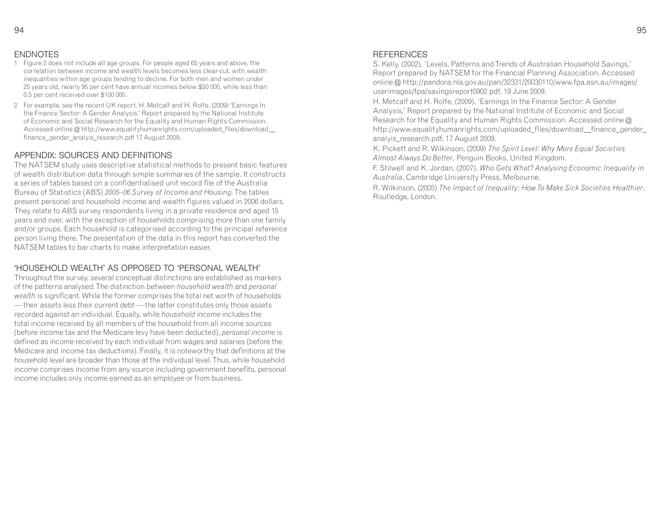#### ENDNOTES

- 1 Figure 2 does not include all age groups. For people aged 65 years and above, the correlation between income and wealth levels becomes less clear-cut, with wealth inequalities within age groups tending to decline. For both men and women under 25 years old, nearly 95 per cent have annual incomes below \$50 000, while less than 0.5 per cent received over \$100 000.
- 2 For example, see the recent UK report, H. Metcalf and H, Rolfe, (2009) 'Earnings In the Finance Sector: A Gender Analysis.' Report prepared by the National Institute of Economic and Social Research for the Equality and Human Rights Commission. Accessed online @ http://www.equalityhumanrights.com/uploaded\_files/download\_\_finance\_gender\_analyis\_research.pdf 17 August 2009.

#### APPENDIX: SOURCES AND DEFINITIONS

 The NATSEM study uses descriptive statistical methods to present basic features of wealth distribution data through simple summaries of the sample. It constructs a series of tables based on a confidentialised unit record file of the Australia Bureau of Statistics (ABS) *2005–06 Survey of Income and Housing.* The tables present personal and household income and wealth figures valued in 2006 dollars. They relate to ABS survey respondents living in a private residence and aged 15 years and over, with the exception of households comprising more than one family and/or groups. Each household is categorised according to the principal reference person living there. The presentation of the data in this report has converted the NATSEM tables to bar charts to make interpretation easier.

#### 'HOUSEHOLD WEALTH' AS OPPOSED TO 'PERSONAL WEALTH'

 Throughout the survey, several conceptual distinctions are established as markers of the patterns analysed. The distinction between *household wealth* and *personal wealth* is significant. While the former comprises the total net worth of households — their assets less their current debt — the latter constitutes only those assets recorded against an individual. Equally, while *household income* includes the total income received by all members of the household from all income sources (before income tax and the Medicare levy have been deducted), *personal income* is defined as income received by each individual from wages and salaries (before the Medicare and income tax deductions). Finally, it is noteworthy that definitions at the household level are broader than those at the individual level. Thus, while household income comprises income from any source including government benefits, personal income includes only income earned as an employee or from business.

#### REFERENCES

 S. Kelly, (2002), 'Levels, Patterns and Trends of Australian Household Savings,' Report prepared by NATSEM for the Financial Planning Association. Accessed online @ http://pandora.nla.gov.au/pan/32331/20030110/www.fpa.asn.au/images/userimages/fpa/savingsreport0902.pdf, 19 June 2009.

H. Metcalf and H. Rolfe, (2009), 'Earnings In the Finance Sector: A Gender Analysis,' Report prepared by the National Institute of Economic and Social Research for the Equality and Human Rights Commission. Accessed online @ http://www.equalityhumanrights.com/uploaded\_files/download\_\_finance\_gender\_analyis\_research.pdf, 17 August 2009.

K. Pickett and R. Wilkinson, (2009) *The Spirit Level: Why More Equal Societies Almost Always Do Better*, Penguin Books, United Kingdom.

F. Stilwell and K. Jordan, (2007), *Who Gets What? Analysing Economic Inequality in Australia*, Cambridge University Press, Melbourne.

R. Wilkinson, (2005) *The Impact of Inequality: How To Make Sick Societies Healthier*, Routledge, London.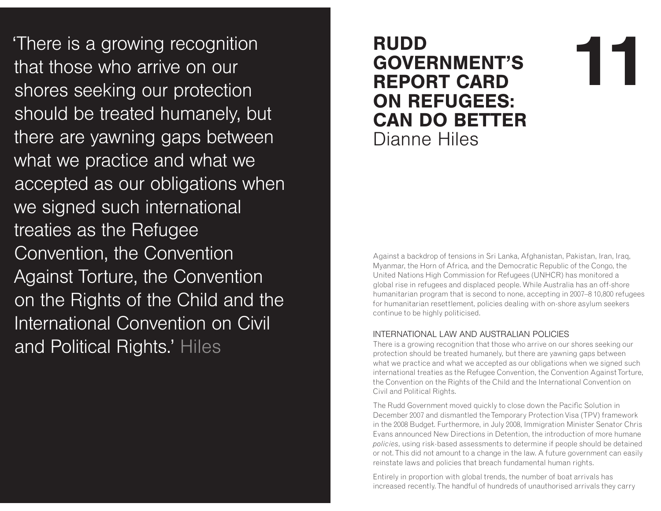There is a growing recognition that those who arrive on our shores seeking our protection should be treated humanely, but there are yawning gaps between what we practice and what we accepted as our obligations when we signed such international treaties as the Refugee Convention, the Convention Against Torture, the Convention on the Rights of the Child and the International Convention on Civil and Political Rights.' Hiles

# **RUDD<br>GOVERNMENT'S<br>REPORT CARD** ON REFUGEES: **CAN DO BETTER** Dianne Hiles

Against a backdrop of tensions in Sri Lanka, Afghanistan, Pakistan, Iran, Iraq, Myanmar, the Horn of Africa, and the Democratic Republic of the Congo, the United Nations High Commission for Refugees (UNHCR) has monitored a global rise in refugees and displaced people. While Australia has an off-shore humanitarian program that is second to none, accepting in 2007–8 10,800 refugees for humanitarian resettlement, policies dealing with on-shore asylum seekers continue to be highly politicised.

#### INTERNATIONAL LAW AND AUSTRALIAN POLICIES

 There is a growing recognition that those who arrive on our shores seeking our protection should be treated humanely, but there are yawning gaps between what we practice and what we accepted as our obligations when we signed such international treaties as the Refugee Convention, the Convention Against Torture, the Convention on the Rights of the Child and the International Convention on Civil and Political Rights.

The Rudd Government moved quickly to close down the Pacific Solution in December 2007 and dismantled the Temporary Protection Visa (TPV) framework in the 2008 Budget. Furthermore, in July 2008, Immigration Minister Senator Chris Evans announced New Directions in Detention, the introduction of more humane *policies*, using risk-based assessments to determine if people should be detained or not. This did not amount to a change in the law. A future government can easily reinstate laws and policies that breach fundamental human rights.

Entirely in proportion with global trends, the number of boat arrivals has increased recently. The handful of hundreds of unauthorised arrivals they carry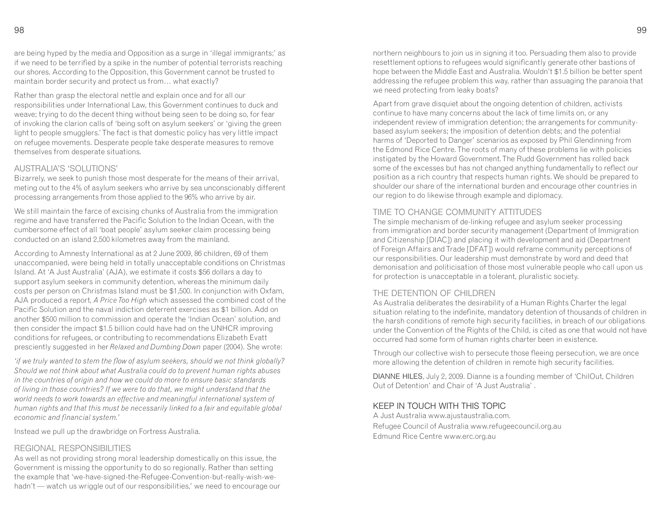98 8

are being hyped by the media and Opposition as a surge in 'illegal immigrants;' as if we need to be terrified by a spike in the number of potential terrorists reaching our shores. According to the Opposition, this Government cannot be trusted to maintain border security and protect us from… what exactly?

Rather than grasp the electoral nettle and explain once and for all our responsibilities under International Law, this Government continues to duck and weave; trying to do the decent thing without being seen to be doing so, for fear of invoking the clarion calls of 'being soft on asylum seekers' or 'giving the green light to people smugglers.' The fact is that domestic policy has very little impact on refugee movements. Desperate people take desperate measures to remove themselves from desperate situations.

#### AUSTRAHA'S 'SOLUTIONS'

 Bizarrely, we seek to punish those most desperate for the means of their arrival, meting out to the 4% of asylum seekers who arrive by sea unconscionably different processing arrangements from those applied to the 96% who arrive by air.

We still maintain the farce of excising chunks of Australia from the immigration regime and have transferred the Pacific Solution to the Indian Ocean, with the cumbersome effect of all 'boat people' asylum seeker claim processing being conducted on an island 2,500 kilometres away from the mainland.

According to Amnesty International as at 2 June 2009, 86 children, 69 of them unaccompanied, were being held in totally unacceptable conditions on Christmas Island. At 'A Just Australia' (AJA), we estimate it costs \$56 dollars a day to support asylum seekers in community detention, whereas the minimum daily costs per person on Christmas Island must be \$1,500. In conjunction with Oxfam, AJA produced a report, *A Price Too High* which assessed the combined cost of the Pacific Solution and the naval indiction deterrent exercises as \$1 billion. Add on another \$500 million to commission and operate the 'Indian Ocean' solution, and then consider the impact \$1.5 billion could have had on the UNHCR improving conditions for refugees, or contributing to recommendations Elizabeth Evatt presciently suggested in her *Relaxed and Dumbing Down* paper (2004). She wrote:

*'if we truly wanted to stem the flow of asylum seekers, should we not think globally? Should we not think about what Australia could do to prevent human rights abuses in the countries of origin and how we could do more to ensure basic standards of living in those countries? If we were to do that, we might understand that the world needs to work towards an effective and meaningful international system of human rights and that this must be necessarily linked to a fair and equitable global economic and financial system.'*

Instead we pull up the drawbridge on Fortress Australia.

#### REGIONAL RESPONSIBILITIES

 As well as not providing strong moral leadership domestically on this issue, the Government is missing the opportunity to do so regionally. Rather than setting the example that 'we-have-signed-the-Refugee-Convention-but-really-wish-wehadn't — watch us wriggle out of our responsibilities,' we need to encourage our northern neighbours to join us in signing it too. Persuading them also to provide resettlement options to refugees would significantly generate other bastions of hope between the Middle East and Australia. Wouldn't \$1.5 billion be better spent addressing the refugee problem this way, rather than assuaging the paranoia that we need protecting from leaky boats?

Apart from grave disquiet about the ongoing detention of children, activists continue to have many concerns about the lack of time limits on, or any independent review of immigration detention; the arrangements for communitybased asylum seekers; the imposition of detention debts; and the potential harms of 'Deported to Danger' scenarios as exposed by Phil Glendinning from the Edmond Rice Centre. The roots of many of these problems lie with policies instigated by the Howard Government. The Rudd Government has rolled back some of the excesses but has not changed anything fundamentally to reflect our position as a rich country that respects human rights. We should be prepared to shoulder our share of the international burden and encourage other countries in our region to do likewise through example and diplomacy.

#### TIME TO CHANGE COMMUNITY ATTITUDES

 The simple mechanism of de-linking refugee and asylum seeker processing from immigration and border security management (Department of Immigration and Citizenship [DIAC]) and placing it with development and aid (Department of Foreign Affairs and Trade [DFAT]) would reframe community perceptions of our responsibilities. Our leadership must demonstrate by word and deed that demonisation and politicisation of those most vulnerable people who call upon us for protection is unacceptable in a tolerant, pluralistic society.

#### THE DETENTION OF CHILDREN

 As Australia deliberates the desirability of a Human Rights Charter the legal situation relating to the indefinite, mandatory detention of thousands of children in the harsh conditions of remote high security facilities, in breach of our obligations under the Convention of the Rights of the Child, is cited as one that would not have occurred had some form of human rights charter been in existence.

Through our collective wish to persecute those fleeing persecution, we are once more allowing the detention of children in remote high security facilities.

DIANNE HILES, July 2, 2009. Dianne is a founding member of 'ChilOut, Children Out of Detention' and Chair of 'A Just Australia' .

#### KEEP IN TOUCH WITH THIS TOPIC

 A Just Australia www.ajustaustralia.com.Refugee Council of Australia www.refugeecouncil.org.auEdmund Rice Centre www.erc.org.au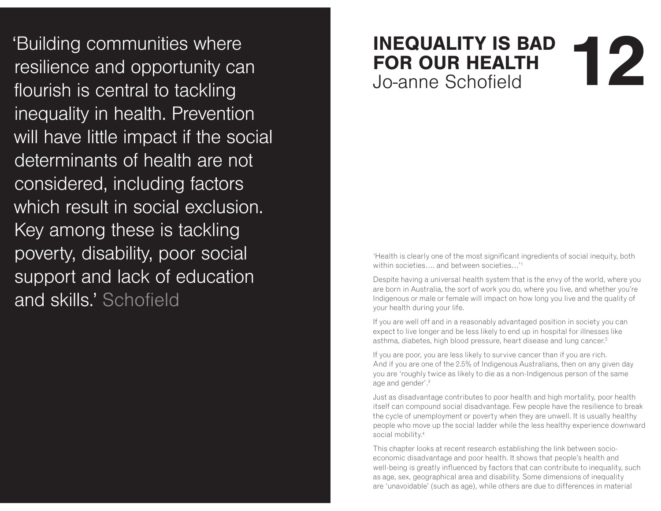'Building communities where resilience and opportunity can flourish is central to tackling inequality in health. Prevention will have little impact if the social determinants of health are not considered, including factors which result in social exclusion. Key among these is tackling poverty, disability, poor social support and lack of education and skills.' Schofield

## **INEQUALITY IS BAD FOR OUR HEALTH** Jo-anne Schofield **12**<br> **12**

'Health is clearly one of the most significant ingredients of social inequity, both within societies…. and between societies…'<sup>1</sup>

Despite having a universal health system that is the envy of the world, where you are born in Australia, the sort of work you do, where you live, and whether you're Indigenous or male or female will impact on how long you live and the quality of your health during your life.

If you are well off and in a reasonably advantaged position in society you can expect to live longer and be less likely to end up in hospital for illnesses like asthma, diabetes, high blood pressure, heart disease and lung cancer.<sup>2</sup>

If you are poor, you are less likely to survive cancer than if you are rich. And if you are one of the 2.5% of Indigenous Australians, then on any given day you are 'roughly twice as likely to die as a non-Indigenous person of the same age and gender'.<sup>3</sup>

Just as disadvantage contributes to poor health and high mortality, poor health itself can compound social disadvantage. Few people have the resilience to break the cycle of unemployment or poverty when they are unwell. It is usually healthy people who move up the social ladder while the less healthy experience downward social mobility.<sup>4</sup>

This chapter looks at recent research establishing the link between socioeconomic disadvantage and poor health. It shows that people's health and well-being is greatly influenced by factors that can contribute to inequality, such as age, sex, geographical area and disability. Some dimensions of inequality are 'unavoidable' (such as age), while others are due to differences in material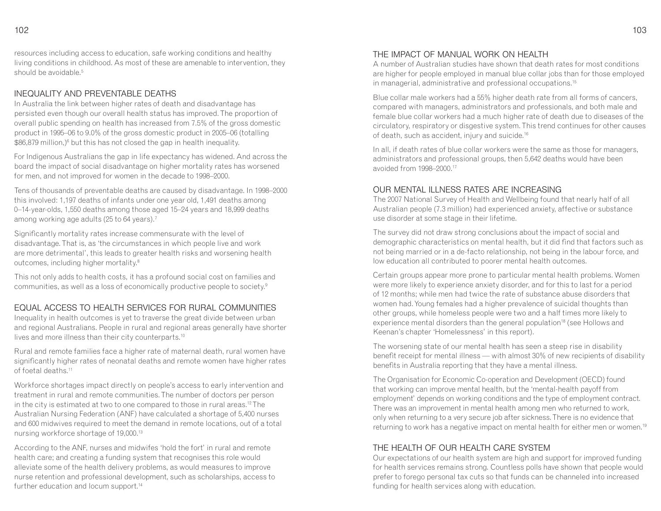resources including access to education, safe working conditions and healthy living conditions in childhood. As most of these are amenable to intervention, they should be avoidable.<sup>5</sup>

#### INEQUALITY AND PREVENTABLE DEATHS

 In Australia the link between higher rates of death and disadvantage has persisted even though our overall health status has improved. The proportion of overall public spending on health has increased from 7.5% of the gross domestic product in 1995–06 to 9.0% of the gross domestic product in 2005–06 (totalling \$86,879 million,)6 but this has not closed the gap in health inequality.

For Indigenous Australians the gap in life expectancy has widened. And across the board the impact of social disadvantage on higher mortality rates has worsened for men, and not improved for women in the decade to 1998–2000.

Tens of thousands of preventable deaths are caused by disadvantage. In 1998–2000 this involved: 1,197 deaths of infants under one year old, 1,491 deaths among 0–14-year-olds, 1,550 deaths among those aged 15–24 years and 18,999 deaths among working age adults (25 to 64 years).<sup>7</sup>

Significantly mortality rates increase commensurate with the level of disadvantage. That is, as 'the circumstances in which people live and work are more detrimental', this leads to greater health risks and worsening health outcomes, including higher mortality.<sup>8</sup>

This not only adds to health costs, it has a profound social cost on families and communities, as well as a loss of economically productive people to society.9

#### EQUAL ACCESS TO HEALTH SERVICES FOR RURAL COMMUNITIES

 Inequality in health outcomes is yet to traverse the great divide between urban and regional Australians. People in rural and regional areas generally have shorter lives and more illness than their city counterparts.<sup>10</sup>

Rural and remote families face a higher rate of maternal death, rural women have significantly higher rates of neonatal deaths and remote women have higher rates of foetal deaths.<sup>11</sup>

Workforce shortages impact directly on people's access to early intervention and treatment in rural and remote communities. The number of doctors per person in the city is estimated at two to one compared to those in rural areas.<sup>12</sup> The Australian Nursing Federation (ANF) have calculated a shortage of 5,400 nurses and 600 midwives required to meet the demand in remote locations, out of a total nursing workforce shortage of 19,000.<sup>13</sup>

According to the ANF, nurses and midwifes 'hold the fort' in rural and remote health care; and creating a funding system that recognises this role would alleviate some of the health delivery problems, as would measures to improve nurse retention and professional development, such as scholarships, access to further education and locum support.<sup>14</sup>

#### THE IMPACT OF MANUAL WORK ON HEALTH

 A number of Australian studies have shown that death rates for most conditions are higher for people employed in manual blue collar jobs than for those employed in managerial, administrative and professional occupations.<sup>15</sup>

Blue collar male workers had a 55% higher death rate from all forms of cancers, compared with managers, administrators and professionals, and both male and female blue collar workers had a much higher rate of death due to diseases of the circulatory, respiratory or disgestive system. This trend continues for other causes of death, such as accident, injury and suicide.<sup>16</sup>

In all, if death rates of blue collar workers were the same as those for managers, administrators and professional groups, then 5,642 deaths would have been avoided from 1998–2000.<sup>17</sup>

#### OUR MENTAL ILLNESS RATES ARE INCREASING

 The 2007 National Survey of Health and Wellbeing found that nearly half of all Australian people (7.3 million) had experienced anxiety, affective or substance use disorder at some stage in their lifetime.

The survey did not draw strong conclusions about the impact of social and demographic characteristics on mental health, but it did find that factors such as not being married or in a de-facto relationship, not being in the labour force, and low education all contributed to poorer mental health outcomes.

Certain groups appear more prone to particular mental health problems. Women were more likely to experience anxiety disorder, and for this to last for a period of 12 months; while men had twice the rate of substance abuse disorders that women had. Young females had a higher prevalence of suicidal thoughts than other groups, while homeless people were two and a half times more likely to experience mental disorders than the general population<sup>18</sup> (see Hollows and Keenan's chapter 'Homelessness' in this report).

The worsening state of our mental health has seen a steep rise in disability benefit receipt for mental illness — with almost 30% of new recipients of disability benefits in Australia reporting that they have a mental illness.

The Organisation for Economic Co-operation and Development (OECD) found that working can improve mental health, but the 'mental-health payoff from employment' depends on working conditions and the type of employment contract. There was an improvement in mental health among men who returned to work, only when returning to a very secure job after sickness. There is no evidence that returning to work has a negative impact on mental health for either men or women.<sup>19</sup>

#### THE HEALTH OF OUR HEALTH CARE SYSTEM

 Our expectations of our health system are high and support for improved funding for health services remains strong. Countless polls have shown that people would prefer to forego personal tax cuts so that funds can be channeled into increased funding for health services along with education.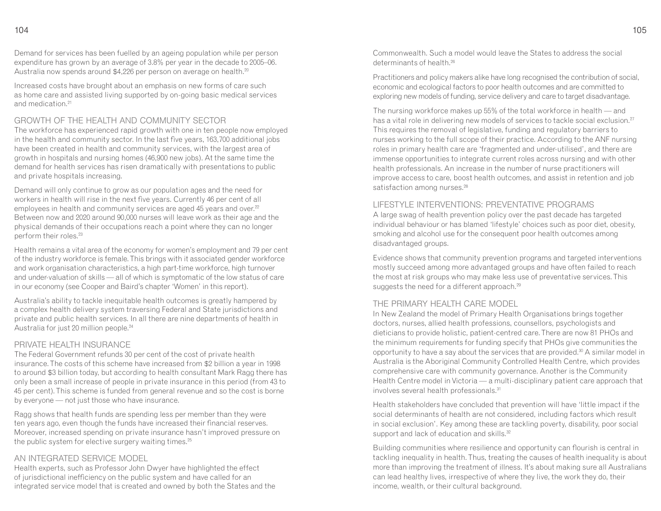Demand for services has been fuelled by an ageing population while per person expenditure has grown by an average of 3.8% per year in the decade to 2005–06. Australia now spends around \$4,226 per person on average on health.<sup>20</sup>

Increased costs have brought about an emphasis on new forms of care such as home care and assisted living supported by on-going basic medical services and medication.<sup>21</sup>

#### GROWTH OF THE HEALTH AND COMMUNITY SECTOR

 The workforce has experienced rapid growth with one in ten people now employed in the health and community sector. In the last five years, 163,700 additional jobs have been created in health and community services, with the largest area of growth in hospitals and nursing homes (46,900 new jobs). At the same time the demand for health services has risen dramatically with presentations to public and private hospitals increasing.

Demand will only continue to grow as our population ages and the need for workers in health will rise in the next five years. Currently 46 per cent of all employees in health and community services are aged 45 years and over.<sup>22</sup> Between now and 2020 around 90,000 nurses will leave work as their age and the physical demands of their occupations reach a point where they can no longer perform their roles.<sup>23</sup>

Health remains a vital area of the economy for women's employment and 79 per cent of the industry workforce is female. This brings with it associated gender workforce and work organisation characteristics, a high part-time workforce, high turnover and under-valuation of skills — all of which is symptomatic of the low status of care in our economy (see Cooper and Baird's chapter 'Women' in this report).

Australia's ability to tackle inequitable health outcomes is greatly hampered by a complex health delivery system traversing Federal and State jurisdictions and private and public health services. In all there are nine departments of health in Australia for just 20 million people.<sup>24</sup>

#### PRIVATE HEALTH INSURANCE

 The Federal Government refunds 30 per cent of the cost of private health insurance. The costs of this scheme have increased from \$2 billion a year in 1998 to around \$3 billion today, but according to health consultant Mark Ragg there has only been a small increase of people in private insurance in this period (from 43 to 45 per cent). This scheme is funded from general revenue and so the cost is borne by everyone — not just those who have insurance.

Ragg shows that health funds are spending less per member than they were ten years ago, even though the funds have increased their financial reserves. Moreover, increased spending on private insurance hasn't improved pressure on the public system for elective surgery waiting times.<sup>25</sup>

#### AN INTEGRATED SERVICE MODEL

 Health experts, such as Professor John Dwyer have highlighted the effect of jurisdictional inefficiency on the public system and have called for an integrated service model that is created and owned by both the States and the Commonwealth. Such a model would leave the States to address the social determinants of health.<sup>26</sup>

Practitioners and policy makers alike have long recognised the contribution of social, economic and ecological factors to poor health outcomes and are committed to exploring new models of funding, service delivery and care to target disadvantage.

The nursing workforce makes up 55% of the total workforce in health — and has a vital role in delivering new models of services to tackle social exclusion.<sup>27</sup> This requires the removal of legislative, funding and regulatory barriers to nurses working to the full scope of their practice. According to the ANF nursing roles in primary health care are 'fragmented and under-utilised', and there are immense opportunities to integrate current roles across nursing and with other health professionals. An increase in the number of nurse practitioners will improve access to care, boost health outcomes, and assist in retention and job satisfaction among nurses.<sup>28</sup>

#### LIFESTYLE INTERVENTIONS: PREVENTATIVE PROGRAMS

 A large swag of health prevention policy over the past decade has targeted individual behaviour or has blamed 'lifestyle' choices such as poor diet, obesity, smoking and alcohol use for the consequent poor health outcomes among disadvantaged groups.

Evidence shows that community prevention programs and targeted interventions mostly succeed among more advantaged groups and have often failed to reach the most at risk groups who may make less use of preventative services. This suggests the need for a different approach.<sup>29</sup>

#### THE PRIMARY HEALTH CARE MODEL

 In New Zealand the model of Primary Health Organisations brings together doctors, nurses, allied health professions, counsellors, psychologists and dieticians to provide holistic, patient-centred care. There are now 81 PHOs and the minimum requirements for funding specify that PHOs give communities the opportunity to have a say about the services that are provided.<sup>30</sup> A similar model in Australia is the Aboriginal Community Controlled Health Centre, which provides comprehensive care with community governance. Another is the Community Health Centre model in Victoria — a multi-disciplinary patient care approach that involves several health professionals.<sup>31</sup>

Health stakeholders have concluded that prevention will have 'little impact if the social determinants of health are not considered, including factors which result in social exclusion'. Key among these are tackling poverty, disability, poor social support and lack of education and skills.<sup>32</sup>

Building communities where resilience and opportunity can flourish is central in tackling inequality in health. Thus, treating the causes of health inequality is about more than improving the treatment of illness. It's about making sure all Australians can lead healthy lives, irrespective of where they live, the work they do, their income, wealth, or their cultural background.